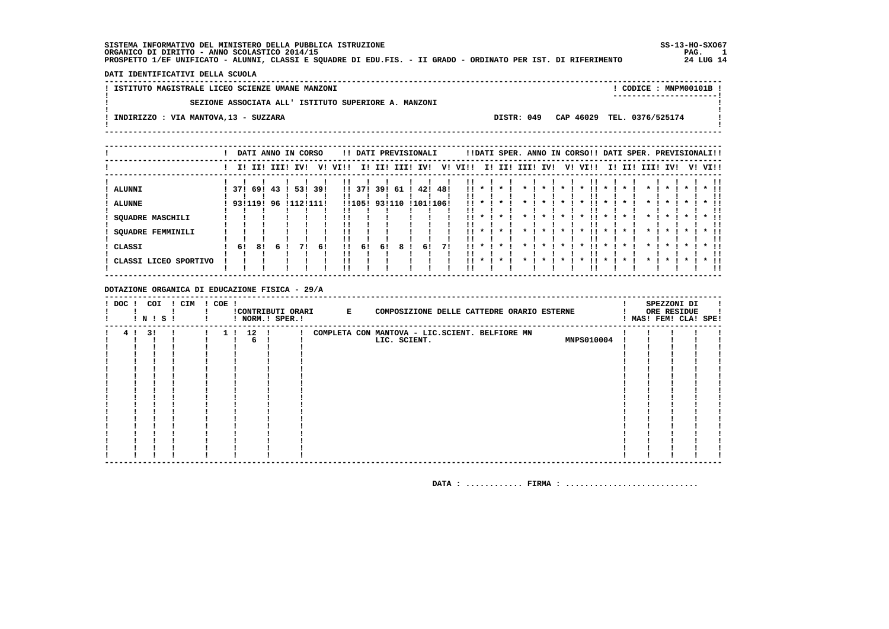### DATI IDENTIFICATIVI DELLA SCUOLA

! ISTITUTO MAGISTRALE LICEO SCIENZE UMANE MANZONI ! CODICE: MNPM00101B ! \_\_\_\_\_\_\_\_\_\_\_\_\_\_\_\_\_\_\_\_\_\_\_\_\_\_  $\mathbf{I}$ SEZIONE ASSOCIATA ALL' ISTITUTO SUPERIORE A. MANZONI  $\mathbf{L}$  $\blacksquare$  $\blacksquare$  $\mathbf{I}$ ! INDIRIZZO : VIA MANTOVA, 13 - SUZZARA DISTR: 049 CAP 46029 TEL. 0376/525174  $\mathbf{I}$  $\mathbf{I}$  $\mathbf{I}$ 

|                       |         |     | DATI ANNO IN CORSO |           |      |              |        |        |      | !! DATI PREVISIONALI |     |      |                    | !!DATI SPER. ANNO IN CORSO!! DATI SPER. PREVISIONALI!! |  |                     |    |                     |                    |                    |         |         |              |
|-----------------------|---------|-----|--------------------|-----------|------|--------------|--------|--------|------|----------------------|-----|------|--------------------|--------------------------------------------------------|--|---------------------|----|---------------------|--------------------|--------------------|---------|---------|--------------|
|                       |         |     | I! II! III!        | IV!       | V!   | VI!!         | II.    | II!    | III! | IV!                  | V!  | VIII | II.                | II! III!                                               |  | IV!                 | V! | VI!!                | II.                | II! III! IV!       |         | V! VI!! |              |
| <b>ALUNNI</b>         | 371     | 69! | 43                 | 531       | -39! | $\mathbf{1}$ | 371    | 39!    | -61  | 42!                  | 48! | . .  |                    |                                                        |  |                     |    |                     |                    |                    |         |         |              |
| <b>ALUNNE</b>         | 9311191 |     | 96                 | !112!111! |      |              | !!105! | 93!110 |      | !101!106!            |     | . .  |                    |                                                        |  |                     |    |                     |                    |                    |         |         |              |
| SQUADRE MASCHILI      |         |     |                    |           |      | !!           |        |        |      |                      |     | !!   | $\mathbf{x}$       | $\cdot$                                                |  | $\boldsymbol{\ast}$ |    | $\boldsymbol{\pi}$  | $\boldsymbol{\pi}$ | $\boldsymbol{\pi}$ | $\star$ | $\cdot$ | $*$ !!<br>!! |
| SQUADRE FEMMINILI     |         |     |                    |           |      | !!           |        |        |      |                      |     | . .  |                    | $\cdot$                                                |  |                     |    | $\boldsymbol{\pi}$  | $\boldsymbol{\pi}$ |                    |         |         | $*$ !!<br>ΙI |
| CLASSI                | 61      | 81  | 6                  | 71        | 61   | 11           | 61     | 61     | 8    | -61                  | 71  | . .  | $\mathbf{x}$       | $\cdot$                                                |  |                     |    | $\boldsymbol{\ast}$ | $\boldsymbol{\pi}$ | $\mathbf{r}$       | $\cdot$ |         | $*$ 11       |
| CLASSI LICEO SPORTIVO |         |     |                    |           |      |              |        |        |      |                      |     | . .  | $\boldsymbol{\pi}$ | $\cdot$                                                |  |                     |    |                     |                    |                    | $\cdot$ |         | $*$ 11<br>!! |

#### DOTAZIONE ORGANICA DI EDUCAZIONE FISICA - 29/A

| ! DOC ! | ! N ! S ! | COI ! CIM | I COE I |      | ! NORM.! SPER.! | !CONTRIBUTI ORARI E | COMPOSIZIONE DELLE CATTEDRE ORARIO ESTERNE     |  |                   |  | SPEZZONI DI<br>ORE RESIDUE<br>! MAS! FEM! CLA! SPE! |  |
|---------|-----------|-----------|---------|------|-----------------|---------------------|------------------------------------------------|--|-------------------|--|-----------------------------------------------------|--|
|         | 31        |           |         | 12 ! |                 |                     | COMPLETA CON MANTOVA - LIC.SCIENT. BELFIORE MN |  |                   |  |                                                     |  |
|         |           |           |         | 6    |                 |                     | LIC. SCIENT.                                   |  | <b>MNPS010004</b> |  |                                                     |  |
|         |           |           |         |      |                 |                     |                                                |  |                   |  |                                                     |  |
|         |           |           |         |      |                 |                     |                                                |  |                   |  |                                                     |  |
|         |           |           |         |      |                 |                     |                                                |  |                   |  |                                                     |  |
|         |           |           |         |      |                 |                     |                                                |  |                   |  |                                                     |  |
|         |           |           |         |      |                 |                     |                                                |  |                   |  |                                                     |  |
|         |           |           |         |      |                 |                     |                                                |  |                   |  |                                                     |  |
|         |           |           |         |      |                 |                     |                                                |  |                   |  |                                                     |  |
|         |           |           |         |      |                 |                     |                                                |  |                   |  |                                                     |  |
|         |           |           |         |      |                 |                     |                                                |  |                   |  |                                                     |  |
|         |           |           |         |      |                 |                     |                                                |  |                   |  |                                                     |  |
|         |           |           |         |      |                 |                     |                                                |  |                   |  |                                                     |  |
|         |           |           |         |      |                 |                     |                                                |  |                   |  |                                                     |  |
|         |           |           |         |      |                 |                     |                                                |  |                   |  |                                                     |  |
|         |           |           |         |      |                 |                     |                                                |  |                   |  |                                                     |  |
|         |           |           |         |      |                 |                     |                                                |  |                   |  |                                                     |  |
|         |           |           |         |      |                 |                     |                                                |  |                   |  |                                                     |  |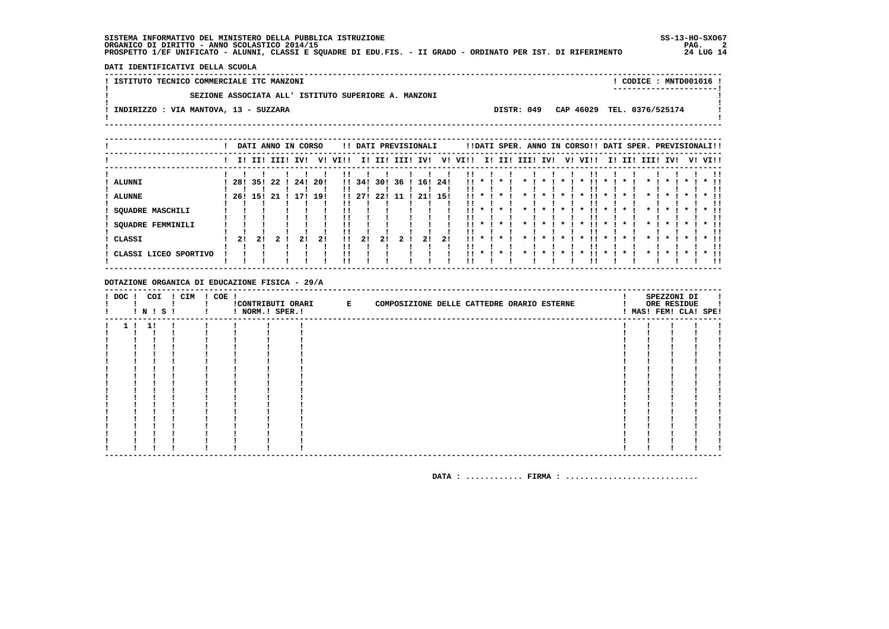SS-13-HO-SX067 PAG. 2  $24$  LUG  $14$ 

DATI IDENTIFICATIVI DELLA SCUOLA

! ISTITUTO TECNICO COMMERCIALE ITC MANZONI ! CODICE : MNTD001016 !  $\mathbf{I}$ SEZIONE ASSOCIATA ALL' ISTITUTO SUPERIORE A. MANZONI  $\mathbf{I}$ - 1  $\mathbf{I}$ -.<br>! INDIRIZZO : VIA MANTOVA, 13 - SUZZARA DISTR: 049 CAP 46029 TEL. 0376/525174  $\sim$  1.  $\mathbf{I}$  $\mathbf{I}$ 

|                       |       |             |     | DATI ANNO IN CORSO |      |              |        |     |              | !! DATI PREVISIONALI |       |      |         |         |      |     |    | !!DATI SPER. ANNO IN CORSO!! DATI SPER. PREVISIONALI!! |                    |     |      |                    |     |              |
|-----------------------|-------|-------------|-----|--------------------|------|--------------|--------|-----|--------------|----------------------|-------|------|---------|---------|------|-----|----|--------------------------------------------------------|--------------------|-----|------|--------------------|-----|--------------|
|                       |       | I! II! III! |     | IV!                | V!   | VIII         | ΙI     | II! | III!         | IV!                  | V!    | VI!! | II.     | II!     | III! | IV! | V! | VI!!                                                   | II.                | II! | III! |                    | IV! | V! VI!!      |
| <b>ALUNNI</b>         | 28!   | 35!         | -22 | 24!                | -201 | $\mathbf{1}$ | 34!    | 30! | 36           | 16!                  | -24 ! | !!   |         |         |      |     |    |                                                        |                    |     |      |                    |     |              |
| <b>ALUNNE</b>         | -26 ! | 15!         | -21 | 171                | 19!  |              | !! 27! | 22! | 11           | 21!                  | 15!   | !!   |         |         |      |     |    |                                                        |                    |     |      |                    |     |              |
| SQUADRE MASCHILI      |       |             |     |                    |      |              |        |     |              |                      |       |      |         |         |      |     |    | $\star$                                                | $\boldsymbol{\pi}$ |     |      | $\cdot$            |     |              |
| SQUADRE FEMMINILI     |       |             |     |                    |      | !!<br>!!     |        |     |              |                      |       | . .  | $\cdot$ | $\cdot$ |      |     |    | $\boldsymbol{\ast}$                                    | $\mathbf x$        |     |      | $\boldsymbol{\pi}$ |     | $*$ !!<br>!! |
| CLASSI                | 21    | 21          |     |                    | 21   | !!           | 21     | 21  | $\mathbf{2}$ | 2!                   | 21    | . .  |         | $\cdot$ |      |     |    | $\boldsymbol{\ast}$                                    | $\boldsymbol{\pi}$ |     |      | $\boldsymbol{\pi}$ |     | $*$ 11<br>ΙI |
| CLASSI LICEO SPORTIVO |       |             |     |                    |      | !!           |        |     |              |                      |       | . .  | $\cdot$ | $\cdot$ |      |     |    | $\boldsymbol{\ast}$                                    | $\boldsymbol{\pi}$ |     | *    | $\cdot$            |     | $*$ !!<br>!! |

DOTAZIONE ORGANICA DI EDUCAZIONE FISICA - 29/A

| ! DOC ! COI | ! N ! S ! | ! CIM | ! COE ! | ! NORM.! SPER.! | !CONTRIBUTI ORARI E | COMPOSIZIONE DELLE CATTEDRE ORARIO ESTERNE |  |  |  | SPEZZONI DI<br>ORE RESIDUE<br>! MAS! FEM! CLA! SPE! |  |
|-------------|-----------|-------|---------|-----------------|---------------------|--------------------------------------------|--|--|--|-----------------------------------------------------|--|
|             | 1!1!      |       |         |                 |                     |                                            |  |  |  |                                                     |  |
|             |           |       |         |                 |                     |                                            |  |  |  |                                                     |  |
|             |           |       |         |                 |                     |                                            |  |  |  |                                                     |  |
|             |           |       |         |                 |                     |                                            |  |  |  |                                                     |  |
|             |           |       |         |                 |                     |                                            |  |  |  |                                                     |  |
|             |           |       |         |                 |                     |                                            |  |  |  |                                                     |  |
|             |           |       |         |                 |                     |                                            |  |  |  |                                                     |  |
|             |           |       |         |                 |                     |                                            |  |  |  |                                                     |  |
|             |           |       |         |                 |                     |                                            |  |  |  |                                                     |  |
|             |           |       |         |                 |                     |                                            |  |  |  |                                                     |  |
|             |           |       |         |                 |                     |                                            |  |  |  |                                                     |  |
|             |           |       |         |                 |                     |                                            |  |  |  |                                                     |  |
|             |           |       |         |                 |                     |                                            |  |  |  |                                                     |  |
|             |           |       |         |                 |                     |                                            |  |  |  |                                                     |  |
|             |           |       |         |                 |                     |                                            |  |  |  |                                                     |  |
|             |           |       |         |                 |                     |                                            |  |  |  |                                                     |  |
|             |           |       |         |                 |                     |                                            |  |  |  |                                                     |  |
|             |           |       |         |                 |                     |                                            |  |  |  |                                                     |  |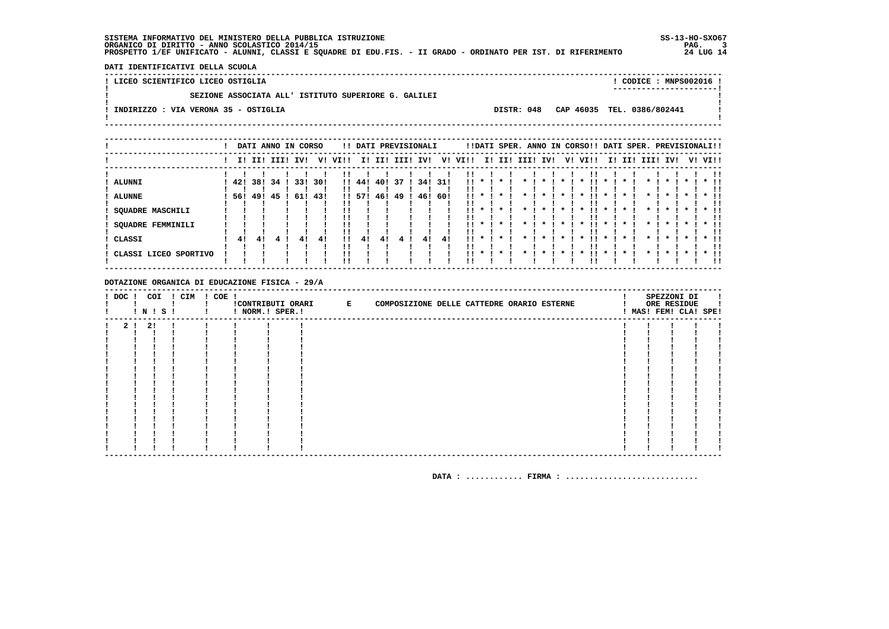SS-13-HO-SX067 PAG. 3 24 LUG 14

> - 1  $\mathbf{I}$

 $\mathbf{I}$ 

**Contract Contract** 

DATI IDENTIFICATIVI DELLA SCUOLA 

! LICEO SCIENTIFICO LICEO OSTIGLIA

 $\mathbf{I}$ 

 $\blacksquare$ 

-

 $\mathbf{I}$ 

! CODICE : MNPS002016 ! 

SEZIONE ASSOCIATA ALL' ISTITUTO SUPERIORE G. GALILEI .<br>! INDIRIZZO : VIA VERONA 35 - OSTIGLIA

DISTR: 048 CAP 46035 TEL. 0386/802441

|                                                                                          |                  |                          |   |                  | DATI ANNO IN CORSO |                    |                    |           | !! DATI PREVISIONALI |                          |    |                                 |                                                           |                                          | !!DATI SPER. ANNO IN CORSO!! DATI SPER. PREVISIONALI!! |                         |         |         |                    |         |              |                    |  |                                   |
|------------------------------------------------------------------------------------------|------------------|--------------------------|---|------------------|--------------------|--------------------|--------------------|-----------|----------------------|--------------------------|----|---------------------------------|-----------------------------------------------------------|------------------------------------------|--------------------------------------------------------|-------------------------|---------|---------|--------------------|---------|--------------|--------------------|--|-----------------------------------|
|                                                                                          |                  |                          |   | I! II! III! IV!  |                    | V! VI!!            |                    |           | I! II! III! IV!      |                          |    | V! VI!!                         |                                                           |                                          | I! II! III! IV!                                        |                         |         | V! VI!! |                    |         |              | I! II! III! IV!    |  | V! VI!!                           |
| ALUNNI<br><b>ALUNNE</b><br><b>SQUADRE MASCHILI</b><br><b>SQUADRE FEMMINILI</b><br>CLASSI | 421<br>56!<br>41 | 38! 34 !<br>49! 45<br>41 | 4 | 33!<br>61!<br>4! | 30!<br>43!<br>41   | $\mathbf{H}$<br>11 | 11441<br>571<br>41 | 46!<br>41 | 401371<br>-49<br>4!  | 34! 31!<br>46! 60!<br>41 | 41 | . .<br>11.<br>. .<br>. .<br>. . | $\mathbf{x}$<br>$\mathbf{x}$ $\mathbf{I}$<br>$\mathbf{x}$ | $\cdot$<br>$\cdot$<br>$\cdot$<br>$\star$ | $\mathbf{x}$ .                                         | $\star$ $\cdot$ $\cdot$ | $\cdot$ |         | $\star$<br>$\star$ | $\cdot$ | $\mathbf{x}$ | $\cdot$<br>$\star$ |  | -11<br>$*$ 11<br>$*$ 11<br>$*$ 11 |
| ! CLASSI LICEO SPORTIVO                                                                  |                  |                          |   |                  |                    |                    |                    |           |                      |                          |    | . .                             | $\mathbf{x}$ .                                            | $\cdot$                                  |                                                        |                         |         |         |                    |         |              | $\star$            |  | $*$ 11                            |

DOTAZIONE ORGANICA DI EDUCAZIONE FISICA - 29/A

|  | <b>!N!S!</b> | ! DOC ! COI ! CIM ! COE ! | ! ! NORM.! SPER.! | CONTRIBUTI ORARI E | COMPOSIZIONE DELLE CATTEDRE ORARIO ESTERNE |  |  | ---------- | SPEZZONI DI<br>ORE RESIDUE<br>! MAS! FEM! CLA! SPE! |  |
|--|--------------|---------------------------|-------------------|--------------------|--------------------------------------------|--|--|------------|-----------------------------------------------------|--|
|  | 2 1 2 1      |                           |                   |                    |                                            |  |  |            |                                                     |  |
|  |              |                           |                   |                    |                                            |  |  |            |                                                     |  |
|  |              |                           |                   |                    |                                            |  |  |            |                                                     |  |
|  |              |                           |                   |                    |                                            |  |  |            |                                                     |  |
|  |              |                           |                   |                    |                                            |  |  |            |                                                     |  |
|  |              |                           |                   |                    |                                            |  |  |            |                                                     |  |
|  |              |                           |                   |                    |                                            |  |  |            |                                                     |  |
|  |              |                           |                   |                    |                                            |  |  |            |                                                     |  |
|  |              |                           |                   |                    |                                            |  |  |            |                                                     |  |
|  |              |                           |                   |                    |                                            |  |  |            |                                                     |  |
|  |              |                           |                   |                    |                                            |  |  |            |                                                     |  |
|  |              |                           |                   |                    |                                            |  |  |            |                                                     |  |
|  |              |                           |                   |                    |                                            |  |  |            |                                                     |  |
|  |              |                           |                   |                    |                                            |  |  |            |                                                     |  |
|  |              |                           |                   |                    |                                            |  |  |            |                                                     |  |
|  |              |                           |                   |                    |                                            |  |  |            |                                                     |  |
|  |              |                           |                   |                    |                                            |  |  |            |                                                     |  |
|  |              |                           |                   |                    |                                            |  |  |            |                                                     |  |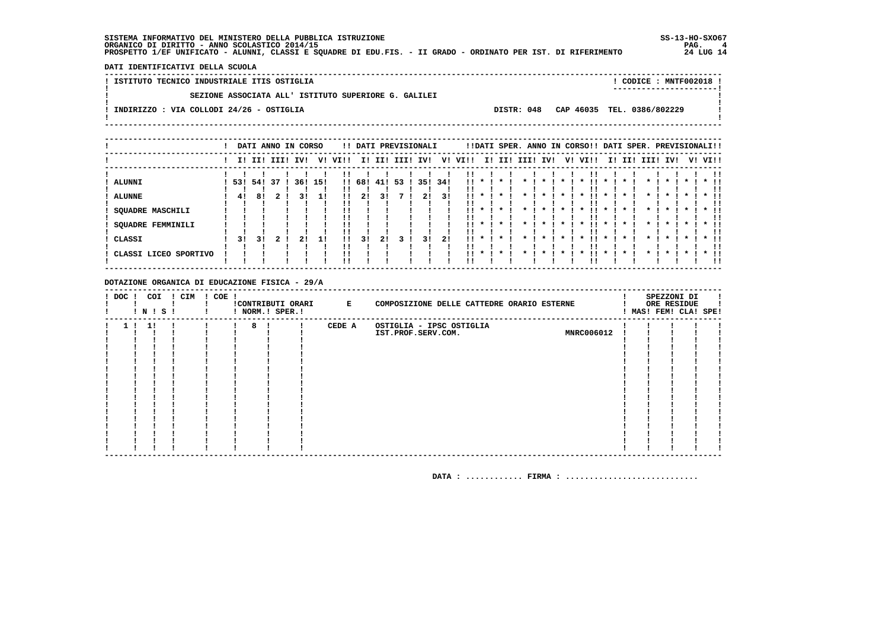SS-13-HO-SX067 PAG. 4  $24$  LUG 14

DATI IDENTIFICATIVI DELLA SCUOLA

! ISTITUTO TECNICO INDUSTRIALE ITIS OSTIGLIA ! CODICE : MNTF002018 !  $\mathbf{I}$ SEZIONE ASSOCIATA ALL' ISTITUTO SUPERIORE G. GALILEI  $\mathbf{I}$  $\overline{\phantom{a}}$  $\mathbf{I}$ -: INDIRIZZO : VIA COLLODI 24/26 - OSTIGLIA DISTR: 048 CAP 46035 TEL. 0386/802229  $\sim$  1.  $\mathbf{I}$  $\mathbf{I}$ 

|                                                                                   |                      |           | DATI ANNO IN CORSO |           |            |          |                    |           | !! DATI PREVISIONALI |           |                 |                                   |                                           |                               |      |     |                                           | !!DATI SPER. ANNO IN CORSO!! DATI SPER. PREVISIONALI!! |    |     |      |     |    |        |
|-----------------------------------------------------------------------------------|----------------------|-----------|--------------------|-----------|------------|----------|--------------------|-----------|----------------------|-----------|-----------------|-----------------------------------|-------------------------------------------|-------------------------------|------|-----|-------------------------------------------|--------------------------------------------------------|----|-----|------|-----|----|--------|
|                                                                                   |                      |           | I! II! III!        | IV!       | V!         | VI!!     | II.                | II!       | III!                 | IV!       | V!              | VI!!                              | II.                                       | II!                           | III! | IV! | v!                                        | VIII                                                   | Ιl | II! | IIII | IV! | V! | VI!!   |
| <b>ALUNNI</b><br><b>ALUNNE</b><br>SQUADRE MASCHILI<br>SQUADRE FEMMINILI<br>CLASSI | 53! 54!<br>-41<br>31 | 81<br>3 I | -37                | 36!<br>21 | -15!<br>11 | !!<br>!! | !! 68!<br>21<br>31 | 41!<br>21 | -53                  | 35!<br>31 | 34!<br>31<br>21 | <br>11.<br>!!<br>11.<br>!!<br>11. | $\boldsymbol{\pi}$<br>$\boldsymbol{\ast}$ | $\boldsymbol{\pi}$<br>$\star$ |      |     | $\boldsymbol{\pi}$<br>$\boldsymbol{\ast}$ | $\boldsymbol{\ast}$                                    |    |     |      |     |    |        |
| CLASSI LICEO SPORTIVO                                                             |                      |           |                    |           |            |          |                    |           |                      |           |                 | !!<br>. .                         | $\cdot$                                   | $\star$                       |      |     |                                           |                                                        |    |     |      |     |    | $*$ 11 |

DOTAZIONE ORGANICA DI EDUCAZIONE FISICA - 29/A

| $!$ DOC $!$ |                | COI<br>! N ! S ! | ! CIM | $! COE$ ! |   | !CONTRIBUTI ORARI E<br>! NORM.! SPER.! |        | COMPOSIZIONE DELLE CATTEDRE ORARIO ESTERNE |  | SPEZZONI DI<br>ORE RESIDUE<br>MAS! FEM! CLA! SPE! |  |
|-------------|----------------|------------------|-------|-----------|---|----------------------------------------|--------|--------------------------------------------|--|---------------------------------------------------|--|
|             | 1 <sub>1</sub> | 1!               |       |           | 8 |                                        | CEDE A | OSTIGLIA - IPSC OSTIGLIA                   |  |                                                   |  |
|             |                |                  |       |           |   |                                        |        | IST.PROF.SERV.COM.<br><b>MNRC006012</b>    |  |                                                   |  |
|             |                |                  |       |           |   |                                        |        |                                            |  |                                                   |  |
|             |                |                  |       |           |   |                                        |        |                                            |  |                                                   |  |
|             |                |                  |       |           |   |                                        |        |                                            |  |                                                   |  |
|             |                |                  |       |           |   |                                        |        |                                            |  |                                                   |  |
|             |                |                  |       |           |   |                                        |        |                                            |  |                                                   |  |
|             |                |                  |       |           |   |                                        |        |                                            |  |                                                   |  |
|             |                |                  |       |           |   |                                        |        |                                            |  |                                                   |  |
|             |                |                  |       |           |   |                                        |        |                                            |  |                                                   |  |
|             |                |                  |       |           |   |                                        |        |                                            |  |                                                   |  |
|             |                |                  |       |           |   |                                        |        |                                            |  |                                                   |  |
|             |                |                  |       |           |   |                                        |        |                                            |  |                                                   |  |
|             |                |                  |       |           |   |                                        |        |                                            |  |                                                   |  |
|             |                |                  |       |           |   |                                        |        |                                            |  |                                                   |  |
|             |                |                  |       |           |   |                                        |        |                                            |  |                                                   |  |
|             |                |                  |       |           |   |                                        |        |                                            |  |                                                   |  |
|             |                |                  |       |           |   |                                        |        |                                            |  |                                                   |  |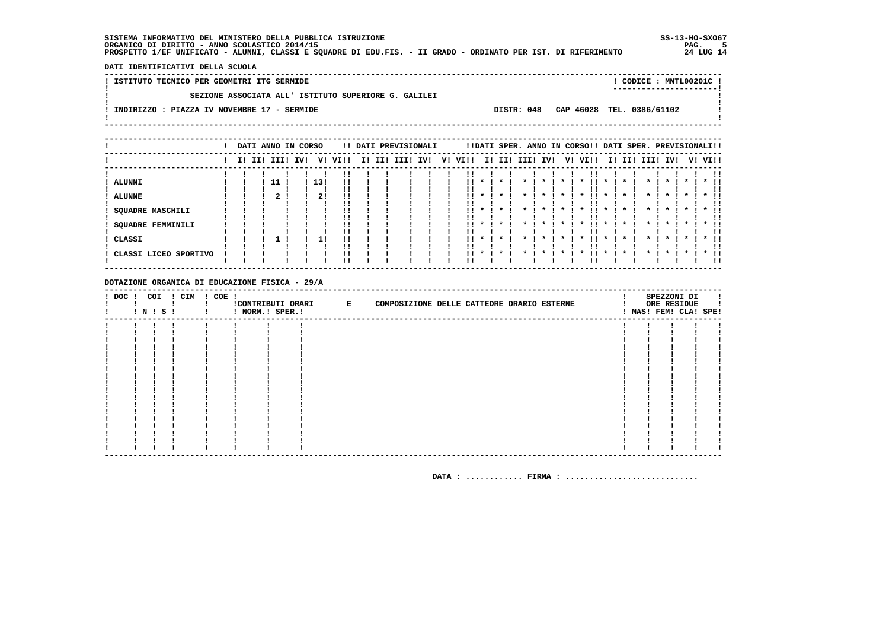SS-13-HO-SX067 PAG. 5  $24$  LUG  $14$ 

DATI IDENTIFICATIVI DELLA SCUOLA

! ISTITUTO TECNICO PER GEOMETRI ITG SERMIDE ! CODICE : MNTL00201C !  $\mathbf{I}$ SEZIONE ASSOCIATA ALL' ISTITUTO SUPERIORE G. GALILEI  $\mathbf{I}$  $\blacksquare$  $\mathbf{I}$ -.<br>! INDIRIZZO : PIAZZA IV NOVEMBRE 17 - SERMIDE DISTR: 048 CAP 46028 TEL. 0386/61102  $\sim$  1  $\mathbf{I}$  $\mathbf{I}$ 

|                                                      | DATI ANNO IN CORSO |     |  |           |                |     | !! DATI PREVISIONALI |     |    |                               |                                                          |                                          |      |     |                                           | !!DATI SPER. ANNO IN CORSO!! DATI SPER. PREVISIONALI!! |    |                    |      |     |  |                               |
|------------------------------------------------------|--------------------|-----|--|-----------|----------------|-----|----------------------|-----|----|-------------------------------|----------------------------------------------------------|------------------------------------------|------|-----|-------------------------------------------|--------------------------------------------------------|----|--------------------|------|-----|--|-------------------------------|
|                                                      | I! II! III! IV!    |     |  | V!        | VI!!           | II. | II! III!             | IV! | V! | VI!!                          | II.                                                      | II!                                      | III! | IV! | V!                                        | VI!!                                                   | ΙI | II!                | III! | IV! |  | V! VI!!                       |
| ALUNNI<br><b>ALUNNE</b><br>SQUADRE MASCHILI          |                    | -11 |  | 13!<br>21 | !!             |     |                      |     |    | !!<br>!!<br>. .               |                                                          | $\cdot$                                  |      |     | *                                         | $\boldsymbol{\ast}$                                    |    |                    |      |     |  |                               |
| SQUADRE FEMMINILI<br>CLASSI<br>CLASSI LICEO SPORTIVO |                    |     |  | 11        | !!<br>!!<br>!! |     |                      |     |    | 11.<br>!!<br>11.<br>!!<br>. . | $\boldsymbol{\pi}$<br>$\boldsymbol{\pi}$<br>$\mathbf{r}$ | $\boldsymbol{\pi}$<br>$\star$<br>$\star$ |      |     | $\boldsymbol{\pi}$<br>$\boldsymbol{\ast}$ | . .<br>$\boldsymbol{\ast}$                             |    | $\boldsymbol{\pi}$ |      |     |  | $*$ 11<br>. .<br>$*$ 11<br>!! |

DOTAZIONE ORGANICA DI EDUCAZIONE FISICA - 29/A

| $!$ DOC $!$ | COI<br>! N ! S ! | ! CIM | $! COE$ ! | ! NORM.! SPER.! | !CONTRIBUTI ORARI E | COMPOSIZIONE DELLE CATTEDRE ORARIO ESTERNE |  |  |  | SPEZZONI DI<br>ORE RESIDUE<br>! MAS! FEM! CLA! SPE! |  |
|-------------|------------------|-------|-----------|-----------------|---------------------|--------------------------------------------|--|--|--|-----------------------------------------------------|--|
|             |                  |       |           |                 |                     |                                            |  |  |  |                                                     |  |
|             |                  |       |           |                 |                     |                                            |  |  |  |                                                     |  |
|             |                  |       |           |                 |                     |                                            |  |  |  |                                                     |  |
|             |                  |       |           |                 |                     |                                            |  |  |  |                                                     |  |
|             |                  |       |           |                 |                     |                                            |  |  |  |                                                     |  |
|             |                  |       |           |                 |                     |                                            |  |  |  |                                                     |  |
|             |                  |       |           |                 |                     |                                            |  |  |  |                                                     |  |
|             |                  |       |           |                 |                     |                                            |  |  |  |                                                     |  |
|             |                  |       |           |                 |                     |                                            |  |  |  |                                                     |  |
|             |                  |       |           |                 |                     |                                            |  |  |  |                                                     |  |
|             |                  |       |           |                 |                     |                                            |  |  |  |                                                     |  |
|             |                  |       |           |                 |                     |                                            |  |  |  |                                                     |  |
|             |                  |       |           |                 |                     |                                            |  |  |  |                                                     |  |
|             |                  |       |           |                 |                     |                                            |  |  |  |                                                     |  |
|             |                  |       |           |                 |                     |                                            |  |  |  |                                                     |  |
|             |                  |       |           |                 |                     |                                            |  |  |  |                                                     |  |
|             |                  |       |           |                 |                     |                                            |  |  |  |                                                     |  |
|             |                  |       |           |                 |                     |                                            |  |  |  |                                                     |  |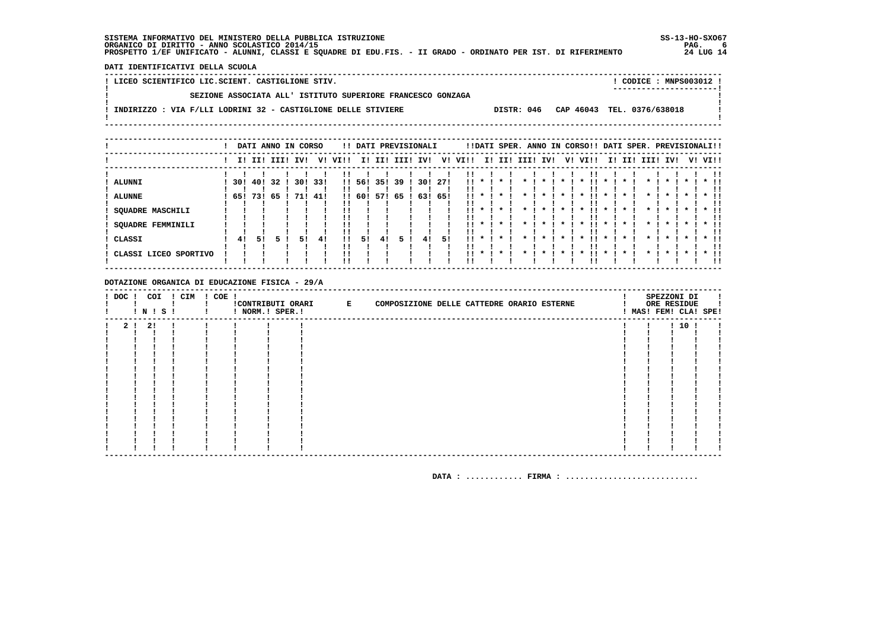SS-13-HO-SX067  $PAG. 6$ <br>24 LUG 14

DATI IDENTIFICATIVI DELLA SCUOLA

| ! LICEO SCIENTIFICO LIC.SCIENT. CASTIGLIONE STIV.             |  | ! CODICE : MNPS003012 !<br>----------------------- |  |
|---------------------------------------------------------------|--|----------------------------------------------------|--|
| SEZIONE ASSOCIATA ALL' ISTITUTO SUPERIORE FRANCESCO GONZAGA   |  |                                                    |  |
| INDIRIZZO : VIA F/LLI LODRINI 32 - CASTIGLIONE DELLE STIVIERE |  | DISTR: 046 CAP 46043 TEL. 0376/638018              |  |
|                                                               |  |                                                    |  |

|                                                               |                |     |            | DATI ANNO IN CORSO |               |              |                  |            |          | !! DATI PREVISIONALI |             |                   |                                              |                                    |      |                    |         | !!DATI SPER. ANNO IN CORSO!! DATI SPER. PREVISIONALI!! |              |     |                    |              |  |                              |
|---------------------------------------------------------------|----------------|-----|------------|--------------------|---------------|--------------|------------------|------------|----------|----------------------|-------------|-------------------|----------------------------------------------|------------------------------------|------|--------------------|---------|--------------------------------------------------------|--------------|-----|--------------------|--------------|--|------------------------------|
|                                                               | I! II! III!    |     |            | IV!                | V!            | VI!!         | II.              | II!        | III!     | IV!                  | V!          | VI!!              | II.                                          | II!                                | IIII | IV!                | V!      | VI!!                                                   | II.          | II! | III! IV!           |              |  | V! VI!!                      |
| ALUNNI<br><b>ALUNNE</b><br><b>SQUADRE MASCHILI</b>            | 30! 40!<br>651 | 731 | -32<br>-65 | 30!<br>71!         | - 33 !<br>41! |              | !! 56!<br>!! 60! | 35!<br>571 | 39<br>65 | 30!<br>63!           | -271<br>65! | !!<br><br>11      |                                              |                                    |      |                    |         |                                                        |              |     |                    |              |  |                              |
| <b>SQUADRE FEMMINILI</b><br>CLASSI<br>! CLASSI LICEO SPORTIVO | 41             | 51  |            | 51.                | 41            | <br>!!<br>!! | 51               | 41         |          | 4!                   | 51          | . .<br>11.<br>. . | $\mathbf{x}$<br>$\mathbf{x}$<br>$\mathbf{x}$ | $\star$<br>$\mathbf{x}$<br>$\cdot$ |      | $\boldsymbol{\pi}$ | $\star$ | . .<br>$\mathbf{x}$<br>$\boldsymbol{\ast}$             | $\mathbf{x}$ |     | $\boldsymbol{\pi}$ | $\mathbf{x}$ |  | $*$ !!<br>!!<br>$*$ !!<br>!! |

DOTAZIONE ORGANICA DI EDUCAZIONE FISICA - 29/A

| $!$ DOC $!$ | COI     | 1 N 1 S 1 | ! CIM | ! COE ! | ! NORM.! SPER.! | !CONTRIBUTI ORARI E | COMPOSIZIONE DELLE CATTEDRE ORARIO ESTERNE |  |  |  | SPEZZONI DI<br>ORE RESIDUE<br>! MAS! FEM! CLA! SPE! |  |
|-------------|---------|-----------|-------|---------|-----------------|---------------------|--------------------------------------------|--|--|--|-----------------------------------------------------|--|
|             | 2 ! 2 ! |           | -1    |         |                 |                     |                                            |  |  |  | 1101                                                |  |
|             |         |           |       |         |                 |                     |                                            |  |  |  |                                                     |  |
|             |         |           |       |         |                 |                     |                                            |  |  |  |                                                     |  |
|             |         |           |       |         |                 |                     |                                            |  |  |  |                                                     |  |
|             |         |           |       |         |                 |                     |                                            |  |  |  |                                                     |  |
|             |         |           |       |         |                 |                     |                                            |  |  |  |                                                     |  |
|             |         |           |       |         |                 |                     |                                            |  |  |  |                                                     |  |
|             |         |           |       |         |                 |                     |                                            |  |  |  |                                                     |  |
|             |         |           |       |         |                 |                     |                                            |  |  |  |                                                     |  |
|             |         |           |       |         |                 |                     |                                            |  |  |  |                                                     |  |
|             |         |           |       |         |                 |                     |                                            |  |  |  |                                                     |  |
|             |         |           |       |         |                 |                     |                                            |  |  |  |                                                     |  |
|             |         |           |       |         |                 |                     |                                            |  |  |  |                                                     |  |
|             |         |           |       |         |                 |                     |                                            |  |  |  |                                                     |  |
|             |         |           |       |         |                 |                     |                                            |  |  |  |                                                     |  |
|             |         |           |       |         |                 |                     |                                            |  |  |  |                                                     |  |
|             |         |           |       |         |                 |                     |                                            |  |  |  |                                                     |  |
|             |         |           |       |         |                 |                     |                                            |  |  |  |                                                     |  |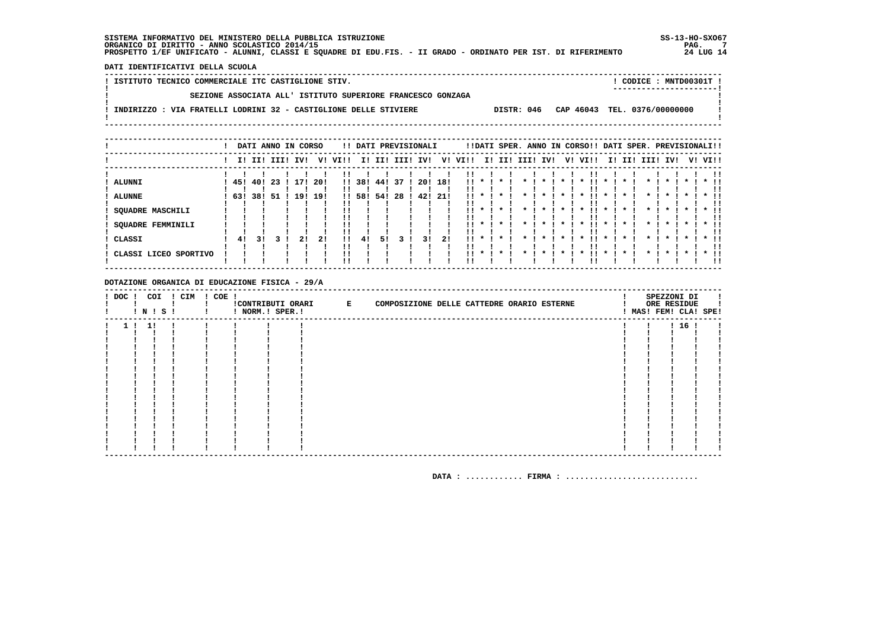SS-13-HO-SX067  $PAG. 7$ <br>24 LUG 14

DATI IDENTIFICATIVI DELLA SCUOLA

| ! ISTITUTO TECNICO COMMERCIALE ITC CASTIGLIONE STIV.                          | CODICE: MNTD00301T !         |
|-------------------------------------------------------------------------------|------------------------------|
| SEZIONE ASSOCIATA ALL' ISTITUTO SUPERIORE FRANCESCO GONZAGA                   |                              |
| INDIRIZZO: VIA FRATELLI LODRINI 32 - CASTIGLIONE DELLE STIVIERE<br>DISTR: 046 | CAP 46043 TEL. 0376/00000000 |
|                                                                               |                              |

|                                                                              |                             |    | DATI ANNO IN CORSO |                  |                  |                  |                     |                    |             | !! DATI PREVISIONALI |           |                                     |                                   |                                                                      | !!DATI SPER. ANNO IN CORSO!! DATI SPER. PREVISIONALI!! |     |                                    |                                                                  |     |     |          |  |         |        |  |
|------------------------------------------------------------------------------|-----------------------------|----|--------------------|------------------|------------------|------------------|---------------------|--------------------|-------------|----------------------|-----------|-------------------------------------|-----------------------------------|----------------------------------------------------------------------|--------------------------------------------------------|-----|------------------------------------|------------------------------------------------------------------|-----|-----|----------|--|---------|--------|--|
|                                                                              |                             |    | I! II! III!        | IV!              | v!               | VI!!             |                     |                    | I! II! III! | IV!                  | V!        | VI!!                                |                                   | I! II!                                                               | III!                                                   | IV! | V!                                 | VI!!                                                             | II. | II! | III! IV! |  | V! VI!! |        |  |
| ! ALUNNI<br>ALUNNE<br>SQUADRE MASCHILI<br><b>SQUADRE FEMMINILI</b><br>CLASSI | 45! 40!<br>63! 38! 51<br>41 | 31 | -23                | 171<br>19!<br>21 | 20!<br>19!<br>21 | $\mathbf{H}$<br> | 38!<br>!! 58!<br>41 | 441<br>54 !<br>51. | -37<br>-28  | 20!<br>42! 21!<br>31 | 18!<br>21 | <br><br><br>$11 \star$<br>!!<br>11. | $\boldsymbol{\pi}$<br>$\mathbf x$ | $\boldsymbol{\ast}$<br>$\star$<br>$\star$<br>$\star$<br>$\mathbf{x}$ |                                                        |     | $\boldsymbol{\pi}$<br>$\mathbf{x}$ | $\star$<br>$\boldsymbol{\ast}$<br>$\star$<br>$\boldsymbol{\ast}$ |     |     |          |  |         |        |  |
| ! CLASSI LICEO SPORTIVO                                                      |                             |    |                    |                  |                  |                  |                     |                    |             |                      |           | !!<br>$11 \star$                    |                                   | $\star$                                                              |                                                        |     |                                    |                                                                  |     |     |          |  |         | $*$ 11 |  |

DOTAZIONE ORGANICA DI EDUCAZIONE FISICA - 29/A

| $!$ DOC $!$ | COI | ! N ! S ! | ! CIM | ! COE ! | ! NORM.! SPER.! | CONTRIBUTI ORARI E | COMPOSIZIONE DELLE CATTEDRE ORARIO ESTERNE |  |  |  | SPEZZONI DI<br>ORE RESIDUE | ! MAS! FEM! CLA! SPE! |
|-------------|-----|-----------|-------|---------|-----------------|--------------------|--------------------------------------------|--|--|--|----------------------------|-----------------------|
|             | 11  |           |       |         |                 |                    |                                            |  |  |  | 1161                       |                       |
|             |     |           |       |         |                 |                    |                                            |  |  |  |                            |                       |
|             |     |           |       |         |                 |                    |                                            |  |  |  |                            |                       |
|             |     |           |       |         |                 |                    |                                            |  |  |  |                            |                       |
|             |     |           |       |         |                 |                    |                                            |  |  |  |                            |                       |
|             |     |           |       |         |                 |                    |                                            |  |  |  |                            |                       |
|             |     |           |       |         |                 |                    |                                            |  |  |  |                            |                       |
|             |     |           |       |         |                 |                    |                                            |  |  |  |                            |                       |
|             |     |           |       |         |                 |                    |                                            |  |  |  |                            |                       |
|             |     |           |       |         |                 |                    |                                            |  |  |  |                            |                       |
|             |     |           |       |         |                 |                    |                                            |  |  |  |                            |                       |
|             |     |           |       |         |                 |                    |                                            |  |  |  |                            |                       |
|             |     |           |       |         |                 |                    |                                            |  |  |  |                            |                       |
|             |     |           |       |         |                 |                    |                                            |  |  |  |                            |                       |
|             |     |           |       |         |                 |                    |                                            |  |  |  |                            |                       |
|             |     |           |       |         |                 |                    |                                            |  |  |  |                            |                       |
|             |     |           |       |         |                 |                    |                                            |  |  |  |                            |                       |
|             |     |           |       |         |                 |                    |                                            |  |  |  |                            |                       |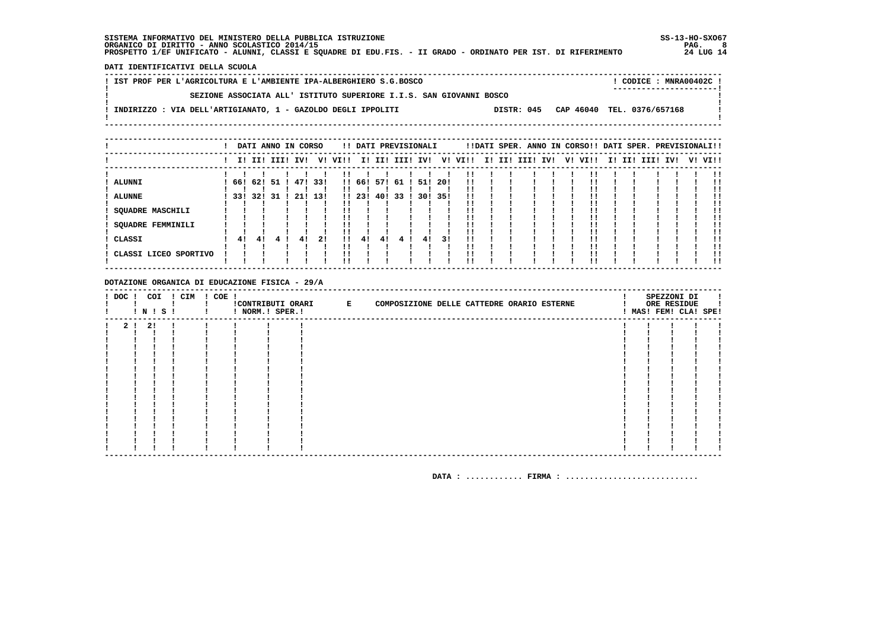SS-13-HO-SX067  $PAG.$  8<br>24 LUG 14

DATI IDENTIFICATIVI DELLA SCUOLA

| ! IST PROF PER L'AGRICOLTURA E L'AMBIENTE IPA-ALBERGHIERO S.G.BOSCO |            | $!$ CODICE : MNRA00402C $!$ |  |
|---------------------------------------------------------------------|------------|-----------------------------|--|
| SEZIONE ASSOCIATA ALL' ISTITUTO SUPERIORE I.I.S. SAN GIOVANNI BOSCO |            | -----------------------     |  |
| INDIRIZZO : VIA DELL'ARTIGIANATO, 1 - GAZOLDO DEGLI IPPOLITI        | DISTR: 045 | CAP 46040 TEL. 0376/657168  |  |
|                                                                     |            |                             |  |

|                             |     |          |      | DATI ANNO IN CORSO |     |              |        |     |      | !! DATI PREVISIONALI |      |      |  |                 |    | !!DATI SPER. ANNO IN CORSO!! DATI SPER. PREVISIONALI!! |  |                 |  |         |
|-----------------------------|-----|----------|------|--------------------|-----|--------------|--------|-----|------|----------------------|------|------|--|-----------------|----|--------------------------------------------------------|--|-----------------|--|---------|
|                             |     |          |      | I! II! III! IV!    |     | V! VI!!      | II.    |     |      | II! III! IV!         | V!   | VI!! |  | I! II! III! IV! | V! | VI!!                                                   |  | I! II! III! IV! |  | V! VI!! |
| ALUNNI                      | 66! | 62! 51 ! |      | 47! 33!            |     |              | !! 66! | 571 | 61 ! | 51!                  | -20! | !!   |  |                 |    |                                                        |  |                 |  |         |
| <b>ALUNNE</b>               | 331 | 32!      | 31 ! | -21!               | 13! |              | 11231  | 40! | 33   | 30!                  | 35!  | !!   |  |                 |    |                                                        |  |                 |  |         |
| SQUADRE MASCHILI            |     |          |      |                    |     |              |        |     |      |                      |      |      |  |                 |    |                                                        |  |                 |  |         |
| SQUADRE FEMMINILI<br>CLASSI | 4!  | 41       |      | 41                 | 21  | $\mathbf{H}$ | 4!     | 41  | 4    | 41                   | 31   |      |  |                 |    |                                                        |  |                 |  |         |
| CLASSI LICEO SPORTIVO       |     |          |      |                    |     | !!           |        |     |      |                      |      |      |  |                 |    |                                                        |  |                 |  | !!      |
|                             |     |          |      |                    |     |              |        |     |      |                      |      |      |  |                 |    |                                                        |  |                 |  |         |

DOTAZIONE ORGANICA DI EDUCAZIONE FISICA - 29/A

| ! DOC ! COI | $'$ N $'$ S $'$ | ! CIM | ! COE ! | ! NORM.! SPER.! | !CONTRIBUTI ORARI E | COMPOSIZIONE DELLE CATTEDRE ORARIO ESTERNE |  | SPEZZONI DI<br>ORE RESIDUE<br>! MAS! FEM! CLA! SPE! |  |
|-------------|-----------------|-------|---------|-----------------|---------------------|--------------------------------------------|--|-----------------------------------------------------|--|
|             | 2 ! 2 !         |       |         |                 |                     |                                            |  |                                                     |  |
|             |                 |       |         |                 |                     |                                            |  |                                                     |  |
|             |                 |       |         |                 |                     |                                            |  |                                                     |  |
|             |                 |       |         |                 |                     |                                            |  |                                                     |  |
|             |                 |       |         |                 |                     |                                            |  |                                                     |  |
|             |                 |       |         |                 |                     |                                            |  |                                                     |  |
|             |                 |       |         |                 |                     |                                            |  |                                                     |  |
|             |                 |       |         |                 |                     |                                            |  |                                                     |  |
|             |                 |       |         |                 |                     |                                            |  |                                                     |  |
|             |                 |       |         |                 |                     |                                            |  |                                                     |  |
|             |                 |       |         |                 |                     |                                            |  |                                                     |  |
|             |                 |       |         |                 |                     |                                            |  |                                                     |  |
|             |                 |       |         |                 |                     |                                            |  |                                                     |  |
|             |                 |       |         |                 |                     |                                            |  |                                                     |  |
|             |                 |       |         |                 |                     |                                            |  |                                                     |  |
|             |                 |       |         |                 |                     |                                            |  |                                                     |  |
|             |                 |       |         |                 |                     |                                            |  |                                                     |  |
|             |                 |       |         |                 |                     |                                            |  |                                                     |  |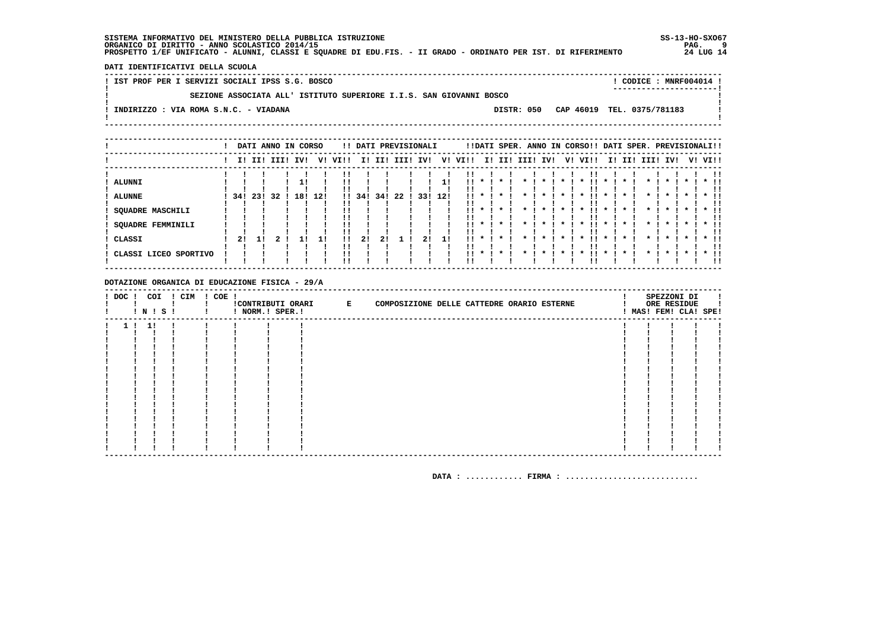SS-13-HO-SX067 PAG. 9 24 LUG 14

DATI IDENTIFICATIVI DELLA SCUOLA

! IST PROF PER I SERVIZI SOCIALI IPSS S.G. BOSCO ! CODICE : MNRF004014 !  $\mathbf{I}$ SEZIONE ASSOCIATA ALL' ISTITUTO SUPERIORE I.I.S. SAN GIOVANNI BOSCO  $\blacksquare$  $\overline{\phantom{a}}$  $\mathbf{I}$ -: INDIRIZZO : VIA ROMA S.N.C. - VIADANA DISTR: 050 CAP 46019 TEL. 0375/781183 **Contract Contract**  $\mathbf{I}$  $\mathbf{I}$ 

|                                                                         |     |     |             | DATI ANNO IN CORSO |     |              |     |     | !! DATI PREVISIONALI |     |     |            |              |         |      |                     |    | !!DATI SPER. ANNO IN CORSO!! DATI SPER. PREVISIONALI!! |                    |     |      |              |                    |         |                                    |
|-------------------------------------------------------------------------|-----|-----|-------------|--------------------|-----|--------------|-----|-----|----------------------|-----|-----|------------|--------------|---------|------|---------------------|----|--------------------------------------------------------|--------------------|-----|------|--------------|--------------------|---------|------------------------------------|
|                                                                         |     |     | I! II! III! | IV!                | V!  | VI!!         | ΙI  | II! | III!                 | IV! | V!  | VI!!       | II.          | III     | III! | IV!                 | V! | VI!!                                                   | II.                | II! | III! | IV!          |                    | V! VI!! |                                    |
| <b>ALUNNI</b><br><b>ALUNNE</b><br>SQUADRE MASCHILI<br>SQUADRE FEMMINILI | 34! | 23! | 32          | 18!                | 12! | $\mathbf{1}$ | 34! | 34! | 22                   | 33! | 12! | . .<br>    | $\mathbf{r}$ | $\cdot$ |      | $\boldsymbol{\ast}$ |    | !!<br>$\boldsymbol{\pi}$                               | $\boldsymbol{\pi}$ |     |      | $\mathbf{x}$ | $\boldsymbol{\pi}$ |         | $*$ !!                             |
| CLASSI<br>CLASSI LICEO SPORTIVO                                         | 2!  |     |             |                    |     | !!<br>!!     | 21  | 21  |                      |     |     | . .<br>. . | $\cdot$      | $\cdot$ |      |                     |    |                                                        |                    |     |      |              |                    |         | !!<br>$*$ !!<br>!!<br>$*$ 11<br>!! |

DOTAZIONE ORGANICA DI EDUCAZIONE FISICA - 29/A

| ! DOC ! COI | ! N ! S ! | ! CIM | ! COE ! | ! NORM.! SPER.! | !CONTRIBUTI ORARI E | COMPOSIZIONE DELLE CATTEDRE ORARIO ESTERNE |  |  |  | SPEZZONI DI<br>ORE RESIDUE<br>! MAS! FEM! CLA! SPE! |  |
|-------------|-----------|-------|---------|-----------------|---------------------|--------------------------------------------|--|--|--|-----------------------------------------------------|--|
|             | 1!1!      |       |         |                 |                     |                                            |  |  |  |                                                     |  |
|             |           |       |         |                 |                     |                                            |  |  |  |                                                     |  |
|             |           |       |         |                 |                     |                                            |  |  |  |                                                     |  |
|             |           |       |         |                 |                     |                                            |  |  |  |                                                     |  |
|             |           |       |         |                 |                     |                                            |  |  |  |                                                     |  |
|             |           |       |         |                 |                     |                                            |  |  |  |                                                     |  |
|             |           |       |         |                 |                     |                                            |  |  |  |                                                     |  |
|             |           |       |         |                 |                     |                                            |  |  |  |                                                     |  |
|             |           |       |         |                 |                     |                                            |  |  |  |                                                     |  |
|             |           |       |         |                 |                     |                                            |  |  |  |                                                     |  |
|             |           |       |         |                 |                     |                                            |  |  |  |                                                     |  |
|             |           |       |         |                 |                     |                                            |  |  |  |                                                     |  |
|             |           |       |         |                 |                     |                                            |  |  |  |                                                     |  |
|             |           |       |         |                 |                     |                                            |  |  |  |                                                     |  |
|             |           |       |         |                 |                     |                                            |  |  |  |                                                     |  |
|             |           |       |         |                 |                     |                                            |  |  |  |                                                     |  |
|             |           |       |         |                 |                     |                                            |  |  |  |                                                     |  |
|             |           |       |         |                 |                     |                                            |  |  |  |                                                     |  |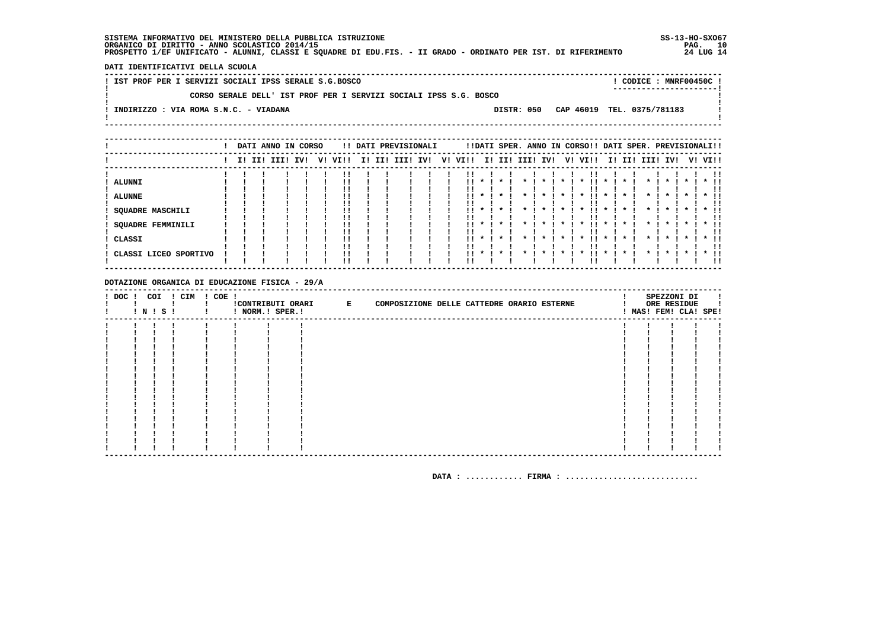SS-13-HO-SX067 PAG. 10<br>24 LUG 14

DATI IDENTIFICATIVI DELLA SCUOLA

|  | ! IST PROF PER I SERVIZI SOCIALI IPSS SERALE S.G.BOSCO            | CODICE: MNRF00450C!        |
|--|-------------------------------------------------------------------|----------------------------|
|  |                                                                   | ----------------------     |
|  | CORSO SERALE DELL' IST PROF PER I SERVIZI SOCIALI IPSS S.G. BOSCO |                            |
|  |                                                                   |                            |
|  | DISTR: 050<br>INDIRIZZO : VIA ROMA S.N.C. - VIADANA               | CAP 46019 TEL. 0375/781183 |
|  |                                                                   |                            |
|  |                                                                   |                            |
|  |                                                                   |                            |

|                                                                                   |  | DATI ANNO IN CORSO |     |    |      |    |     | !! DATI PREVISIONALI |     |    |                                 |              |                         |          |                    |           | !!DATI SPER. ANNO IN CORSO!! DATI SPER. PREVISIONALI!! |             |                    |                 |                                                      |              |         |                            |
|-----------------------------------------------------------------------------------|--|--------------------|-----|----|------|----|-----|----------------------|-----|----|---------------------------------|--------------|-------------------------|----------|--------------------|-----------|--------------------------------------------------------|-------------|--------------------|-----------------|------------------------------------------------------|--------------|---------|----------------------------|
|                                                                                   |  | I! II! III!        | IVI | V! | VI!! | I! | III | IIII                 | IV! | V! | VI!!                            |              | I! II!                  | III! IV! |                    | V!        | VI!!                                                   |             |                    | I! II! III! IV! |                                                      |              | V! VI!! |                            |
| ALUNNI<br><b>ALUNNE</b><br>SQUADRE MASCHILI<br><b>SQUADRE FEMMINILI</b><br>CLASSI |  |                    |     |    |      |    |     |                      |     |    | !!<br>''<br>!!<br>$11 *$<br>. . | $\mathbf{x}$ | $\star$<br>$\mathbf{x}$ |          | $\boldsymbol{\pi}$ | $\star$ I | $\boldsymbol{\ast}$<br><br>$\cdot$<br>$\mathbf{x}$     | $\mathbf x$ | $\boldsymbol{\pi}$ | $\star$         | $\boldsymbol{\ast}$<br>$\star$<br>$\boldsymbol{\pi}$ | $\mathbf{r}$ |         | $\star$ 11<br>$*$ !!<br>!! |
| CLASSI LICEO SPORTIVO                                                             |  |                    |     |    | !!   |    |     |                      |     |    | 11                              | $\mathbf{x}$ | $\cdot$                 |          |                    |           | $\boldsymbol{\ast}$                                    |             |                    |                 | $\cdot$                                              |              |         | $*$ 11<br>!!               |

DOTAZIONE ORGANICA DI EDUCAZIONE FISICA - 29/A

| $!$ DOC $!$ | COI | $!$ N $!$ S $!$ | ! CIM | ! COE ! | ! NORM.! SPER.! | !CONTRIBUTI ORARI E | COMPOSIZIONE DELLE CATTEDRE ORARIO ESTERNE |  |  |  | SPEZZONI DI<br>ORE RESIDUE<br>! MAS! FEM! CLA! SPE! |  |
|-------------|-----|-----------------|-------|---------|-----------------|---------------------|--------------------------------------------|--|--|--|-----------------------------------------------------|--|
|             |     |                 |       |         |                 |                     |                                            |  |  |  |                                                     |  |
|             |     |                 |       |         |                 |                     |                                            |  |  |  |                                                     |  |
|             |     |                 |       |         |                 |                     |                                            |  |  |  |                                                     |  |
|             |     |                 |       |         |                 |                     |                                            |  |  |  |                                                     |  |
|             |     |                 |       |         |                 |                     |                                            |  |  |  |                                                     |  |
|             |     |                 |       |         |                 |                     |                                            |  |  |  |                                                     |  |
|             |     |                 |       |         |                 |                     |                                            |  |  |  |                                                     |  |
|             |     |                 |       |         |                 |                     |                                            |  |  |  |                                                     |  |
|             |     |                 |       |         |                 |                     |                                            |  |  |  |                                                     |  |
|             |     |                 |       |         |                 |                     |                                            |  |  |  |                                                     |  |
|             |     |                 |       |         |                 |                     |                                            |  |  |  |                                                     |  |
|             |     |                 |       |         |                 |                     |                                            |  |  |  |                                                     |  |
|             |     |                 |       |         |                 |                     |                                            |  |  |  |                                                     |  |
|             |     |                 |       |         |                 |                     |                                            |  |  |  |                                                     |  |
|             |     |                 |       |         |                 |                     |                                            |  |  |  |                                                     |  |
|             |     |                 |       |         |                 |                     |                                            |  |  |  |                                                     |  |
|             |     |                 |       |         |                 |                     |                                            |  |  |  |                                                     |  |
|             |     |                 |       |         |                 |                     |                                            |  |  |  |                                                     |  |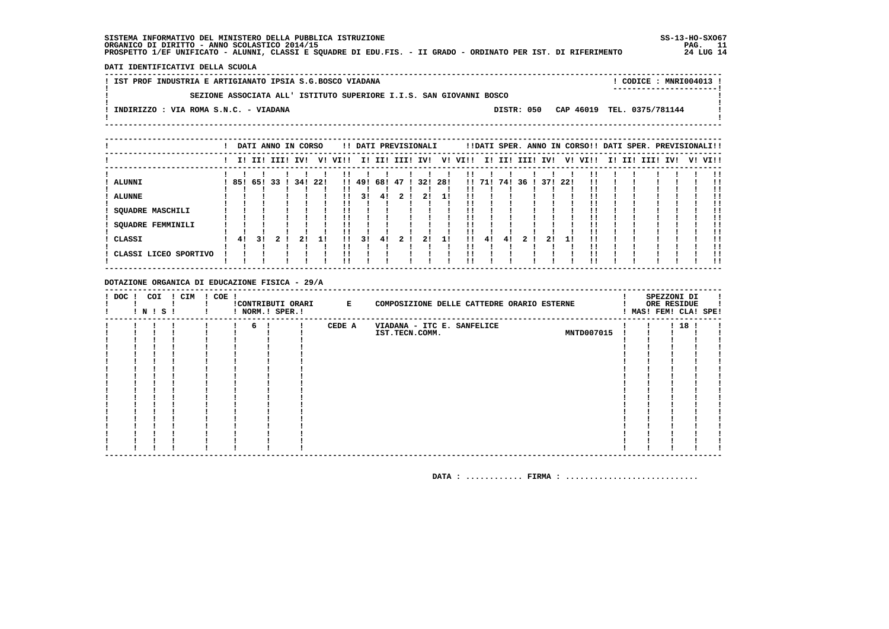DATI IDENTIFICATIVI DELLA SCUOLA

| ! IST PROF INDUSTRIA E ARTIGIANATO IPSIA S.G.BOSCO VIADANA          |                                       |  | CODICE: MNRI004013 ! |
|---------------------------------------------------------------------|---------------------------------------|--|----------------------|
| SEZIONE ASSOCIATA ALL' ISTITUTO SUPERIORE I.I.S. SAN GIOVANNI BOSCO |                                       |  |                      |
| INDIRIZZO : VIA ROMA S.N.C. - VIADANA                               | DISTR: 050 CAP 46019 TEL. 0375/781144 |  |                      |
|                                                                     |                                       |  |                      |

|                             |    |            |                 | DATI ANNO IN CORSO |         |        |     | !! DATI PREVISIONALI |     |     |         |        |     |                 |         | !!DATI SPER. ANNO IN CORSO!! DATI SPER. PREVISIONALI!! |  |                         |  |    |
|-----------------------------|----|------------|-----------------|--------------------|---------|--------|-----|----------------------|-----|-----|---------|--------|-----|-----------------|---------|--------------------------------------------------------|--|-------------------------|--|----|
|                             |    |            | I! II! III! IV! |                    | V! VI!! |        |     | I! II! III! IV!      |     |     | V! VI!! |        |     | I! II! III! IV! |         | V! VI!!                                                |  | I! II! III! IV! V! VI!! |  |    |
| <b>ALUNNI</b>               |    | 85! 65! 33 |                 | 34! 22!            |         | !! 49! | 68! | 471                  | 32! | 28! |         | !! 71! | 741 | 36              | 37! 22! |                                                        |  |                         |  |    |
| <b>ALUNNE</b>               |    |            |                 |                    | !!      | 31     | 41  |                      | 21  |     |         |        |     |                 |         |                                                        |  |                         |  |    |
| SQUADRE MASCHILI            |    |            |                 |                    |         |        |     |                      |     |     |         |        |     |                 |         |                                                        |  |                         |  |    |
| SQUADRE FEMMINILI<br>CLASSI | 41 | 31         |                 | 21<br>11           | 11      | 31     | 41  | 21                   | 21  | 11  | 11      | 41     | 41  |                 | 21      |                                                        |  |                         |  |    |
| CLASSI LICEO SPORTIVO       |    |            |                 |                    |         |        |     |                      |     |     |         |        |     |                 |         |                                                        |  |                         |  | !! |

DOTAZIONE ORGANICA DI EDUCAZIONE FISICA - 29/A

| $. \, \, \mathrm{DOC}$ | ! N ! S ! | COI | ! CIM | $! COE$ ! |   | !CONTRIBUTI ORARI<br>! NORM.! SPER.! | $\mathbf{E}$ | COMPOSIZIONE DELLE CATTEDRE ORARIO ESTERNE |  | SPEZZONI DI<br>ORE RESIDUE<br>MAS! FEM! CLA! SPE! |  |
|------------------------|-----------|-----|-------|-----------|---|--------------------------------------|--------------|--------------------------------------------|--|---------------------------------------------------|--|
|                        |           |     |       |           | 6 |                                      | CEDE A       | VIADANA - ITC E. SANFELICE                 |  | ! 18 !                                            |  |
|                        |           |     |       |           |   |                                      |              | <b>MNTD007015</b><br>IST.TECN.COMM.        |  |                                                   |  |
|                        |           |     |       |           |   |                                      |              |                                            |  |                                                   |  |
|                        |           |     |       |           |   |                                      |              |                                            |  |                                                   |  |
|                        |           |     |       |           |   |                                      |              |                                            |  |                                                   |  |
|                        |           |     |       |           |   |                                      |              |                                            |  |                                                   |  |
|                        |           |     |       |           |   |                                      |              |                                            |  |                                                   |  |
|                        |           |     |       |           |   |                                      |              |                                            |  |                                                   |  |
|                        |           |     |       |           |   |                                      |              |                                            |  |                                                   |  |
|                        |           |     |       |           |   |                                      |              |                                            |  |                                                   |  |
|                        |           |     |       |           |   |                                      |              |                                            |  |                                                   |  |
|                        |           |     |       |           |   |                                      |              |                                            |  |                                                   |  |
|                        |           |     |       |           |   |                                      |              |                                            |  |                                                   |  |
|                        |           |     |       |           |   |                                      |              |                                            |  |                                                   |  |
|                        |           |     |       |           |   |                                      |              |                                            |  |                                                   |  |
|                        |           |     |       |           |   |                                      |              |                                            |  |                                                   |  |
|                        |           |     |       |           |   |                                      |              |                                            |  |                                                   |  |
|                        |           |     |       |           |   |                                      |              |                                            |  |                                                   |  |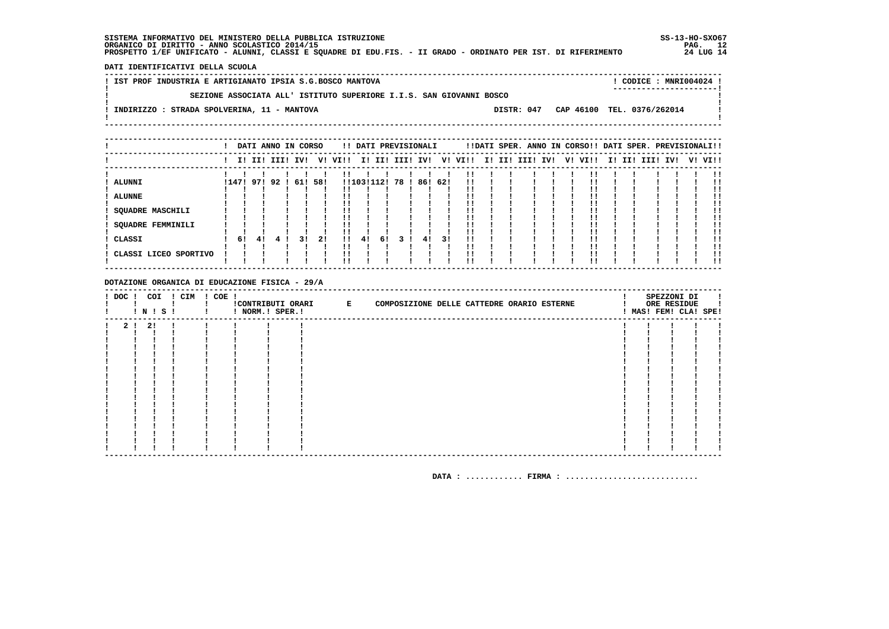SS-13-HO-SXO67<br>PAG. 12<br>24 LUG 14

DATI IDENTIFICATIVI DELLA SCUOLA

| ! IST PROF INDUSTRIA E ARTIGIANATO IPSIA S.G.BOSCO MANTOVA                                                         |            | CODICE: MNRI004024 !<br>----------------------- |  |
|--------------------------------------------------------------------------------------------------------------------|------------|-------------------------------------------------|--|
| SEZIONE ASSOCIATA ALL' ISTITUTO SUPERIORE I.I.S. SAN GIOVANNI BOSCO<br>INDIRIZZO : STRADA SPOLVERINA, 11 - MANTOVA | DISTR: 047 | CAP 46100 TEL. 0376/262014                      |  |
|                                                                                                                    |            |                                                 |  |

|                                       |    |               |   | DATI ANNO IN CORSO |    |              |            |    |              | !! DATI PREVISIONALI |     |      |  |                 |  | !!DATI SPER. ANNO IN CORSO!! DATI SPER. PREVISIONALI!! |  |                 |  |         |
|---------------------------------------|----|---------------|---|--------------------|----|--------------|------------|----|--------------|----------------------|-----|------|--|-----------------|--|--------------------------------------------------------|--|-----------------|--|---------|
|                                       |    |               |   | I! II! III! IV!    |    | V! VI!!      | II.        |    | II! III! IV! |                      | V!  | VI!! |  | I! II! III! IV! |  | V! VI!!                                                |  | I! II! III! IV! |  | V! VI!! |
| ALUNNI                                |    | !147! 97! 92! |   | 61! 58!            |    |              | !!103!112! |    | 78           | 86!                  | 62! | !!   |  |                 |  |                                                        |  |                 |  |         |
| <b>ALUNNE</b>                         |    |               |   |                    |    |              |            |    |              |                      |     |      |  |                 |  |                                                        |  |                 |  |         |
| SQUADRE MASCHILI<br>SQUADRE FEMMINILI |    |               |   |                    |    |              |            |    |              |                      |     |      |  |                 |  |                                                        |  |                 |  |         |
| CLASSI                                | 6! | 41            | 4 | 31                 | 2! | $\mathbf{H}$ | 41         | 61 |              | 41                   | 31  |      |  |                 |  |                                                        |  |                 |  |         |
| CLASSI LICEO SPORTIVO                 |    |               |   |                    |    | !!           |            |    |              |                      |     |      |  |                 |  |                                                        |  |                 |  | !!      |

DOTAZIONE ORGANICA DI EDUCAZIONE FISICA - 29/A

| ! DOC ! COI | ! N ! S ! | ! CIM | ! COE ! | ! NORM.! SPER.! | CONTRIBUTI ORARI E | COMPOSIZIONE DELLE CATTEDRE ORARIO ESTERNE |  |  |  | SPEZZONI DI<br>ORE RESIDUE<br>! MAS! FEM! CLA! SPE! |  |
|-------------|-----------|-------|---------|-----------------|--------------------|--------------------------------------------|--|--|--|-----------------------------------------------------|--|
|             | 2 ! 2 !   |       |         |                 |                    |                                            |  |  |  |                                                     |  |
|             |           |       |         |                 |                    |                                            |  |  |  |                                                     |  |
|             |           |       |         |                 |                    |                                            |  |  |  |                                                     |  |
|             |           |       |         |                 |                    |                                            |  |  |  |                                                     |  |
|             |           |       |         |                 |                    |                                            |  |  |  |                                                     |  |
|             |           |       |         |                 |                    |                                            |  |  |  |                                                     |  |
|             |           |       |         |                 |                    |                                            |  |  |  |                                                     |  |
|             |           |       |         |                 |                    |                                            |  |  |  |                                                     |  |
|             |           |       |         |                 |                    |                                            |  |  |  |                                                     |  |
|             |           |       |         |                 |                    |                                            |  |  |  |                                                     |  |
|             |           |       |         |                 |                    |                                            |  |  |  |                                                     |  |
|             |           |       |         |                 |                    |                                            |  |  |  |                                                     |  |
|             |           |       |         |                 |                    |                                            |  |  |  |                                                     |  |
|             |           |       |         |                 |                    |                                            |  |  |  |                                                     |  |
|             |           |       |         |                 |                    |                                            |  |  |  |                                                     |  |
|             |           |       |         |                 |                    |                                            |  |  |  |                                                     |  |
|             |           |       |         |                 |                    |                                            |  |  |  |                                                     |  |
|             |           |       |         |                 |                    |                                            |  |  |  |                                                     |  |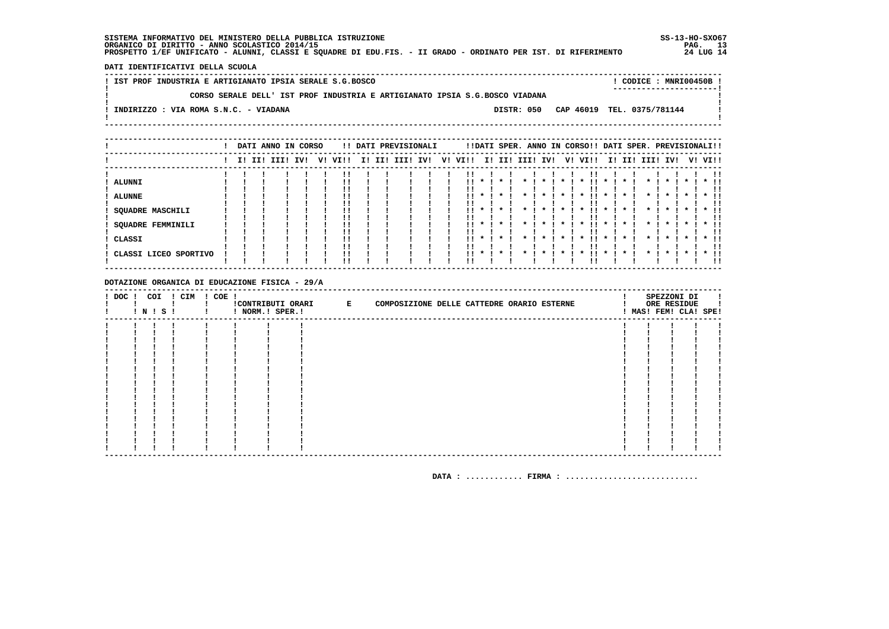SS-13-HO-SX067 PAG. 13<br>24 LUG 14

DATI IDENTIFICATIVI DELLA SCUOLA

|  | ! IST PROF INDUSTRIA E ARTIGIANATO IPSIA SERALE S.G.BOSCO |  |                                                                             |                            | CODICE: MNRI00450B!<br>--------------------- |  |
|--|-----------------------------------------------------------|--|-----------------------------------------------------------------------------|----------------------------|----------------------------------------------|--|
|  |                                                           |  | CORSO SERALE DELL' IST PROF INDUSTRIA E ARTIGIANATO IPSIA S.G.BOSCO VIADANA |                            |                                              |  |
|  | INDIRIZZO : VIA ROMA S.N.C. - VIADANA                     |  | DISTR: 050                                                                  | CAP 46019 TEL. 0375/781144 |                                              |  |
|  |                                                           |  |                                                                             |                            |                                              |  |

|                                                                                         |  |             | DATI ANNO IN CORSO |         |        | !! DATI PREVISIONALI |     |    |         |                         |                         |      |                     |                    | !!DATI SPER. ANNO IN CORSO!! DATI SPER. PREVISIONALI!! |                     |                    |      |     |  |                         |
|-----------------------------------------------------------------------------------------|--|-------------|--------------------|---------|--------|----------------------|-----|----|---------|-------------------------|-------------------------|------|---------------------|--------------------|--------------------------------------------------------|---------------------|--------------------|------|-----|--|-------------------------|
|                                                                                         |  | I! II! III! | IV!                | V! VI!! | I! II! | III!                 | IV! | V! | VI!!    |                         | I! II!                  | III! | IV!                 | V!                 | VIII                                                   |                     | I! II!             | III! | IV! |  | V! VI!!                 |
| ! ALUNNI<br>! ALUNNE<br><b>SQUADRE MASCHILI</b><br><b>SQUADRE FEMMINILI</b><br>! CLASSI |  |             |                    |         |        |                      |     |    | <br>. . | $\mathbf{x}$<br>$\cdot$ | $\mathbf{x}$<br>$\star$ |      | $\boldsymbol{\ast}$ |                    | .,<br>$\boldsymbol{\ast}$<br>. .                       | $\boldsymbol{\ast}$ |                    |      |     |  | $*$ !!<br>. .<br>$*$ 11 |
| ! CLASSI LICEO SPORTIVO                                                                 |  |             |                    |         |        |                      |     |    | . .     | $\star$ 1               | $\cdot$                 |      | $\boldsymbol{\pi}$  | $\boldsymbol{\pi}$ | . .                                                    | $\boldsymbol{\ast}$ | $\boldsymbol{\pi}$ |      |     |  | . .<br>$*$ 11<br>!!     |

DOTAZIONE ORGANICA DI EDUCAZIONE FISICA - 29/A

| $!$ DOC $!$ | COI<br>! N ! S ! | ! CIM | $! COE$ ! | ! NORM.! SPER.! | !CONTRIBUTI ORARI E | COMPOSIZIONE DELLE CATTEDRE ORARIO ESTERNE |  |  |  | SPEZZONI DI<br>ORE RESIDUE<br>! MAS! FEM! CLA! SPE! |  |
|-------------|------------------|-------|-----------|-----------------|---------------------|--------------------------------------------|--|--|--|-----------------------------------------------------|--|
|             |                  |       |           |                 |                     |                                            |  |  |  |                                                     |  |
|             |                  |       |           |                 |                     |                                            |  |  |  |                                                     |  |
|             |                  |       |           |                 |                     |                                            |  |  |  |                                                     |  |
|             |                  |       |           |                 |                     |                                            |  |  |  |                                                     |  |
|             |                  |       |           |                 |                     |                                            |  |  |  |                                                     |  |
|             |                  |       |           |                 |                     |                                            |  |  |  |                                                     |  |
|             |                  |       |           |                 |                     |                                            |  |  |  |                                                     |  |
|             |                  |       |           |                 |                     |                                            |  |  |  |                                                     |  |
|             |                  |       |           |                 |                     |                                            |  |  |  |                                                     |  |
|             |                  |       |           |                 |                     |                                            |  |  |  |                                                     |  |
|             |                  |       |           |                 |                     |                                            |  |  |  |                                                     |  |
|             |                  |       |           |                 |                     |                                            |  |  |  |                                                     |  |
|             |                  |       |           |                 |                     |                                            |  |  |  |                                                     |  |
|             |                  |       |           |                 |                     |                                            |  |  |  |                                                     |  |
|             |                  |       |           |                 |                     |                                            |  |  |  |                                                     |  |
|             |                  |       |           |                 |                     |                                            |  |  |  |                                                     |  |
|             |                  |       |           |                 |                     |                                            |  |  |  |                                                     |  |
|             |                  |       |           |                 |                     |                                            |  |  |  |                                                     |  |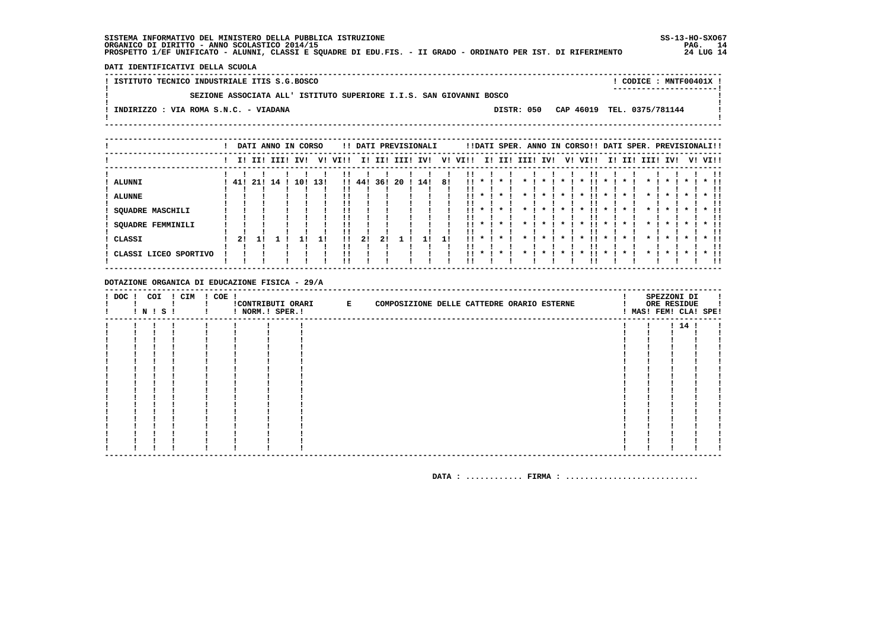DATI IDENTIFICATIVI DELLA SCUOLA

! ISTITUTO TECNICO INDUSTRIALE ITIS S.G.BOSCO ! CODICE : MNTF00401X !  $\mathbf{I}$ SEZIONE ASSOCIATA ALL' ISTITUTO SUPERIORE I.I.S. SAN GIOVANNI BOSCO  $\mathbf{I}$ - 1  $\mathbf{I}$ -: INDIRIZZO : VIA ROMA S.N.C. - VIADANA DISTR: 050 CAP 46019 TEL. 0375/781144  $\sim$  1.  $\mathbf{I}$  $\mathbf{I}$ 

|                       |     |             |    | DATI ANNO IN CORSO |     |      |       |     |      | !! DATI PREVISIONALI |    |      |              |             |      |                     |    | !!DATI SPER. ANNO IN CORSO!! DATI SPER. PREVISIONALI!! |                    |                 |                    |                    |         |                  |
|-----------------------|-----|-------------|----|--------------------|-----|------|-------|-----|------|----------------------|----|------|--------------|-------------|------|---------------------|----|--------------------------------------------------------|--------------------|-----------------|--------------------|--------------------|---------|------------------|
|                       |     | I! II! III! |    | IV!                | V!  | VI!! | II.   | II! | III! | IV!                  | V! | VI!! |              | I! II!      | IIII | IV!                 | V! | VIII                                                   |                    | I! II! III! IV! |                    |                    | V! VI!! |                  |
| <b>ALUNNI</b>         | 41! | 21!         | 14 | 10!                | 13! |      | 1!44! | 36! | 20   | 14!                  | 8! |      |              |             |      |                     |    |                                                        |                    |                 |                    |                    |         |                  |
| <b>ALUNNE</b>         |     |             |    |                    |     |      |       |     |      |                      |    |      |              |             |      |                     |    |                                                        |                    |                 |                    |                    |         |                  |
| SQUADRE MASCHILI      |     |             |    |                    |     |      |       |     |      |                      |    |      |              |             |      |                     |    |                                                        |                    |                 |                    |                    |         |                  |
| SQUADRE FEMMINILI     |     |             |    |                    |     |      |       |     |      |                      |    | 11.  | $\mathbf{x}$ | $\mathbf x$ |      | $\boldsymbol{\ast}$ |    | !!<br>$\boldsymbol{\pi}$                               | $\boldsymbol{\pi}$ |                 | $\boldsymbol{\pi}$ | $\boldsymbol{\pi}$ |         | $\star$ 11<br>!! |
| CLASSI                | 2!  |             |    |                    |     | !!   | 21    | 21  |      |                      |    | . .  |              |             |      |                     |    | $\boldsymbol{\ast}$                                    |                    |                 |                    |                    |         | $*$ 11<br>ΙI     |
| CLASSI LICEO SPORTIVO |     |             |    |                    |     | !!   |       |     |      |                      |    |      | $11 * 1$     | $\cdot$     |      |                     |    | $\boldsymbol{\ast}$                                    | $\boldsymbol{\pi}$ | $\cdot$         | $\cdot$            |                    |         | $*$ 11<br>!!     |

DOTAZIONE ORGANICA DI EDUCAZIONE FISICA - 29/A

| $!$ DOC $!$ | COI<br>I N I S I | ! CIM | $! COE$ ! | ! NORM.! SPER.! | !CONTRIBUTI ORARI E | COMPOSIZIONE DELLE CATTEDRE ORARIO ESTERNE |  |  | SPEZZONI DI<br>ORE RESIDUE | ! MAS! FEM! CLA! SPE! |
|-------------|------------------|-------|-----------|-----------------|---------------------|--------------------------------------------|--|--|----------------------------|-----------------------|
|             |                  |       |           |                 |                     |                                            |  |  | ! 14!                      |                       |
|             |                  |       |           |                 |                     |                                            |  |  |                            |                       |
|             |                  |       |           |                 |                     |                                            |  |  |                            |                       |
|             |                  |       |           |                 |                     |                                            |  |  |                            |                       |
|             |                  |       |           |                 |                     |                                            |  |  |                            |                       |
|             |                  |       |           |                 |                     |                                            |  |  |                            |                       |
|             |                  |       |           |                 |                     |                                            |  |  |                            |                       |
|             |                  |       |           |                 |                     |                                            |  |  |                            |                       |
|             |                  |       |           |                 |                     |                                            |  |  |                            |                       |
|             |                  |       |           |                 |                     |                                            |  |  |                            |                       |
|             |                  |       |           |                 |                     |                                            |  |  |                            |                       |
|             |                  |       |           |                 |                     |                                            |  |  |                            |                       |
|             |                  |       |           |                 |                     |                                            |  |  |                            |                       |
|             |                  |       |           |                 |                     |                                            |  |  |                            |                       |
|             |                  |       |           |                 |                     |                                            |  |  |                            |                       |
|             |                  |       |           |                 |                     |                                            |  |  |                            |                       |
|             |                  |       |           |                 |                     |                                            |  |  |                            |                       |
|             |                  |       |           |                 |                     |                                            |  |  |                            |                       |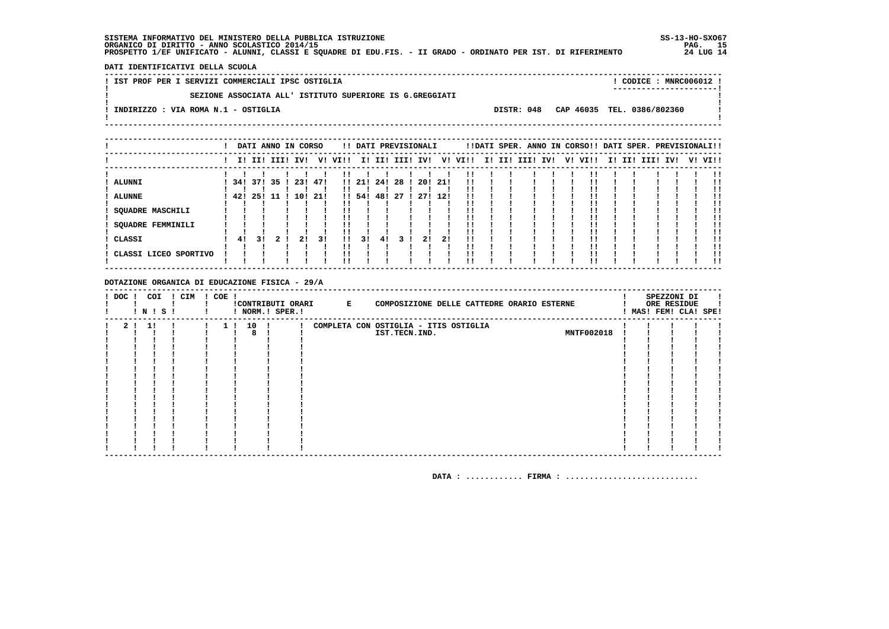SS-13-HO-SX067 PAG. 15<br>24 LUG 14

DATI IDENTIFICATIVI DELLA SCUOLA

|  | ! IST PROF PER I SERVIZI COMMERCIALI IPSC OSTIGLIA       |  | CODICE: MNRC006012!<br>----------------------- |  |
|--|----------------------------------------------------------|--|------------------------------------------------|--|
|  | SEZIONE ASSOCIATA ALL' ISTITUTO SUPERIORE IS G.GREGGIATI |  |                                                |  |
|  | INDIRIZZO : VIA ROMA N.1 - OSTIGLIA                      |  | DISTR: 048 CAP 46035 TEL. 0386/802360          |  |
|  |                                                          |  |                                                |  |

|                                      |                     |     |             | DATI ANNO IN CORSO |             |         |                 |            | !! DATI PREVISIONALI |            |             |          |  |             |     |    | !!DATI SPER. ANNO IN CORSO!! DATI SPER. PREVISIONALI!! |     |              |  |         |
|--------------------------------------|---------------------|-----|-------------|--------------------|-------------|---------|-----------------|------------|----------------------|------------|-------------|----------|--|-------------|-----|----|--------------------------------------------------------|-----|--------------|--|---------|
|                                      |                     |     | I! II! III! | IV!                |             | V! VI!! |                 |            | I! II! III! IV!      |            |             | V! VI!!  |  | I! II! III! | IV! | V! | VI!!                                                   | II. | II! III! IV! |  | V! VI!! |
| ! ALUNNI<br><b>ALUNNE</b>            | 34! 37! 35 !<br>42! | 25! | -11         | 23!<br>10!         | 47!<br>-21! |         | 1!21!<br>!! 54! | 24!<br>48! | 28<br>-27            | 20!<br>27! | -21!<br>12! | !!<br>!! |  |             |     |    |                                                        |     |              |  |         |
| <b>SQUADRE MASCHILI</b>              |                     |     |             |                    |             |         |                 |            |                      |            |             |          |  |             |     |    |                                                        |     |              |  |         |
| <b>SQUADRE FEMMINILI</b><br>! CLASSI | 41                  | 31  |             | 21                 | 31          |         | 31              | 41         |                      | 21         | 21          | !!       |  |             |     |    |                                                        |     |              |  |         |
| ! CLASSI LICEO SPORTIVO              |                     |     |             |                    |             |         |                 |            |                      |            |             |          |  |             |     |    |                                                        |     |              |  | -11     |

### DOTAZIONE ORGANICA DI EDUCAZIONE FISICA - 29/A

| $!$ DOC $!$    |     | COI<br>! N ! S ! | ! CIM | ! COE ! |     |      | ! NORM.! SPER.! | !CONTRIBUTI ORARI E | COMPOSIZIONE DELLE CATTEDRE ORARIO ESTERNE |                   |  | SPEZZONI DI<br>ORE RESIDUE<br>MAS! FEM! CLA! SPE! |  |
|----------------|-----|------------------|-------|---------|-----|------|-----------------|---------------------|--------------------------------------------|-------------------|--|---------------------------------------------------|--|
| 2 <sub>1</sub> | -11 |                  |       |         | 1 1 | 10 ! |                 |                     | COMPLETA CON OSTIGLIA - ITIS OSTIGLIA      |                   |  |                                                   |  |
|                |     |                  |       |         |     | 8    |                 |                     | IST.TECN.IND.                              | <b>MNTF002018</b> |  |                                                   |  |
|                |     |                  |       |         |     |      |                 |                     |                                            |                   |  |                                                   |  |
|                |     |                  |       |         |     |      |                 |                     |                                            |                   |  |                                                   |  |
|                |     |                  |       |         |     |      |                 |                     |                                            |                   |  |                                                   |  |
|                |     |                  |       |         |     |      |                 |                     |                                            |                   |  |                                                   |  |
|                |     |                  |       |         |     |      |                 |                     |                                            |                   |  |                                                   |  |
|                |     |                  |       |         |     |      |                 |                     |                                            |                   |  |                                                   |  |
|                |     |                  |       |         |     |      |                 |                     |                                            |                   |  |                                                   |  |
|                |     |                  |       |         |     |      |                 |                     |                                            |                   |  |                                                   |  |
|                |     |                  |       |         |     |      |                 |                     |                                            |                   |  |                                                   |  |
|                |     |                  |       |         |     |      |                 |                     |                                            |                   |  |                                                   |  |
|                |     |                  |       |         |     |      |                 |                     |                                            |                   |  |                                                   |  |
|                |     |                  |       |         |     |      |                 |                     |                                            |                   |  |                                                   |  |
|                |     |                  |       |         |     |      |                 |                     |                                            |                   |  |                                                   |  |
|                |     |                  |       |         |     |      |                 |                     |                                            |                   |  |                                                   |  |
|                |     |                  |       |         |     |      |                 |                     |                                            |                   |  |                                                   |  |
|                |     |                  |       |         |     |      |                 |                     |                                            |                   |  |                                                   |  |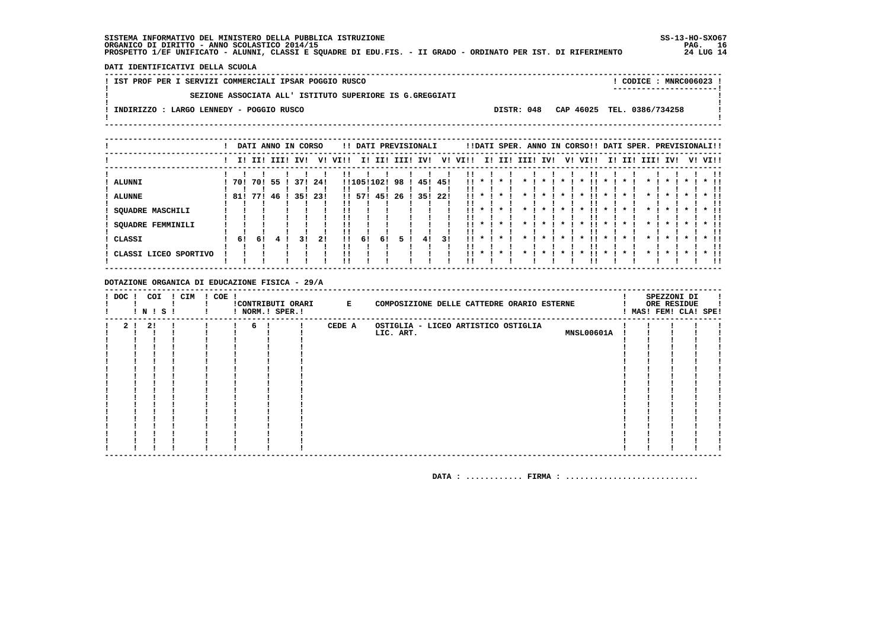DATI IDENTIFICATIVI DELLA SCUOLA

| ! IST PROF PER I SERVIZI COMMERCIALI IPSAR POGGIO RUSCO |                                                          |            | $\overline{CODICE}$ : MNR $\overline{COO6023}$ ! |  |
|---------------------------------------------------------|----------------------------------------------------------|------------|--------------------------------------------------|--|
|                                                         |                                                          |            |                                                  |  |
|                                                         | SEZIONE ASSOCIATA ALL' ISTITUTO SUPERIORE IS G.GREGGIATI |            |                                                  |  |
|                                                         |                                                          |            |                                                  |  |
| INDIRIZZO : LARGO LENNEDY - POGGIO RUSCO                |                                                          | DISTR: 048 | CAP 46025 TEL. 0386/734258                       |  |
|                                                         |                                                          |            |                                                  |  |
|                                                         |                                                          |            |                                                  |  |

|                                                                                                                     |                  |                  |            | DATI ANNO IN CORSO |                   |                |                             |           | !! DATI PREVISIONALI |                  |                   |                                 |                              |                         |      |                    |         | !!DATI SPER. ANNO IN CORSO!! DATI SPER. PREVISIONALI!! |                     |        |          |              |         |                                        |
|---------------------------------------------------------------------------------------------------------------------|------------------|------------------|------------|--------------------|-------------------|----------------|-----------------------------|-----------|----------------------|------------------|-------------------|---------------------------------|------------------------------|-------------------------|------|--------------------|---------|--------------------------------------------------------|---------------------|--------|----------|--------------|---------|----------------------------------------|
|                                                                                                                     |                  | I! II! III!      |            | IVI                | V!                | VI!!           | I!                          | II!       | III!                 | IV!              | V!                | VI!!                            | I!                           | II!                     | III! | IV !               | V!      | VI!!                                                   |                     | I! II! | III! IV! |              | V! VI!! |                                        |
| ALUNNI<br><b>ALUNNE</b><br><b>SQUADRE MASCHILI</b><br><b>SQUADRE FEMMINILI</b><br>CLASSI<br>! CLASSI LICEO SPORTIVO | 701<br>81!<br>61 | 70!<br>771<br>61 | -55<br>.46 | 37!<br>351<br>31   | 24!<br>-231<br>21 | !!<br>11<br>!! | !!105!102!<br>!! 57!<br>-61 | 45!<br>6! | 98<br>-26            | 45!<br>35!<br>4! | 45!<br>-22!<br>31 | !!<br>!!<br>11.<br>!!<br><br>11 | $\mathbf{x}$<br>$\mathbf{x}$ | $\mathbf{x}$<br>$\star$ |      | $\boldsymbol{\pi}$ | $\star$ | <br>$\mathbf{x}$<br>$\boldsymbol{\ast}$                | $\boldsymbol{\ast}$ |        |          | $\mathbf{x}$ |         | $*$ !!<br>!!<br>$*$ !!<br>!!<br>$*$ 11 |
|                                                                                                                     |                  |                  |            |                    |                   |                |                             |           |                      |                  |                   |                                 |                              |                         |      |                    |         |                                                        |                     |        |          |              |         | !!                                     |

### DOTAZIONE ORGANICA DI EDUCAZIONE FISICA - 29/A

| $!$ DOC $!$    | ! N ! S ! | COI | ! CIM | $! COE$ ! |                    | ! NORM.! SPER.! | !CONTRIBUTI ORARI E | COMPOSIZIONE DELLE CATTEDRE ORARIO ESTERNE |  | SPEZZONI DI<br>ORE RESIDUE<br>MAS! FEM! CLA! SPE! |  |
|----------------|-----------|-----|-------|-----------|--------------------|-----------------|---------------------|--------------------------------------------|--|---------------------------------------------------|--|
| 2 <sub>1</sub> | 21        |     |       |           | 6!<br>$\mathbf{I}$ |                 | CEDE A              | OSTIGLIA - LICEO ARTISTICO OSTIGLIA        |  |                                                   |  |
|                |           |     |       |           |                    |                 |                     | <b>MNSL00601A</b><br>LIC. ART.             |  |                                                   |  |
|                |           |     |       |           |                    |                 |                     |                                            |  |                                                   |  |
|                |           |     |       |           |                    |                 |                     |                                            |  |                                                   |  |
|                |           |     |       |           |                    |                 |                     |                                            |  |                                                   |  |
|                |           |     |       |           |                    |                 |                     |                                            |  |                                                   |  |
|                |           |     |       |           |                    |                 |                     |                                            |  |                                                   |  |
|                |           |     |       |           |                    |                 |                     |                                            |  |                                                   |  |
|                |           |     |       |           |                    |                 |                     |                                            |  |                                                   |  |
|                |           |     |       |           |                    |                 |                     |                                            |  |                                                   |  |
|                |           |     |       |           |                    |                 |                     |                                            |  |                                                   |  |
|                |           |     |       |           |                    |                 |                     |                                            |  |                                                   |  |
|                |           |     |       |           |                    |                 |                     |                                            |  |                                                   |  |
|                |           |     |       |           |                    |                 |                     |                                            |  |                                                   |  |
|                |           |     |       |           |                    |                 |                     |                                            |  |                                                   |  |
|                |           |     |       |           |                    |                 |                     |                                            |  |                                                   |  |
|                |           |     |       |           |                    |                 |                     |                                            |  |                                                   |  |
|                |           |     |       |           |                    |                 |                     |                                            |  |                                                   |  |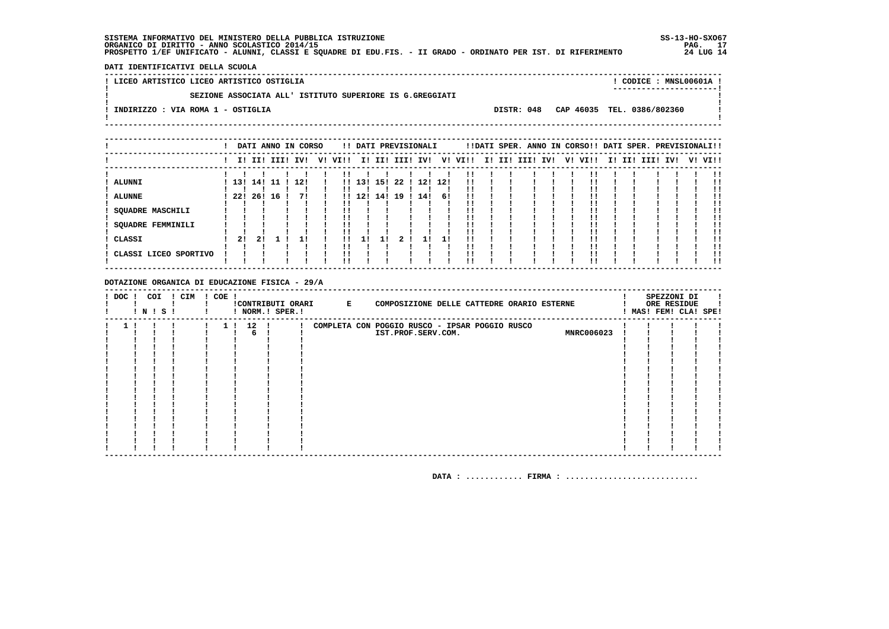SS-13-HO-SX067 PAG. 17<br>24 LUG 14

> - 1  $\mathbf{I}$

 $\mathbf{I}$ 

**Contract Contract** 

! CODICE : MNSL00601A ! 

DATI IDENTIFICATIVI DELLA SCUOLA 

 $\mathbf{I}$ 

! LICEO ARTISTICO LICEO ARTISTICO OSTIGLIA  $\mathbf{I}$ SEZIONE ASSOCIATA ALL' ISTITUTO SUPERIORE IS G.GREGGIATI  $\mathbf{I}$ -: INDIRIZZO : VIA ROMA 1 - OSTIGLIA

DISTR: 048 CAP 46035 TEL. 0386/802360

|                                                                                   |                         |              |                 | DATI ANNO IN CORSO |    |      |                        |            |            | !! DATI PREVISIONALI |                  |                      |  | !!DATI SPER. ANNO IN CORSO!! DATI SPER. PREVISIONALI!! |    |      |  |                 |         |
|-----------------------------------------------------------------------------------|-------------------------|--------------|-----------------|--------------------|----|------|------------------------|------------|------------|----------------------|------------------|----------------------|--|--------------------------------------------------------|----|------|--|-----------------|---------|
|                                                                                   |                         |              | I! II! III! IV! |                    | V! | VI!! |                        |            |            | I! II! III! IV!      | V!               | VI!!                 |  | I! II! III! IV!                                        | V! | VI!! |  | I! II! III! IV! | V! VI!! |
| <b>ALUNNI</b><br><b>ALUNNE</b><br>SQUADRE MASCHILI<br>SQUADRE FEMMINILI<br>CLASSI | 13!<br>22! 26! 16<br>21 | 14! 11<br>21 |                 | 12!<br>71          |    | . .  | !! 13!<br>!! 12!<br>1! | 15!<br>14! | 22 !<br>19 | 12!<br>14!           | 12!<br>61<br>י ר | !!<br>!!<br>!!<br>!! |  |                                                        |    |      |  |                 |         |
| CLASSI LICEO SPORTIVO                                                             |                         |              |                 |                    |    | !!   |                        |            |            |                      |                  | !!<br>!!             |  |                                                        |    |      |  |                 | . .     |

DOTAZIONE ORGANICA DI EDUCAZIONE FISICA - 29/A

| $!$ DOC | COI<br>! N ! S ! | ! CIM | ! COE ! |        | ! NORM.! SPER.! | !CONTRIBUTI ORARI E | COMPOSIZIONE DELLE CATTEDRE ORARIO ESTERNE     |  |            |  | SPEZZONI DI<br>ORE RESIDUE | MAS! FEM! CLA! SPE! |
|---------|------------------|-------|---------|--------|-----------------|---------------------|------------------------------------------------|--|------------|--|----------------------------|---------------------|
|         |                  |       |         | 1! 12! |                 |                     | COMPLETA CON POGGIO RUSCO - IPSAR POGGIO RUSCO |  |            |  |                            |                     |
|         |                  |       |         |        |                 |                     | IST.PROF.SERV.COM.                             |  | MNRC006023 |  |                            |                     |
|         |                  |       |         |        |                 |                     |                                                |  |            |  |                            |                     |
|         |                  |       |         |        |                 |                     |                                                |  |            |  |                            |                     |
|         |                  |       |         |        |                 |                     |                                                |  |            |  |                            |                     |
|         |                  |       |         |        |                 |                     |                                                |  |            |  |                            |                     |
|         |                  |       |         |        |                 |                     |                                                |  |            |  |                            |                     |
|         |                  |       |         |        |                 |                     |                                                |  |            |  |                            |                     |
|         |                  |       |         |        |                 |                     |                                                |  |            |  |                            |                     |
|         |                  |       |         |        |                 |                     |                                                |  |            |  |                            |                     |
|         |                  |       |         |        |                 |                     |                                                |  |            |  |                            |                     |
|         |                  |       |         |        |                 |                     |                                                |  |            |  |                            |                     |
|         |                  |       |         |        |                 |                     |                                                |  |            |  |                            |                     |
|         |                  |       |         |        |                 |                     |                                                |  |            |  |                            |                     |
|         |                  |       |         |        |                 |                     |                                                |  |            |  |                            |                     |
|         |                  |       |         |        |                 |                     |                                                |  |            |  |                            |                     |
|         |                  |       |         |        |                 |                     |                                                |  |            |  |                            |                     |
|         |                  |       |         |        |                 |                     |                                                |  |            |  |                            |                     |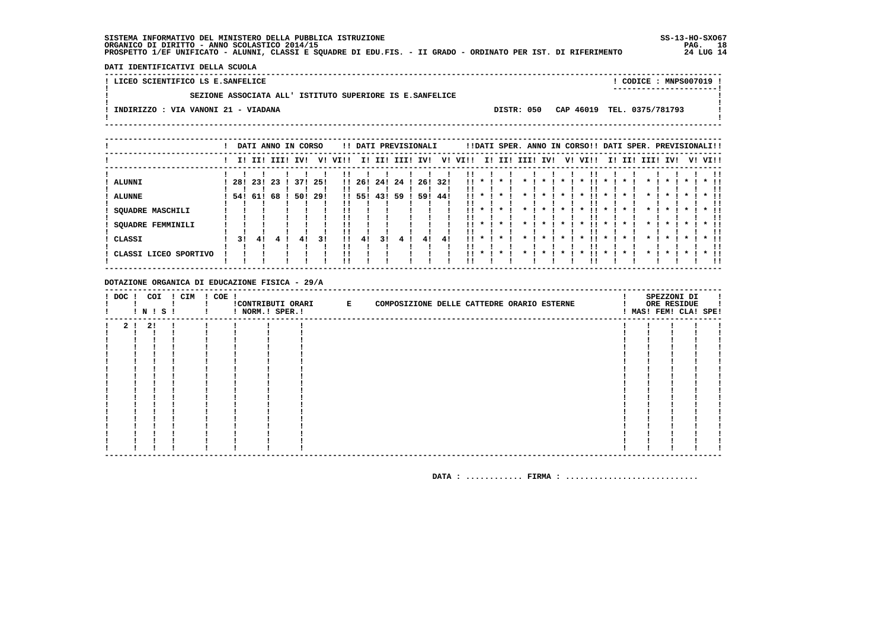$\overline{\phantom{a}}$  $\mathbf{I}$ 

 $\mathbf{I}$ 

**Contract Contract** 

DATI IDENTIFICATIVI DELLA SCUOLA 

! LICEO SCIENTIFICO LS E.SANFELICE

 $\mathbf{I}$ 

 $\mathbf{I}$ 

-

! CODICE : MNPS007019 ! 

SEZIONE ASSOCIATA ALL' ISTITUTO SUPERIORE IS E.SANFELICE

: INDIRIZZO : VIA VANONI 21 - VIADANA  $\mathbf{I}$ 

DISTR: 050 CAP 46019 TEL. 0375/781793

|                                                                                                                     |    |                             | DATI ANNO IN CORSO |                   |                    |         |    |                               |             | !! DATI PREVISIONALI |                          |                                     |                      | !!DATI SPER. ANNO IN CORSO!! DATI SPER. PREVISIONALI!!         |                                            |                                    |                    |            |                     |                 |                    |         |                         |  |
|---------------------------------------------------------------------------------------------------------------------|----|-----------------------------|--------------------|-------------------|--------------------|---------|----|-------------------------------|-------------|----------------------|--------------------------|-------------------------------------|----------------------|----------------------------------------------------------------|--------------------------------------------|------------------------------------|--------------------|------------|---------------------|-----------------|--------------------|---------|-------------------------|--|
|                                                                                                                     |    |                             | I! II! III! IV!    |                   |                    | V! VI!! |    |                               |             | I! II! III! IV!      |                          | V! VI!!                             |                      | I! II! III! IV!                                                |                                            |                                    |                    | V! VI!!    |                     | I! II! III! IV! |                    | V! VI!! |                         |  |
| ALUNNI<br><b>ALUNNE</b><br><b>SQUADRE MASCHILI</b><br><b>SQUADRE FEMMINILI</b><br>CLASSI<br>! CLASSI LICEO SPORTIVO | 31 | 28! 23! 23<br>54! 61!<br>41 | -68                | 371<br>50 !<br>4! | -251<br>-29!<br>31 | . .     | 4! | 1!26!24!<br>!! 55! 43!<br>3 I | 24 1<br>-59 | 41                   | 26! 32!<br>59! 44!<br>41 | $\cdots$<br>!!<br><br>11.<br>$11 *$ | $11 * 1$<br>$11 * 1$ | $\star$<br>$\star$<br>$\star$<br>$\star$<br>$\star$<br>$\cdot$ | $\boldsymbol{\ast}$<br>$\boldsymbol{\ast}$ | $\boldsymbol{\pi}$<br>$\mathbf{x}$ | $\cdot$<br>$\cdot$ | . .<br>. . | $\boldsymbol{\ast}$ |                 | $\boldsymbol{\pi}$ |         | $\star$ $\pm$<br>$*$ !! |  |
|                                                                                                                     |    |                             |                    |                   |                    |         |    |                               |             |                      |                          |                                     |                      |                                                                |                                            |                                    |                    |            |                     |                 |                    |         |                         |  |

DOTAZIONE ORGANICA DI EDUCAZIONE FISICA - 29/A

| $!$ DOC $!$ | COI     | <b>! N ! S !</b> | ! CIM | ! COE ! | ! NORM.! SPER.! | !CONTRIBUTI ORARI E | COMPOSIZIONE DELLE CATTEDRE ORARIO ESTERNE |  |  |  | SPEZZONI DI<br>ORE RESIDUE<br>! MAS! FEM! CLA! SPE! |  |
|-------------|---------|------------------|-------|---------|-----------------|---------------------|--------------------------------------------|--|--|--|-----------------------------------------------------|--|
|             | 2 ! 2 ! |                  | -1    |         |                 |                     |                                            |  |  |  |                                                     |  |
|             |         |                  |       |         |                 |                     |                                            |  |  |  |                                                     |  |
|             |         |                  |       |         |                 |                     |                                            |  |  |  |                                                     |  |
|             |         |                  |       |         |                 |                     |                                            |  |  |  |                                                     |  |
|             |         |                  |       |         |                 |                     |                                            |  |  |  |                                                     |  |
|             |         |                  |       |         |                 |                     |                                            |  |  |  |                                                     |  |
|             |         |                  |       |         |                 |                     |                                            |  |  |  |                                                     |  |
|             |         |                  |       |         |                 |                     |                                            |  |  |  |                                                     |  |
|             |         |                  |       |         |                 |                     |                                            |  |  |  |                                                     |  |
|             |         |                  |       |         |                 |                     |                                            |  |  |  |                                                     |  |
|             |         |                  |       |         |                 |                     |                                            |  |  |  |                                                     |  |
|             |         |                  |       |         |                 |                     |                                            |  |  |  |                                                     |  |
|             |         |                  |       |         |                 |                     |                                            |  |  |  |                                                     |  |
|             |         |                  |       |         |                 |                     |                                            |  |  |  |                                                     |  |
|             |         |                  |       |         |                 |                     |                                            |  |  |  |                                                     |  |
|             |         |                  |       |         |                 |                     |                                            |  |  |  |                                                     |  |
|             |         |                  |       |         |                 |                     |                                            |  |  |  |                                                     |  |
|             |         |                  |       |         |                 |                     |                                            |  |  |  |                                                     |  |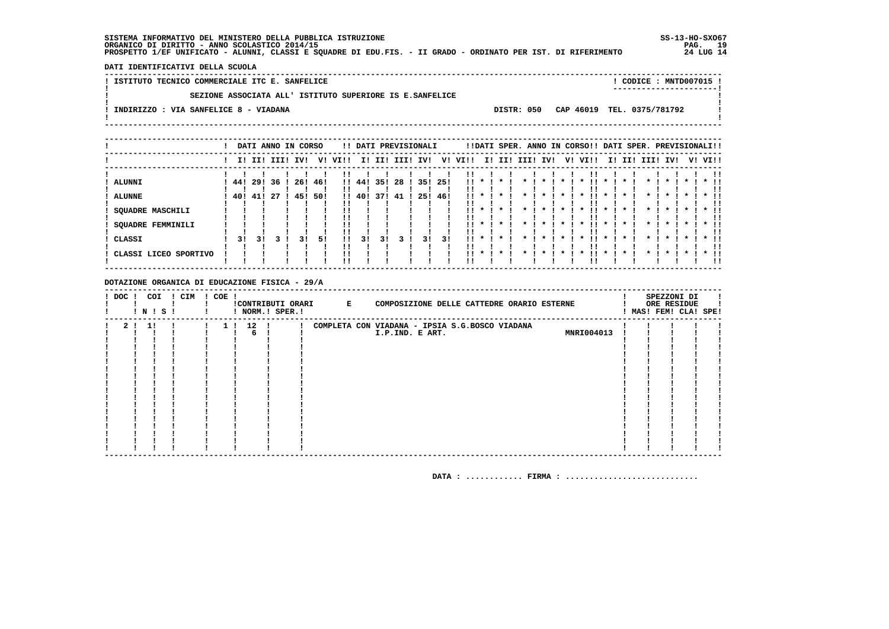SS-13-HO-SX067 PAG. 19 24 LUG 14

DATI IDENTIFICATIVI DELLA SCUOLA

! ISTITUTO TECNICO COMMERCIALE ITC E. SANFELICE ! CODICE : MNTD007015 !  $\mathbf{I}$ SEZIONE ASSOCIATA ALL' ISTITUTO SUPERIORE IS E.SANFELICE  $\mathbf{I}$  $\overline{\phantom{a}}$  $\mathbf{I}$ -: INDIRIZZO : VIA SANFELICE 8 - VIADANA DISTR: 050 CAP 46019 TEL. 0375/781792 **Contract Contract**  $\mathbf{I}$  $\mathbf{I}$ 

|                       |     |             |     | DATI ANNO IN CORSO |     |          |        |     | !! DATI PREVISIONALI |     |      |      |              |                    |      |                     |    | !!DATI SPER. ANNO IN CORSO!! DATI SPER. PREVISIONALI!! |                    |     |      |                    |     |              |
|-----------------------|-----|-------------|-----|--------------------|-----|----------|--------|-----|----------------------|-----|------|------|--------------|--------------------|------|---------------------|----|--------------------------------------------------------|--------------------|-----|------|--------------------|-----|--------------|
|                       |     | I! II! III! |     | IV!                | V!  | VIII     | ΙI     | II! | III!                 | IV! | V!   | VI!! | I!           | II!                | III! | IV!                 | V! | VI!!                                                   | II.                | II! | III! |                    | IV! | V! VI!!      |
| <b>ALUNNI</b>         | 44! | 29!         | -36 | 26!                | 46! |          | !! 44! | 35! | -28                  | 35! | -25! | !!   |              |                    |      |                     |    |                                                        |                    |     |      |                    |     |              |
| <b>ALUNNE</b>         | 40! | 41!         | -27 | 45!                | 50! |          | !! 40! | 371 | 41                   | 25! | 46!  | . .  |              |                    |      |                     |    |                                                        |                    |     |      |                    |     |              |
| SQUADRE MASCHILI      |     |             |     |                    |     |          |        |     |                      |     |      |      |              |                    |      |                     |    |                                                        |                    |     |      |                    |     |              |
| SQUADRE FEMMINILI     |     |             |     |                    |     | !!<br>!! |        |     |                      |     |      |      | $\mathbf{x}$ | $\boldsymbol{\pi}$ |      | $\boldsymbol{\ast}$ |    | $\boldsymbol{\ast}$                                    | $\boldsymbol{\pi}$ |     |      | $\boldsymbol{\pi}$ |     | $*$ !!<br>!! |
| CLASSI                | 31  | 31          |     | ו ר                | 51  | !!       | 31     | 31  |                      | 31  | 31   | . .  |              | $\cdot$            |      |                     |    |                                                        |                    |     |      |                    |     | $*$ !!<br>!! |
| CLASSI LICEO SPORTIVO |     |             |     |                    |     | !!       |        |     |                      |     |      | . .  | $\cdot$      | $\cdot$            |      |                     |    |                                                        |                    |     |      |                    |     | $*$ 11<br>!! |

DOTAZIONE ORGANICA DI EDUCAZIONE FISICA - 29/A

| $!$ DOC $!$    | COI<br>! N ! S ! | ! CIM | ! COE ! |          | ! NORM.! SPER.! | !CONTRIBUTI ORARI E | COMPOSIZIONE DELLE CATTEDRE ORARIO ESTERNE     |            |  | SPEZZONI DI<br>ORE RESIDUE<br>! MAS! FEM! CLA! SPE! |  |
|----------------|------------------|-------|---------|----------|-----------------|---------------------|------------------------------------------------|------------|--|-----------------------------------------------------|--|
| 2 <sub>1</sub> | 11               |       |         | 1 ! 12 ! |                 |                     | COMPLETA CON VIADANA - IPSIA S.G.BOSCO VIADANA |            |  |                                                     |  |
|                |                  |       |         |          |                 |                     | I.P.IND. E ART.                                | MNRI004013 |  |                                                     |  |
|                |                  |       |         |          |                 |                     |                                                |            |  |                                                     |  |
|                |                  |       |         |          |                 |                     |                                                |            |  |                                                     |  |
|                |                  |       |         |          |                 |                     |                                                |            |  |                                                     |  |
|                |                  |       |         |          |                 |                     |                                                |            |  |                                                     |  |
|                |                  |       |         |          |                 |                     |                                                |            |  |                                                     |  |
|                |                  |       |         |          |                 |                     |                                                |            |  |                                                     |  |
|                |                  |       |         |          |                 |                     |                                                |            |  |                                                     |  |
|                |                  |       |         |          |                 |                     |                                                |            |  |                                                     |  |
|                |                  |       |         |          |                 |                     |                                                |            |  |                                                     |  |
|                |                  |       |         |          |                 |                     |                                                |            |  |                                                     |  |
|                |                  |       |         |          |                 |                     |                                                |            |  |                                                     |  |
|                |                  |       |         |          |                 |                     |                                                |            |  |                                                     |  |
|                |                  |       |         |          |                 |                     |                                                |            |  |                                                     |  |
|                |                  |       |         |          |                 |                     |                                                |            |  |                                                     |  |
|                |                  |       |         |          |                 |                     |                                                |            |  |                                                     |  |
|                |                  |       |         |          |                 |                     |                                                |            |  |                                                     |  |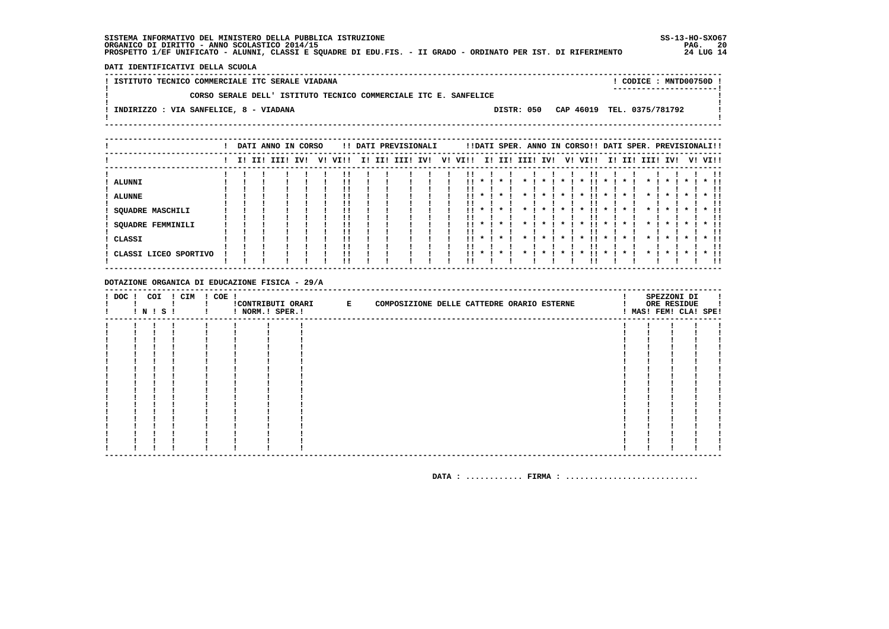DATI IDENTIFICATIVI DELLA SCUOLA

|                                          | ! ISTITUTO TECNICO COMMERCIALE ITC SERALE VIADANA |                                                                  |  | CODICE: MNTD00750D !                  |
|------------------------------------------|---------------------------------------------------|------------------------------------------------------------------|--|---------------------------------------|
|                                          |                                                   | CORSO SERALE DELL' ISTITUTO TECNICO COMMERCIALE ITC E. SANFELICE |  |                                       |
| ! INDIRIZZO : VIA SANFELICE, 8 - VIADANA |                                                   |                                                                  |  | DISTR: 050 CAP 46019 TEL. 0375/781792 |
|                                          |                                                   |                                                                  |  |                                       |

|                                                                                         |  | DATI ANNO IN CORSO |     |         |        | !! DATI PREVISIONALI |     |    |                        |                              |                               |                         |                     |              | !!DATI SPER. ANNO IN CORSO!! DATI SPER. PREVISIONALI!!                 |                                                                |         |                    |              |                    |         |                         |
|-----------------------------------------------------------------------------------------|--|--------------------|-----|---------|--------|----------------------|-----|----|------------------------|------------------------------|-------------------------------|-------------------------|---------------------|--------------|------------------------------------------------------------------------|----------------------------------------------------------------|---------|--------------------|--------------|--------------------|---------|-------------------------|
|                                                                                         |  | I! II! III!        | IV! | V! VI!! | I! II! | III!                 | IV! | V! | VI!!                   |                              | I! II!                        |                         | III! IV!            |              | V! VI!!                                                                | II.                                                            |         | II! III!           | IV!          |                    | V! VI!! |                         |
| ! ALUNNI<br>! ALUNNE<br><b>SQUADRE MASCHILI</b><br><b>SQUADRE FEMMINILI</b><br>! CLASSI |  |                    |     |         |        |                      |     |    | !!<br>!!<br>11.<br>. . | $\mathbf{x}$<br>$\mathbf{x}$ | $\boldsymbol{\pi}$<br>$\cdot$ |                         | $\boldsymbol{\ast}$ |              | !!<br>$\cdot$<br>!!<br>$\boldsymbol{\pi}$<br>. .<br>$\boldsymbol{\pi}$ | $\boldsymbol{\pi}$<br>$\boldsymbol{\pi}$<br>$\boldsymbol{\pi}$ |         | $\star$<br>$\star$ | $\mathbf{x}$ | $\boldsymbol{\pi}$ |         | $*$ !!<br>-11<br>$*$ 11 |
| ! CLASSI LICEO SPORTIVO                                                                 |  |                    |     |         |        |                      |     |    |                        | $11 * 1$                     | $\star$                       | $\star$ $\cdot$ $\cdot$ | $\cdot$             | $\mathbf{x}$ | . .<br>$\boldsymbol{\ast}$                                             | $\mathbf{x}$                                                   | $\cdot$ | $\cdot$ $\cdot$    | $\star$      | $\star$            |         | <br>$*$ 11<br>!!        |

DOTAZIONE ORGANICA DI EDUCAZIONE FISICA - 29/A

| $!$ DOC $!$ | COI<br>! N ! S ! | ! CIM | $! COE$ ! | ! NORM.! SPER.! | !CONTRIBUTI ORARI E | COMPOSIZIONE DELLE CATTEDRE ORARIO ESTERNE |  |  |  | SPEZZONI DI<br>ORE RESIDUE<br>! MAS! FEM! CLA! SPE! |  |
|-------------|------------------|-------|-----------|-----------------|---------------------|--------------------------------------------|--|--|--|-----------------------------------------------------|--|
|             |                  |       |           |                 |                     |                                            |  |  |  |                                                     |  |
|             |                  |       |           |                 |                     |                                            |  |  |  |                                                     |  |
|             |                  |       |           |                 |                     |                                            |  |  |  |                                                     |  |
|             |                  |       |           |                 |                     |                                            |  |  |  |                                                     |  |
|             |                  |       |           |                 |                     |                                            |  |  |  |                                                     |  |
|             |                  |       |           |                 |                     |                                            |  |  |  |                                                     |  |
|             |                  |       |           |                 |                     |                                            |  |  |  |                                                     |  |
|             |                  |       |           |                 |                     |                                            |  |  |  |                                                     |  |
|             |                  |       |           |                 |                     |                                            |  |  |  |                                                     |  |
|             |                  |       |           |                 |                     |                                            |  |  |  |                                                     |  |
|             |                  |       |           |                 |                     |                                            |  |  |  |                                                     |  |
|             |                  |       |           |                 |                     |                                            |  |  |  |                                                     |  |
|             |                  |       |           |                 |                     |                                            |  |  |  |                                                     |  |
|             |                  |       |           |                 |                     |                                            |  |  |  |                                                     |  |
|             |                  |       |           |                 |                     |                                            |  |  |  |                                                     |  |
|             |                  |       |           |                 |                     |                                            |  |  |  |                                                     |  |
|             |                  |       |           |                 |                     |                                            |  |  |  |                                                     |  |
|             |                  |       |           |                 |                     |                                            |  |  |  |                                                     |  |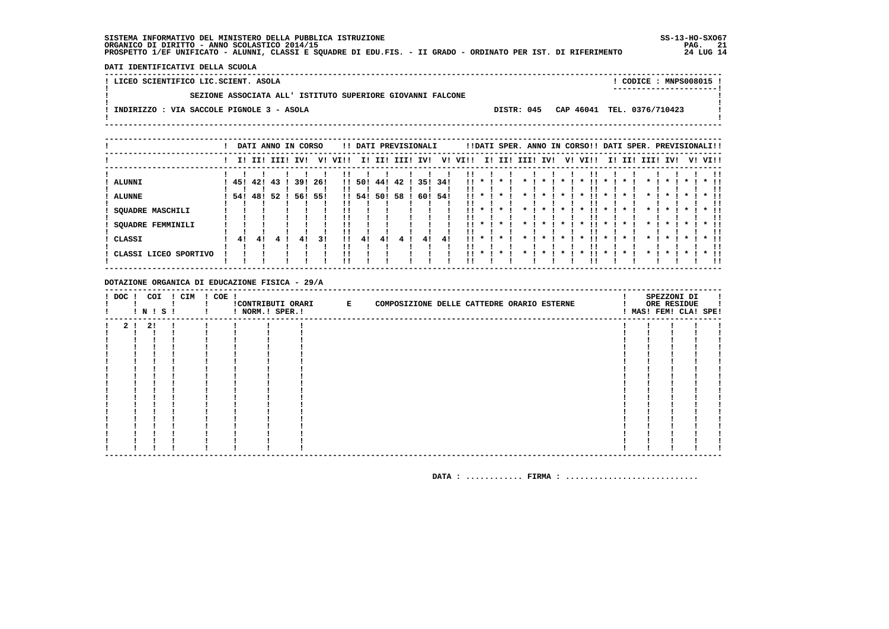- 1

 $\mathbf{I}$  $\mathbf{I}$ 

DATI IDENTIFICATIVI DELLA SCUOLA

 $\blacksquare$ 

! LICEO SCIENTIFICO LIC.SCIENT. ASOLA

! CODICE : MNPS008015 ! \_\_\_\_\_\_\_\_\_\_\_\_\_\_\_\_\_\_\_\_\_\_\_\_

SEZIONE ASSOCIATA ALL' ISTITUTO SUPERIORE GIOVANNI FALCONE ! INDIRIZZO : VIA SACCOLE PIGNOLE 3 - ASOLA

DISTR: 045 CAP 46041 TEL. 0376/710423

! DATI ANNO IN CORSO | !! DATI PREVISIONALI !!DATI SPER. ANNO IN CORSO!! DATI SPER. PREVISIONALI!!  $\mathbf{I}$  $\mathbf{I}$ ! ALUNNI ! ALUNNE <u>man isisisi ilmaisi sisisisiisisisisisi</u> SOUADRE MASCHILI  $\begin{array}{cccccccccccccc} & 1 & 1 & 1 & 1 & 1 & 1 & 1 & \end{array}$  $\mathbf{L}$  $\blacksquare$  $\mathbf{L}$  $\mathbf{L}$  $\mathbf{L}$  $\mathbf{I}$  $\mathbf{H}$  $\mathbf{L}$  $\mathbf{I}$  $\mathbf{I}$  $\mathbf{H}$  $\mathbf{I}$  $11 \quad 1 \quad 1$ **Contract Contract**  $\sim 10^{-1}$ **Contract Contract**  $\mathbf{H}$ . . . . . . . . SOUADRE FEMMINILI  $\frac{1}{2}$   $\frac{1}{2}$   $\frac{1}{2}$   $\frac{1}{2}$   $\frac{1}{2}$   $\frac{1}{2}$   $\frac{1}{2}$   $\frac{1}{2}$   $\frac{1}{2}$   $\frac{1}{2}$   $\frac{1}{2}$   $\frac{1}{2}$   $\frac{1}{2}$   $\frac{1}{2}$   $\frac{1}{2}$   $\frac{1}{2}$   $\frac{1}{2}$   $\frac{1}{2}$   $\frac{1}{2}$   $\frac{1}{2}$   $\frac{1}{2}$   $\frac{1}{2}$  ! CLASSI  $\mathbf{I}$  $\mathbf{1}$   $\mathbf{1}$  $\frac{1}{2}$   $\frac{1}{2}$   $\frac{1}{2}$  $\mathbf{11}$  $\sim 1$ 11 1 1 1 1 1 1 1 1 1 1 1 1 1 1 1 J. -------------------

DOTAZIONE ORGANICA DI EDUCAZIONE FISICA - 29/A

| ! DOC ! COI    | ! N ! S ! | ! CIM | $! COE$ ! | ! NORM.! SPER.! | !CONTRIBUTI ORARI E | COMPOSIZIONE DELLE CATTEDRE ORARIO ESTERNE |  |  | SPEZZONI DI<br>ORE RESIDUE<br>! MAS! FEM! CLA! SPE! |  |
|----------------|-----------|-------|-----------|-----------------|---------------------|--------------------------------------------|--|--|-----------------------------------------------------|--|
| 2 <sub>1</sub> | -21       |       |           |                 |                     |                                            |  |  |                                                     |  |
|                |           |       |           |                 |                     |                                            |  |  |                                                     |  |
|                |           |       |           |                 |                     |                                            |  |  |                                                     |  |
|                |           |       |           |                 |                     |                                            |  |  |                                                     |  |
|                |           |       |           |                 |                     |                                            |  |  |                                                     |  |
|                |           |       |           |                 |                     |                                            |  |  |                                                     |  |
|                |           |       |           |                 |                     |                                            |  |  |                                                     |  |
|                |           |       |           |                 |                     |                                            |  |  |                                                     |  |
|                |           |       |           |                 |                     |                                            |  |  |                                                     |  |
|                |           |       |           |                 |                     |                                            |  |  |                                                     |  |
|                |           |       |           |                 |                     |                                            |  |  |                                                     |  |
|                |           |       |           |                 |                     |                                            |  |  |                                                     |  |
|                |           |       |           |                 |                     |                                            |  |  |                                                     |  |
|                |           |       |           |                 |                     |                                            |  |  |                                                     |  |
|                |           |       |           |                 |                     |                                            |  |  |                                                     |  |
|                |           |       |           |                 |                     |                                            |  |  |                                                     |  |
|                |           |       |           |                 |                     |                                            |  |  |                                                     |  |
|                |           |       |           |                 |                     |                                            |  |  |                                                     |  |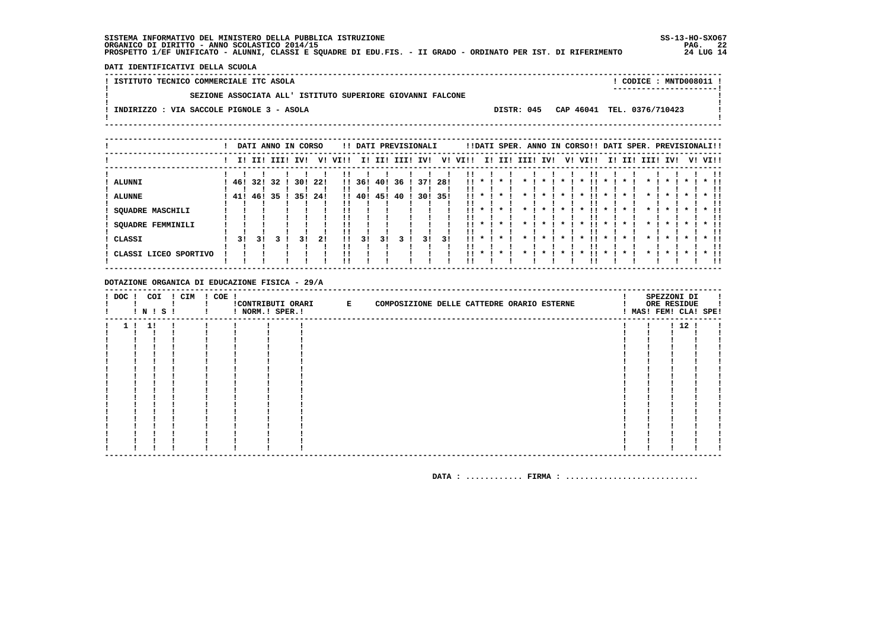SS-13-HO-SX067 PAG. 22  $24$  LUG  $14$ 

> $\overline{\phantom{a}}$  $\mathbf{I}$

 $\mathbf{I}$ 

DATI IDENTIFICATIVI DELLA SCUOLA

! ISTITUTO TECNICO COMMERCIALE ITC ASOLA ! CODICE : MNTD008011 !  $\mathbf{I}$ SEZIONE ASSOCIATA ALL' ISTITUTO SUPERIORE GIOVANNI FALCONE  $\mathbf{I}$ -: INDIRIZZO : VIA SACCOLE PIGNOLE 3 - ASOLA DISTR: 045 CAP 46041 TEL. 0376/710423 **Contract Contract**  $\mathbf{I}$ 

|                                |    |                         |      | DATI ANNO IN CORSO |    |                    |               |     | !! DATI PREVISIONALI   |    |         |                                                                    |          |                    |             |             |                         | !!DATI SPER. ANNO IN CORSO!! DATI SPER. PREVISIONALI!! |                         |                         |              |           |                         |                          |                         |
|--------------------------------|----|-------------------------|------|--------------------|----|--------------------|---------------|-----|------------------------|----|---------|--------------------------------------------------------------------|----------|--------------------|-------------|-------------|-------------------------|--------------------------------------------------------|-------------------------|-------------------------|--------------|-----------|-------------------------|--------------------------|-------------------------|
|                                |    | I! II! III! IV!         |      |                    |    | V! VI!!            |               |     | I! II! III! IV!        |    |         | V! VI!!                                                            |          |                    | I! II! III! | IVI         |                         | V! VI!!                                                | II.                     |                         | II! III! IV! |           |                         |                          | V! VI!!                 |
| <b>ALUNNI</b><br><b>ALUNNE</b> |    | 46! 32! 32 !<br>41! 46! | 35 I | 30! 22!<br>35! 24! |    | !!<br>$\mathbf{H}$ | 36!<br>!! 40! | 451 | 40! 36 ! 37! 28!<br>40 |    | 30! 35! | !!<br>$\mathbf{1}$ $\mathbf{1}$ $\mathbf{2}$<br>!!<br>$\mathbf{H}$ |          | $\cdot$<br>$\star$ |             | $\mathbf x$ | $\mathbf{x}$<br>$\star$ | . .<br>$\mathbf{x}$<br>. .<br>$\star$                  | $\mathbf{x}$<br>$\cdot$ | $\mathbf{x}$<br>$\star$ |              | $\star$ I | $\mathbf{x}$<br>$\star$ | $\mathbf x$ .<br>$\cdot$ | . .<br>$*$ 11<br>$*$ 11 |
| SQUADRE MASCHILI               |    |                         |      |                    |    |                    |               |     |                        |    |         | !!<br>. .                                                          | $11 * 1$ | $\cdot$            |             | $\cdot$     | $\star$ $\cdot$         | .<br>$\cdot$                                           | $\star$ 1               | $\mathbf{\ast}$ .       |              | $\star$ 1 | $\cdot$                 | $\cdot$ $\cdot$          | $*$ 11                  |
| SQUADRE FEMMINILI<br>CLASSI    | 31 | 31                      |      | 31                 | 21 | !!                 | 31            | 31  |                        | 31 | 31      | . .<br>!!<br>. .                                                   |          | $\cdot$            |             |             | $\star$                 | .<br>$\cdot$<br>.                                      | $\star$<br>$\star$      | $\star$<br>$\star$      |              |           | $\cdot$<br>$\star$      | $\cdot$<br>$\star$       | $*$ 11<br>$*$ 11        |
| CLASSI LICEO SPORTIVO          |    |                         |      |                    |    |                    |               |     |                        |    |         | . .                                                                |          | $\star$            |             | $\star$     | $\star$                 | . .                                                    | $\star$                 | $\star$                 |              |           | $\star$                 | $\star$                  | $*$ 11                  |

DOTAZIONE ORGANICA DI EDUCAZIONE FISICA - 29/A

| $!$ DOC $!$ | COI   | <b>! N ! S !</b> | ! CIM | ! COE ! | ! NORM.! SPER.! | !CONTRIBUTI ORARI E | COMPOSIZIONE DELLE CATTEDRE ORARIO ESTERNE |  |  |  | SPEZZONI DI<br>ORE RESIDUE<br>! MAS! FEM! CLA! SPE! |  |
|-------------|-------|------------------|-------|---------|-----------------|---------------------|--------------------------------------------|--|--|--|-----------------------------------------------------|--|
|             | 1! 1! |                  | -1    |         |                 |                     |                                            |  |  |  | 1121                                                |  |
|             |       |                  |       |         |                 |                     |                                            |  |  |  |                                                     |  |
|             |       |                  |       |         |                 |                     |                                            |  |  |  |                                                     |  |
|             |       |                  |       |         |                 |                     |                                            |  |  |  |                                                     |  |
|             |       |                  |       |         |                 |                     |                                            |  |  |  |                                                     |  |
|             |       |                  |       |         |                 |                     |                                            |  |  |  |                                                     |  |
|             |       |                  |       |         |                 |                     |                                            |  |  |  |                                                     |  |
|             |       |                  |       |         |                 |                     |                                            |  |  |  |                                                     |  |
|             |       |                  |       |         |                 |                     |                                            |  |  |  |                                                     |  |
|             |       |                  |       |         |                 |                     |                                            |  |  |  |                                                     |  |
|             |       |                  |       |         |                 |                     |                                            |  |  |  |                                                     |  |
|             |       |                  |       |         |                 |                     |                                            |  |  |  |                                                     |  |
|             |       |                  |       |         |                 |                     |                                            |  |  |  |                                                     |  |
|             |       |                  |       |         |                 |                     |                                            |  |  |  |                                                     |  |
|             |       |                  |       |         |                 |                     |                                            |  |  |  |                                                     |  |
|             |       |                  |       |         |                 |                     |                                            |  |  |  |                                                     |  |
|             |       |                  |       |         |                 |                     |                                            |  |  |  |                                                     |  |
|             |       |                  |       |         |                 |                     |                                            |  |  |  |                                                     |  |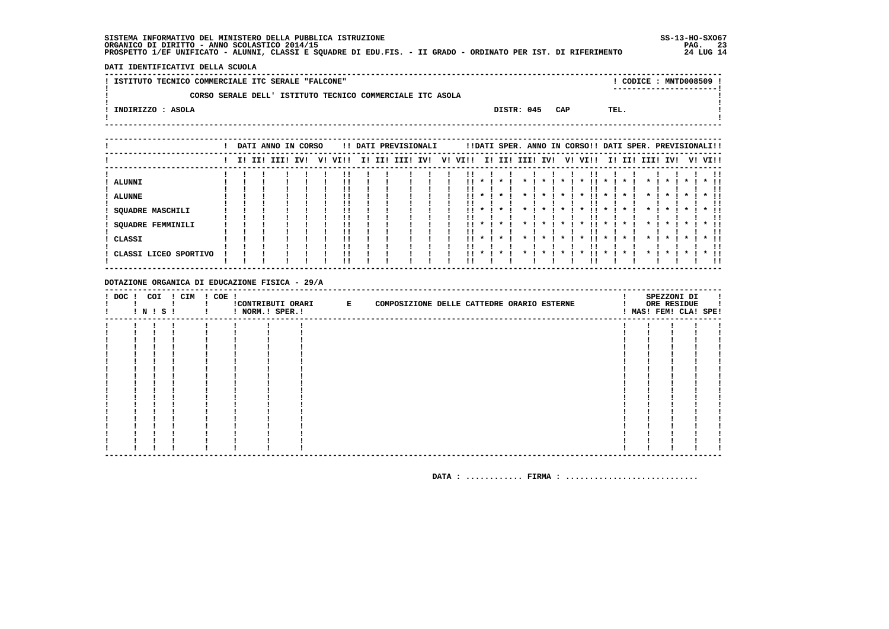DATI IDENTIFICATIVI DELLA SCUOLA

| ! ISTITUTO TECNICO COMMERCIALE ITC SERALE "FALCONE"       |                | $\overline{CODICE}: MNTD008509$ ! |  |
|-----------------------------------------------------------|----------------|-----------------------------------|--|
| CORSO SERALE DELL' ISTITUTO TECNICO COMMERCIALE ITC ASOLA |                | ----------------------            |  |
|                                                           |                |                                   |  |
| INDIRIZZO : ASOLA                                         | DISTR: 045 CAP | TEL.                              |  |
|                                                           |                |                                   |  |

|                                                                      |  | DATI ANNO IN CORSO |     |         |        | !! DATI PREVISIONALI |     |    |                      |                              |                    |  |                                           |                    | !!DATI SPER. ANNO IN CORSO!! DATI SPER. PREVISIONALI!! |                     |        |      |                     |    |                        |
|----------------------------------------------------------------------|--|--------------------|-----|---------|--------|----------------------|-----|----|----------------------|------------------------------|--------------------|--|-------------------------------------------|--------------------|--------------------------------------------------------|---------------------|--------|------|---------------------|----|------------------------|
|                                                                      |  | I! II! III!        | IV! | V! VI!! | I! II! | III!                 | IV! | V! | VI!!                 |                              | I! II! III!        |  | IV!                                       | V!                 | VI!!                                                   |                     | I! II! | III! | IV!                 | V! | VI!!                   |
| ! ALUNNI<br>! ALUNNE<br><b>SQUADRE MASCHILI</b><br>SQUADRE FEMMINILI |  |                    |     | !!      |        |                      |     |    | !!<br>11.<br>11.<br> | $\star$<br>$\star$ 1         | $\star$<br>$\star$ |  | $\mathbf{x}$                              | $\mathbf x$        | -11<br>.,<br>$\boldsymbol{\ast}$                       | $\boldsymbol{\ast}$ | ѫ      |      | $\boldsymbol{\ast}$ |    | $*$ !!<br>. .          |
| ! CLASSI<br>! CLASSI LICEO SPORTIVO                                  |  |                    |     | !!      |        |                      |     |    | <br>                 | $\star$ 1<br>$\star$ $\cdot$ | $\star$<br>$\star$ |  | $\boldsymbol{\pi}$<br>$\boldsymbol{\ast}$ | $\boldsymbol{\pi}$ | $\cdot$<br>. .<br>. .                                  | $\boldsymbol{\ast}$ |        |      | $\boldsymbol{\ast}$ |    | $*$ !!<br>.,<br>$*$ 11 |

DOTAZIONE ORGANICA DI EDUCAZIONE FISICA - 29/A

| $!$ DOC $!$ | COI<br>! N ! S ! | ! CIM | $! COE$ ! | ! NORM.! SPER.! | !CONTRIBUTI ORARI E | COMPOSIZIONE DELLE CATTEDRE ORARIO ESTERNE |  |  |  | SPEZZONI DI<br>ORE RESIDUE<br>! MAS! FEM! CLA! SPE! |  |
|-------------|------------------|-------|-----------|-----------------|---------------------|--------------------------------------------|--|--|--|-----------------------------------------------------|--|
|             |                  |       |           |                 |                     |                                            |  |  |  |                                                     |  |
|             |                  |       |           |                 |                     |                                            |  |  |  |                                                     |  |
|             |                  |       |           |                 |                     |                                            |  |  |  |                                                     |  |
|             |                  |       |           |                 |                     |                                            |  |  |  |                                                     |  |
|             |                  |       |           |                 |                     |                                            |  |  |  |                                                     |  |
|             |                  |       |           |                 |                     |                                            |  |  |  |                                                     |  |
|             |                  |       |           |                 |                     |                                            |  |  |  |                                                     |  |
|             |                  |       |           |                 |                     |                                            |  |  |  |                                                     |  |
|             |                  |       |           |                 |                     |                                            |  |  |  |                                                     |  |
|             |                  |       |           |                 |                     |                                            |  |  |  |                                                     |  |
|             |                  |       |           |                 |                     |                                            |  |  |  |                                                     |  |
|             |                  |       |           |                 |                     |                                            |  |  |  |                                                     |  |
|             |                  |       |           |                 |                     |                                            |  |  |  |                                                     |  |
|             |                  |       |           |                 |                     |                                            |  |  |  |                                                     |  |
|             |                  |       |           |                 |                     |                                            |  |  |  |                                                     |  |
|             |                  |       |           |                 |                     |                                            |  |  |  |                                                     |  |
|             |                  |       |           |                 |                     |                                            |  |  |  |                                                     |  |
|             |                  |       |           |                 |                     |                                            |  |  |  |                                                     |  |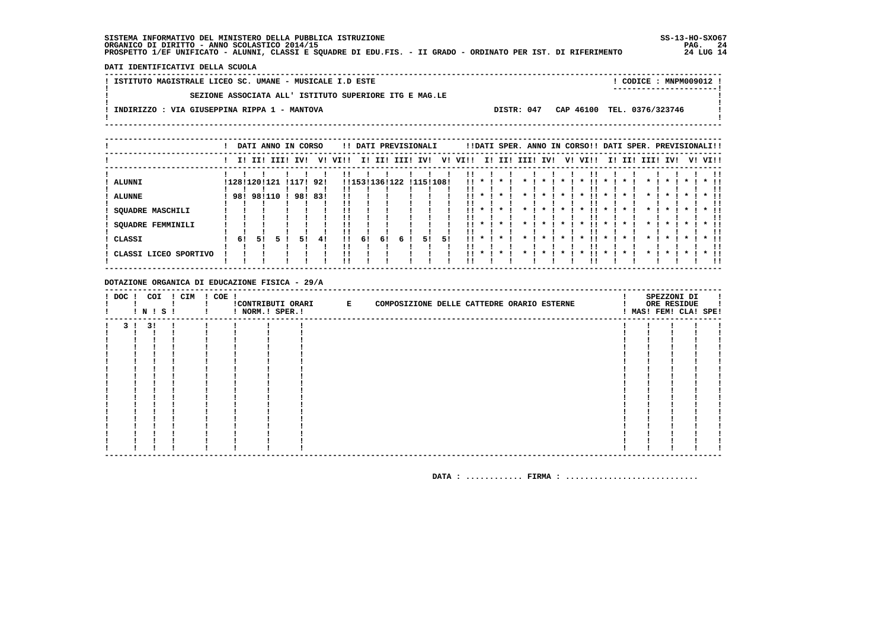SS-13-HO-SX067  $PAG. 24$ <br>24 LUG 14

DATI IDENTIFICATIVI DELLA SCUOLA

| ! ISTITUTO MAGISTRALE LICEO SC. UMANE - MUSICALE I.D ESTE |  | ! CODICE : MNPM009012 !<br>----------------------- |  |
|-----------------------------------------------------------|--|----------------------------------------------------|--|
| SEZIONE ASSOCIATA ALL' ISTITUTO SUPERIORE ITG E MAG.LE    |  |                                                    |  |
| INDIRIZZO : VIA GIUSEPPINA RIPPA 1 - MANTOVA              |  | DISTR: 047 CAP 46100 TEL. 0376/323746              |  |
|                                                           |  |                                                    |  |

|                                                                  |                     |    | DATI ANNO IN CORSO |        |     |            |          |               |    |          | !! DATI PREVISIONALI |    |                              |                               |                    |      |     |                         | !!DATI SPER. ANNO IN CORSO!! DATI SPER. PREVISIONALI!!  |    |     |      |     |  |              |
|------------------------------------------------------------------|---------------------|----|--------------------|--------|-----|------------|----------|---------------|----|----------|----------------------|----|------------------------------|-------------------------------|--------------------|------|-----|-------------------------|---------------------------------------------------------|----|-----|------|-----|--|--------------|
|                                                                  |                     |    | I! II! III! IV!    |        |     | V!         | VI!!     | II.           |    | II! III! | IV!                  | V! | VI!!                         | II.                           | II!                | III! | IV! | V!                      | VI!!                                                    | ΙI | II! | III! | IV! |  | V! VI!!      |
| ALUNNI<br><b>ALUNNE</b><br>SQUADRE MASCHILI<br>SQUADRE FEMMINILI | !128!120!121<br>98! |    | 98!110             | ! 117! | 98! | 92!<br>83! | !!<br>!! | !!153!136!122 |    |          | !115!108!            |    | !!<br>!!<br>. .<br>11.<br>!! | $\mathbf x$                   | $\star$            |      |     | *<br>$\boldsymbol{\pi}$ | !!<br>$\boldsymbol{\ast}$<br>$\boldsymbol{\ast}$<br>. . |    |     |      |     |  | $*$ 11<br>., |
| CLASSI<br>CLASSI LICEO SPORTIVO                                  | 61                  | 51 |                    |        | 51  | 41         | 11<br>!! | -61           | 61 | 61       | 51                   | 51 | 11.<br>!!<br>11.             | $\boldsymbol{\pi}$<br>$\cdot$ | $\star$<br>$\star$ |      |     |                         |                                                         |    |     |      |     |  | $*$ 11<br>!! |

DOTAZIONE ORGANICA DI EDUCAZIONE FISICA - 29/A

| $!$ DOC $!$    |    | COI<br>! N ! S ! | ! CIM | $! COE$ ! | ! NORM.! SPER.! | !CONTRIBUTI ORARI E | COMPOSIZIONE DELLE CATTEDRE ORARIO ESTERNE |  |  |  | SPEZZONI DI<br>ORE RESIDUE<br>! MAS! FEM! CLA! SPE! |  |
|----------------|----|------------------|-------|-----------|-----------------|---------------------|--------------------------------------------|--|--|--|-----------------------------------------------------|--|
| 3 <sub>1</sub> | 31 |                  |       |           |                 |                     |                                            |  |  |  |                                                     |  |
|                |    |                  |       |           |                 |                     |                                            |  |  |  |                                                     |  |
|                |    |                  |       |           |                 |                     |                                            |  |  |  |                                                     |  |
|                |    |                  |       |           |                 |                     |                                            |  |  |  |                                                     |  |
|                |    |                  |       |           |                 |                     |                                            |  |  |  |                                                     |  |
|                |    |                  |       |           |                 |                     |                                            |  |  |  |                                                     |  |
|                |    |                  |       |           |                 |                     |                                            |  |  |  |                                                     |  |
|                |    |                  |       |           |                 |                     |                                            |  |  |  |                                                     |  |
|                |    |                  |       |           |                 |                     |                                            |  |  |  |                                                     |  |
|                |    |                  |       |           |                 |                     |                                            |  |  |  |                                                     |  |
|                |    |                  |       |           |                 |                     |                                            |  |  |  |                                                     |  |
|                |    |                  |       |           |                 |                     |                                            |  |  |  |                                                     |  |
|                |    |                  |       |           |                 |                     |                                            |  |  |  |                                                     |  |
|                |    |                  |       |           |                 |                     |                                            |  |  |  |                                                     |  |
|                |    |                  |       |           |                 |                     |                                            |  |  |  |                                                     |  |
|                |    |                  |       |           |                 |                     |                                            |  |  |  |                                                     |  |
|                |    |                  |       |           |                 |                     |                                            |  |  |  |                                                     |  |
|                |    |                  |       |           |                 |                     |                                            |  |  |  |                                                     |  |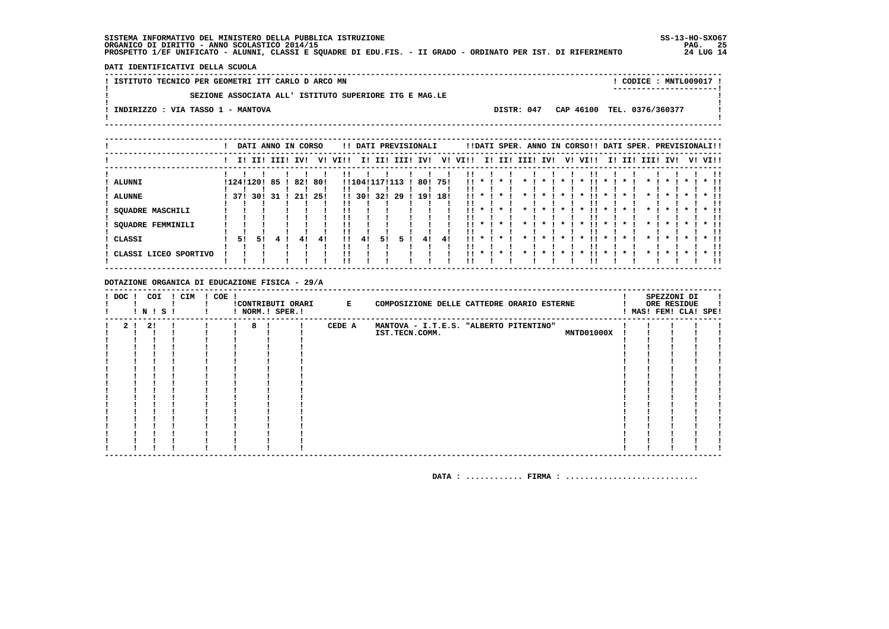SS-13-HO-SX067 PAG. 25 24 LUG 14

DATI IDENTIFICATIVI DELLA SCUOLA

! ISTITUTO TECNICO PER GEOMETRI ITT CARLO D ARCO MN ! CODICE : MNTL009017 !  $\mathbf{I}$ SEZIONE ASSOCIATA ALL' ISTITUTO SUPERIORE ITG E MAG.LE  $\mathbf{I}$ - 1  $\mathbf{I}$ -: INDIRIZZO : VIA TASSO 1 - MANTOVA DISTR: 047 CAP 46100 TEL. 0376/360377  $\sim$  1  $\mathbf{I}$  $\mathbf{I}$ 

|                       |     |           |             | DATI ANNO IN CORSO |      |          |           |     |      | !! DATI PREVISIONALI |     |      |             |         |      |     |    | !!DATI SPER. ANNO IN CORSO!! DATI SPER. PREVISIONALI!! |                    |     |      |                    |         |              |
|-----------------------|-----|-----------|-------------|--------------------|------|----------|-----------|-----|------|----------------------|-----|------|-------------|---------|------|-----|----|--------------------------------------------------------|--------------------|-----|------|--------------------|---------|--------------|
|                       |     |           | I! II! III! | IV!                | V!   | VIII     | ΙI        | II! | III! | IV!                  | V!  | VI!! | I!          | II!     | III! | IV! | V! | VI!!                                                   | II.                | II! | III! | IV!                | V! VI!! |              |
| <b>ALUNNI</b>         |     | !124!120! | 85          | 82!                | 80!  |          | !!104!117 |     | L13  | 80!                  | 751 | !!   |             |         |      |     |    |                                                        |                    |     |      |                    |         |              |
| <b>ALUNNE</b>         | 37! | 30!       | 31          | 21!                | -25! |          | !! 30!    | 32! | -29  | 19!                  | 18! | !!   |             |         |      |     |    |                                                        |                    |     |      |                    |         |              |
| SQUADRE MASCHILI      |     |           |             |                    |      |          |           |     |      |                      |     |      |             |         |      |     |    | $\star$                                                | $\boldsymbol{\pi}$ |     |      | $\cdot$            |         |              |
| SQUADRE FEMMINILI     |     |           |             |                    |      | !!<br>!! |           |     |      |                      |     | . .  | $\cdot$     | $\cdot$ |      |     |    | $\boldsymbol{\ast}$                                    | $\mathbf x$        |     |      | $\boldsymbol{\pi}$ |         | $*$ !!<br>!! |
| CLASSI                | 51  | 51        |             | 4!                 | 41   | !!       | 41        | 51  |      | 41                   | 41  | . .  | $\mathbf x$ | $\cdot$ |      |     |    | $\boldsymbol{\pi}$                                     | $\boldsymbol{\pi}$ |     |      | $\boldsymbol{\pi}$ |         | $*$ 11<br>ΙI |
| CLASSI LICEO SPORTIVO |     |           |             |                    |      | !!       |           |     |      |                      |     | . .  | $\cdot$     | $\cdot$ |      | *   |    | $\boldsymbol{\ast}$                                    | $\boldsymbol{\pi}$ |     | *    | $\cdot$            |         | $*$ !!<br>!! |

### DOTAZIONE ORGANICA DI EDUCAZIONE FISICA - 29/A

| $!$ DOC $!$ |     | COI<br>! N ! S ! | ! CIM | $! COE$ ! |                   | !CONTRIBUTI ORARI E<br>! NORM.! SPER.! |        | COMPOSIZIONE DELLE CATTEDRE ORARIO ESTERNE               |            |  | SPEZZONI DI<br>ORE RESIDUE<br>MAS! FEM! CLA! SPE! |  |
|-------------|-----|------------------|-------|-----------|-------------------|----------------------------------------|--------|----------------------------------------------------------|------------|--|---------------------------------------------------|--|
| 21          | -21 |                  |       |           | 8<br>$\mathbf{I}$ |                                        | CEDE A | MANTOVA - I.T.E.S. "ALBERTO PITENTINO"<br>IST.TECN.COMM. | MNTD01000X |  |                                                   |  |
|             |     |                  |       |           |                   |                                        |        |                                                          |            |  |                                                   |  |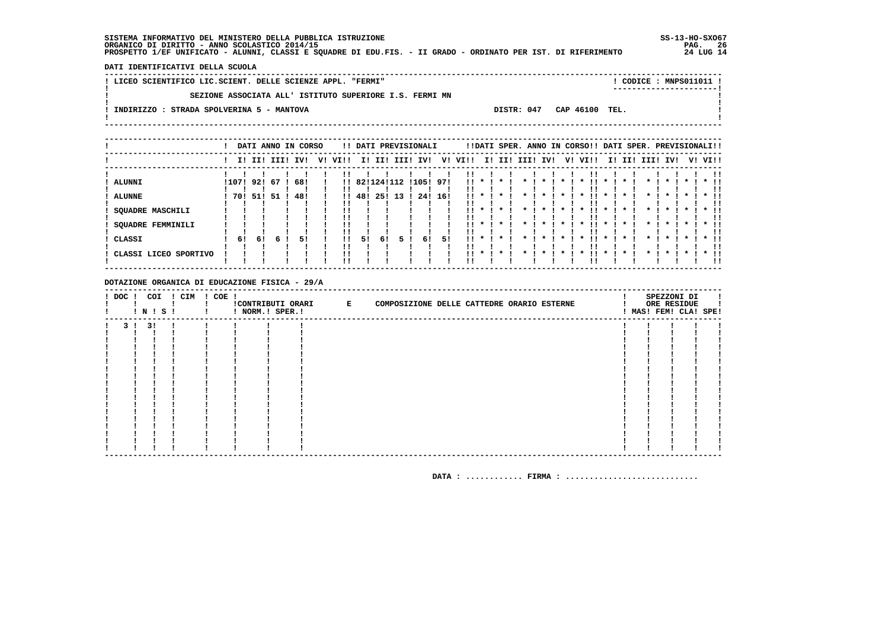DATI IDENTIFICATIVI DELLA SCUOLA

| ! LICEO SCIENTIFICO LIC.SCIENT. DELLE SCIENZE APPL. "FERMI" |                           | ! CODICE : MNPS011011 ! |  |
|-------------------------------------------------------------|---------------------------|-------------------------|--|
| SEZIONE ASSOCIATA ALL' ISTITUTO SUPERIORE I.S. FERMI MN     |                           | ----------------------  |  |
|                                                             |                           |                         |  |
| STRADA SPOLVERINA 5 - MANTOVA<br>INDIRIZZO :                | DISTR: 047 CAP 46100 TEL. |                         |  |
|                                                             |                           |                         |  |
|                                                             |                           |                         |  |

|                          |     |              |   | DATI ANNO IN CORSO |         |               |      |             | !! DATI PREVISIONALI |     |           |                    |              |      |     |              | !!DATI SPER. ANNO IN CORSO!! DATI SPER. PREVISIONALI!! |    |     |      |     |  |               |
|--------------------------|-----|--------------|---|--------------------|---------|---------------|------|-------------|----------------------|-----|-----------|--------------------|--------------|------|-----|--------------|--------------------------------------------------------|----|-----|------|-----|--|---------------|
|                          |     |              |   | I! II! III! IV!    | V! VI!! |               |      | I! II! III! | IV!                  | V!  | VI!!      |                    | I! II!       | III! | IV! | V!           | VI!!                                                   | I! | II! | III! | IV! |  | V! VI!!       |
| ! ALUNNI                 |     | !107! 92! 67 |   | 68!                |         | !! 82!124!112 |      |             | !105!                | 97! | !!        |                    |              |      |     |              |                                                        |    |     |      |     |  |               |
| ! ALUNNE                 | 701 | 51! 51       |   | 48!                |         | 48!           | -251 | 13          | 24!                  | 16! | . .       |                    |              |      |     |              |                                                        |    |     |      |     |  |               |
| <b>SQUADRE MASCHILI</b>  |     |              |   |                    |         |               |      |             |                      |     | !!        |                    |              |      |     |              |                                                        |    |     |      |     |  |               |
| <b>SQUADRE FEMMINILI</b> |     |              |   |                    |         |               |      |             |                      |     | 11.<br>!! | $\mathbf{x}$       | $\mathbf{x}$ |      |     | $\mathbf{x}$ | $\boldsymbol{\pi}$                                     |    |     |      |     |  | !!            |
| ! CLASSI                 | 61  | 61           | 6 | 51                 |         | 51            | 61   |             | 61                   | 51  | 11.<br>!! | $\boldsymbol{\pi}$ | $\star$      |      |     |              |                                                        |    |     |      |     |  | $*$ !!<br>!!  |
| ! CLASSI LICEO SPORTIVO  |     |              |   |                    |         |               |      |             |                      |     | 11.       | $\star$            | $\star$      |      |     |              |                                                        |    |     |      |     |  | $*$ 11<br>. . |

DOTAZIONE ORGANICA DI EDUCAZIONE FISICA - 29/A

| ! DOC ! COI | ! N ! S ! | ! CIM | ! COE ! | ! NORM.! SPER.! | !CONTRIBUTI ORARI E | COMPOSIZIONE DELLE CATTEDRE ORARIO ESTERNE |  |  |  | SPEZZONI DI<br>ORE RESIDUE<br>! MAS! FEM! CLA! SPE! |  |
|-------------|-----------|-------|---------|-----------------|---------------------|--------------------------------------------|--|--|--|-----------------------------------------------------|--|
|             | 3 ! 3 !   |       |         |                 |                     |                                            |  |  |  |                                                     |  |
|             |           |       |         |                 |                     |                                            |  |  |  |                                                     |  |
|             |           |       |         |                 |                     |                                            |  |  |  |                                                     |  |
|             |           |       |         |                 |                     |                                            |  |  |  |                                                     |  |
|             |           |       |         |                 |                     |                                            |  |  |  |                                                     |  |
|             |           |       |         |                 |                     |                                            |  |  |  |                                                     |  |
|             |           |       |         |                 |                     |                                            |  |  |  |                                                     |  |
|             |           |       |         |                 |                     |                                            |  |  |  |                                                     |  |
|             |           |       |         |                 |                     |                                            |  |  |  |                                                     |  |
|             |           |       |         |                 |                     |                                            |  |  |  |                                                     |  |
|             |           |       |         |                 |                     |                                            |  |  |  |                                                     |  |
|             |           |       |         |                 |                     |                                            |  |  |  |                                                     |  |
|             |           |       |         |                 |                     |                                            |  |  |  |                                                     |  |
|             |           |       |         |                 |                     |                                            |  |  |  |                                                     |  |
|             |           |       |         |                 |                     |                                            |  |  |  |                                                     |  |
|             |           |       |         |                 |                     |                                            |  |  |  |                                                     |  |
|             |           |       |         |                 |                     |                                            |  |  |  |                                                     |  |
|             |           |       |         |                 |                     |                                            |  |  |  |                                                     |  |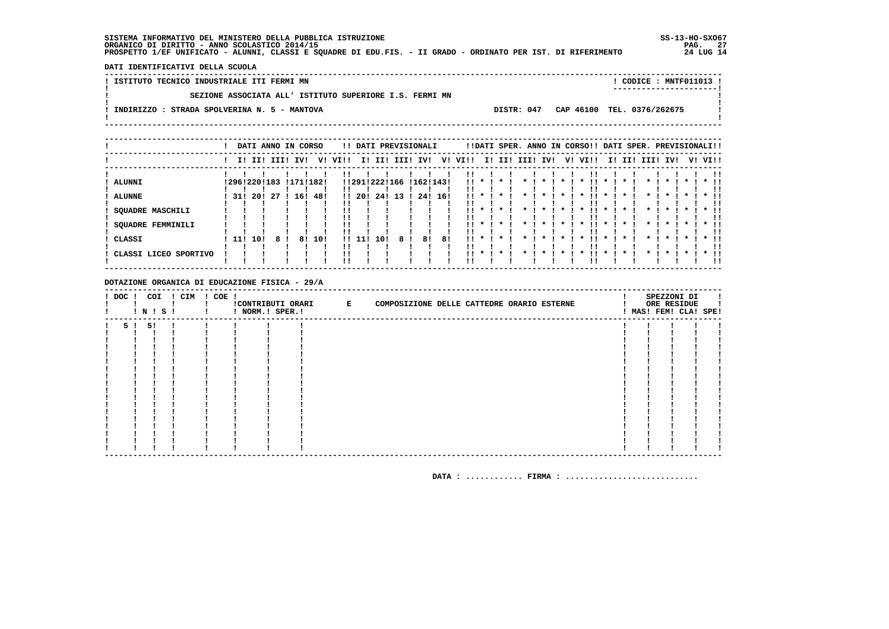SS-13-HO-SX067 PAG. 27 24 LUG 14

DATI IDENTIFICATIVI DELLA SCUOLA

! ISTITUTO TECNICO INDUSTRIALE ITI FERMI MN ! CODICE : MNTF011013 !  $\mathbf{I}$ SEZIONE ASSOCIATA ALL' ISTITUTO SUPERIORE I.S. FERMI MN  $\mathbf{I}$  $\overline{\phantom{a}}$  $\mathbf{I}$ -.<br>! INDIRIZZO : STRADA SPOLVERINA N. 5 - MANTOVA DISTR: 047 CAP 46100 TEL. 0376/262675 **Contract Contract**  $\mathbf{I}$  $\mathbf{I}$ 

|                                                                  |     |                          |    | DATI ANNO IN CORSO |     |              |        |     |        | !! DATI PREVISIONALI    |         |                                       |                                              |         |                 |                    | !!DATI SPER. ANNO IN CORSO!! DATI SPER. PREVISIONALI!! |                                  |                    |                 |         |                                   |
|------------------------------------------------------------------|-----|--------------------------|----|--------------------|-----|--------------|--------|-----|--------|-------------------------|---------|---------------------------------------|----------------------------------------------|---------|-----------------|--------------------|--------------------------------------------------------|----------------------------------|--------------------|-----------------|---------|-----------------------------------|
|                                                                  |     | I! II! III! IV!          |    |                    |     | V! VI!!      |        |     |        | I! II! III! IV!         |         | V! VI!!                               |                                              |         | I! II! III! IV! |                    | V! VI!!                                                |                                  |                    | I! II! III! IV! |         | V! VI!!                           |
| ALUNNI<br><b>ALUNNE</b><br>SQUADRE MASCHILI<br>SQUADRE FEMMINILI | 31! | ! 296 ! 220 ! 183<br>201 | 27 | !171!182!<br>16!   | 48! | !!           | !! 20! |     | 24! 13 | !!291!222!166 !162!143! | 24! 16! | !!<br>!!<br>11.<br>!!<br>!!<br>!!<br> | $11 \star$<br>$\boldsymbol{\ast}$<br>$\cdot$ | $\star$ |                 | $\mathbf{r}$       | $\star$                                                | . .<br>. .<br>$\boldsymbol{\pi}$ | $\boldsymbol{\pi}$ |                 |         | . .<br>$*$ 11<br>$*$ 11<br>$*$ 11 |
| CLASSI<br>CLASSI LICEO SPORTIVO                                  | 11! | 10!                      |    | 81                 | 10! | $\mathbf{H}$ | 11!    | 10! | 8      | 81                      | 81      | !!<br>. .<br>!!<br>11.                | $\boldsymbol{\ast}$                          | $\star$ |                 | $\boldsymbol{\pi}$ | $\star$                                                | $\mathbf{x}$                     | $\mathbf{x}$       |                 | $\star$ | $*$ 11<br>$*$ 11                  |

DOTAZIONE ORGANICA DI EDUCAZIONE FISICA - 29/A

| $!$ DOC $!$ | COI     | <b>! N ! S !</b> | ! CIM | ! COE ! | ! NORM.! SPER.! | CONTRIBUTI ORARI E | COMPOSIZIONE DELLE CATTEDRE ORARIO ESTERNE |  |  |  | SPEZZONI DI<br>ORE RESIDUE<br>! MAS! FEM! CLA! SPE! |  |
|-------------|---------|------------------|-------|---------|-----------------|--------------------|--------------------------------------------|--|--|--|-----------------------------------------------------|--|
|             | 5 1 5 1 |                  | -1    |         |                 |                    |                                            |  |  |  |                                                     |  |
|             |         |                  |       |         |                 |                    |                                            |  |  |  |                                                     |  |
|             |         |                  |       |         |                 |                    |                                            |  |  |  |                                                     |  |
|             |         |                  |       |         |                 |                    |                                            |  |  |  |                                                     |  |
|             |         |                  |       |         |                 |                    |                                            |  |  |  |                                                     |  |
|             |         |                  |       |         |                 |                    |                                            |  |  |  |                                                     |  |
|             |         |                  |       |         |                 |                    |                                            |  |  |  |                                                     |  |
|             |         |                  |       |         |                 |                    |                                            |  |  |  |                                                     |  |
|             |         |                  |       |         |                 |                    |                                            |  |  |  |                                                     |  |
|             |         |                  |       |         |                 |                    |                                            |  |  |  |                                                     |  |
|             |         |                  |       |         |                 |                    |                                            |  |  |  |                                                     |  |
|             |         |                  |       |         |                 |                    |                                            |  |  |  |                                                     |  |
|             |         |                  |       |         |                 |                    |                                            |  |  |  |                                                     |  |
|             |         |                  |       |         |                 |                    |                                            |  |  |  |                                                     |  |
|             |         |                  |       |         |                 |                    |                                            |  |  |  |                                                     |  |
|             |         |                  |       |         |                 |                    |                                            |  |  |  |                                                     |  |
|             |         |                  |       |         |                 |                    |                                            |  |  |  |                                                     |  |
|             |         |                  |       |         |                 |                    |                                            |  |  |  |                                                     |  |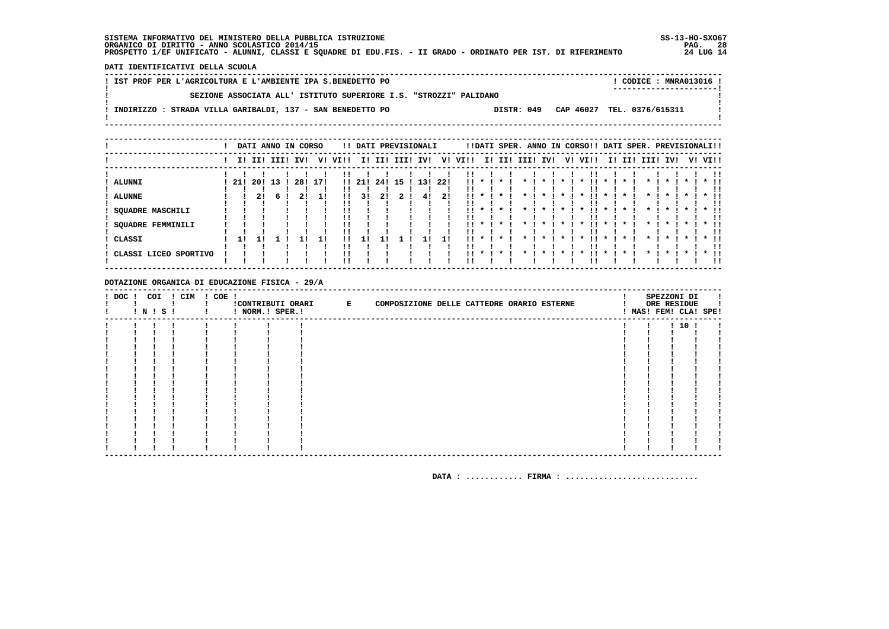DATI IDENTIFICATIVI DELLA SCUOLA

| ! IST PROF PER L'AGRICOLTURA E L'AMBIENTE IPA S.BENEDETTO PO      |                                       | CODICE: MNRA013016! |
|-------------------------------------------------------------------|---------------------------------------|---------------------|
| SEZIONE ASSOCIATA ALL' ISTITUTO SUPERIORE I.S. "STROZZI" PALIDANO |                                       |                     |
| : INDIRIZZO : STRADA VILLA GARIBALDI, 137 - SAN BENEDETTO PO      | DISTR: 049 CAP 46027 TEL. 0376/615311 |                     |
|                                                                   |                                       |                     |

|                       |     | DATI ANNO IN CORSO |  |     |     |      |       |        |     | !! DATI PREVISIONALI |      |                 |                    | !!DATI SPER. ANNO IN CORSO!! DATI SPER. PREVISIONALI!! |  |    |                     |                    |  |                 |                     |                     |         |              |
|-----------------------|-----|--------------------|--|-----|-----|------|-------|--------|-----|----------------------|------|-----------------|--------------------|--------------------------------------------------------|--|----|---------------------|--------------------|--|-----------------|---------------------|---------------------|---------|--------------|
|                       |     | I! II! III!        |  | IV! | V!  | VIII |       | I! II! |     | III! IV!             | V!   | VI!!            |                    | I! II! III! IV!                                        |  | V! | VI!!                |                    |  | I! II! III! IV! |                     |                     | V! VI!! |              |
| <b>ALUNNI</b>         | 21! | 201 13             |  | 28! | 171 |      | 11211 | 241    | -15 | 131                  | -221 | $\mathbf{11}$ * |                    | $\star$                                                |  |    | $\boldsymbol{\ast}$ |                    |  |                 | $\boldsymbol{\pi}$  | $\boldsymbol{\ast}$ |         |              |
| <b>ALUNNE</b>         |     | 21                 |  |     | 11  | !!   | 31    | 21     |     | 41                   | 21   |                 |                    |                                                        |  |    |                     |                    |  |                 |                     |                     |         | $*$ !!       |
| SQUADRE MASCHILI      |     |                    |  |     |     |      |       |        |     |                      |      | !!              | $\boldsymbol{\pi}$ | $\boldsymbol{\pi}$                                     |  |    | $\boldsymbol{\pi}$  |                    |  |                 | $\boldsymbol{\pi}$  |                     |         | $*$ !!       |
| SQUADRE FEMMINILI     |     |                    |  |     |     | !!   |       |        |     |                      |      | . .             | $\mathbf x$        | $\cdot$                                                |  |    | $\boldsymbol{\ast}$ | $\mathbf{x}$       |  |                 |                     |                     |         | $*$ !!       |
| CLASSI                | 1!  |                    |  |     |     | !!   |       |        |     |                      |      | . .             | $\mathbf{x}$       | $\cdot$                                                |  |    | $\mathbf x$         | $\boldsymbol{\pi}$ |  |                 | $\mathbf x$         |                     |         | $*$ !!       |
| CLASSI LICEO SPORTIVO |     |                    |  |     |     |      |       |        |     |                      |      | . .             | $\mathbf{x}$       |                                                        |  |    |                     |                    |  |                 | $\boldsymbol{\ast}$ |                     |         | $*$ 11<br>!! |

DOTAZIONE ORGANICA DI EDUCAZIONE FISICA - 29/A

| $!$ DOC $!$ | COI<br>$!$ N $!$ S $!$ | ! CIM | ! COE ! | ! NORM.! SPER.! | CONTRIBUTI ORARI E | COMPOSIZIONE DELLE CATTEDRE ORARIO ESTERNE |  |  |  | SPEZZONI DI<br>ORE RESIDUE<br>! MAS! FEM! CLA! SPE! |  |
|-------------|------------------------|-------|---------|-----------------|--------------------|--------------------------------------------|--|--|--|-----------------------------------------------------|--|
|             |                        |       |         |                 |                    |                                            |  |  |  | 1101                                                |  |
|             |                        |       |         |                 |                    |                                            |  |  |  |                                                     |  |
|             |                        |       |         |                 |                    |                                            |  |  |  |                                                     |  |
|             |                        |       |         |                 |                    |                                            |  |  |  |                                                     |  |
|             |                        |       |         |                 |                    |                                            |  |  |  |                                                     |  |
|             |                        |       |         |                 |                    |                                            |  |  |  |                                                     |  |
|             |                        |       |         |                 |                    |                                            |  |  |  |                                                     |  |
|             |                        |       |         |                 |                    |                                            |  |  |  |                                                     |  |
|             |                        |       |         |                 |                    |                                            |  |  |  |                                                     |  |
|             |                        |       |         |                 |                    |                                            |  |  |  |                                                     |  |
|             |                        |       |         |                 |                    |                                            |  |  |  |                                                     |  |
|             |                        |       |         |                 |                    |                                            |  |  |  |                                                     |  |
|             |                        |       |         |                 |                    |                                            |  |  |  |                                                     |  |
|             |                        |       |         |                 |                    |                                            |  |  |  |                                                     |  |
|             |                        |       |         |                 |                    |                                            |  |  |  |                                                     |  |
|             |                        |       |         |                 |                    |                                            |  |  |  |                                                     |  |
|             |                        |       |         |                 |                    |                                            |  |  |  |                                                     |  |
|             |                        |       |         |                 |                    |                                            |  |  |  |                                                     |  |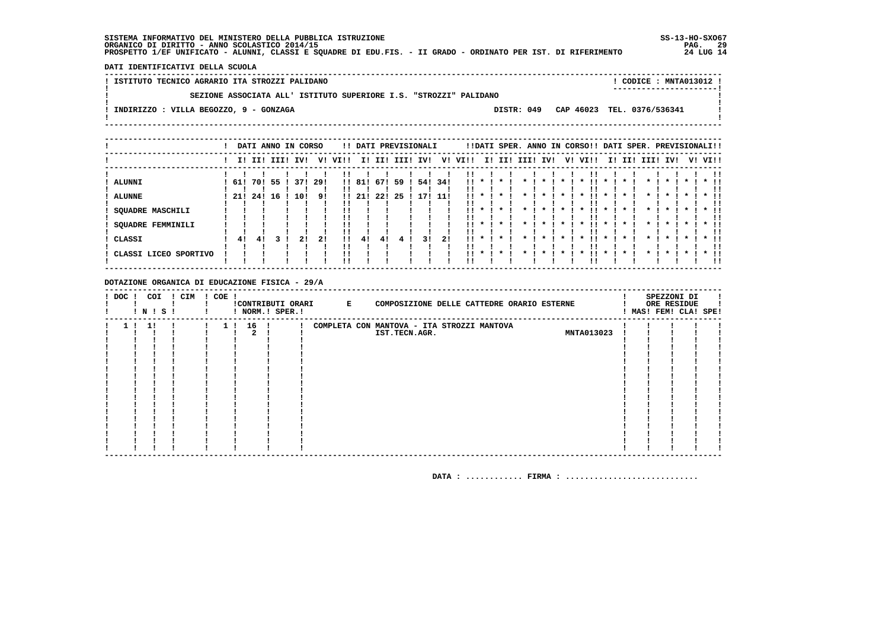DATI IDENTIFICATIVI DELLA SCUOLA

! ISTITUTO TECNICO AGRARIO ITA STROZZI PALIDANO ! CODICE : MNTA013012 !  $\mathbf{I}$ SEZIONE ASSOCIATA ALL' ISTITUTO SUPERIORE I.S. "STROZZI" PALIDANO  $\mathbf{I}$ - 1  $\mathbf{I}$ -: INDIRIZZO : VILLA BEGOZZO, 9 - GONZAGA DISTR: 049 CAP 46023 TEL. 0376/536341 **Contract Contract**  $\mathbf{I}$  $\mathbf{I}$ 

|                       |      |             |    | DATI ANNO IN CORSO |      |      |        |     | !! DATI PREVISIONALI |     |      |      |              |                    |      |                    | !!DATI SPER. ANNO IN CORSO!! DATI SPER. PREVISIONALI!! |              |     |              |         |         |         |               |
|-----------------------|------|-------------|----|--------------------|------|------|--------|-----|----------------------|-----|------|------|--------------|--------------------|------|--------------------|--------------------------------------------------------|--------------|-----|--------------|---------|---------|---------|---------------|
|                       |      | I! II! III! |    | IV!                | V!   | VI!! | II.    | II! | III!                 | IV! | V!   | VIII |              | I! II!             | III! | IV!                | V! VI!!                                                | II.          | II! | III!         | IV!     |         | V! VI!! |               |
| <b>ALUNNI</b>         | 61!  | 70!         | 55 | 371                | -29! |      | !! 81! | 67! | 59                   | 54! | 34!  | !!   |              |                    |      |                    |                                                        |              |     |              |         |         |         |               |
| <b>ALUNNE</b>         | -21! | 24!         | 16 | 10!                | 9!   |      | !! 21! | 22! | 25                   | 171 | -11! | !!   |              |                    |      |                    |                                                        |              |     |              |         |         |         |               |
| SQUADRE MASCHILI      |      |             |    |                    |      |      |        |     |                      |     |      |      |              |                    |      |                    |                                                        |              |     |              |         |         |         |               |
| SQUADRE FEMMINILI     |      |             |    |                    |      |      |        |     |                      |     |      |      | $11 * 1$     | $\boldsymbol{\pi}$ |      | $\boldsymbol{\pi}$ | !!<br>$\boldsymbol{\ast}$                              | $\mathbf{x}$ |     | $\mathbf{r}$ | $\star$ | $\cdot$ |         | $*$ !!        |
| CLASSI                | 41   | 41          |    |                    | 21   | -11  | 41     | 4!  |                      |     | 21   | . .  | $\mathbf{x}$ |                    |      |                    |                                                        |              |     |              |         |         |         | $*$ !!<br>-11 |
| CLASSI LICEO SPORTIVO |      |             |    |                    |      |      |        |     |                      |     |      | 11.  | $\cdot$      |                    |      |                    |                                                        |              |     |              |         |         |         | $*$ 11<br>-11 |

### DOTAZIONE ORGANICA DI EDUCAZIONE FISICA - 29/A

| ! DOC ! |    | COI<br>! N ! S ! | ! CIM | $! COE$ ! |          | ! NORM.! SPER.! | !CONTRIBUTI ORARI E | COMPOSIZIONE DELLE CATTEDRE ORARIO ESTERNE                  |                   |  | SPEZZONI DI<br>ORE RESIDUE<br>! MAS! FEM! CLA! SPE! |  |
|---------|----|------------------|-------|-----------|----------|-----------------|---------------------|-------------------------------------------------------------|-------------------|--|-----------------------------------------------------|--|
| 11      | 11 |                  |       |           | 1 ! 16 ! |                 |                     | COMPLETA CON MANTOVA - ITA STROZZI MANTOVA<br>IST.TECN.AGR. | <b>MNTA013023</b> |  |                                                     |  |
|         |    |                  |       |           |          |                 |                     |                                                             |                   |  |                                                     |  |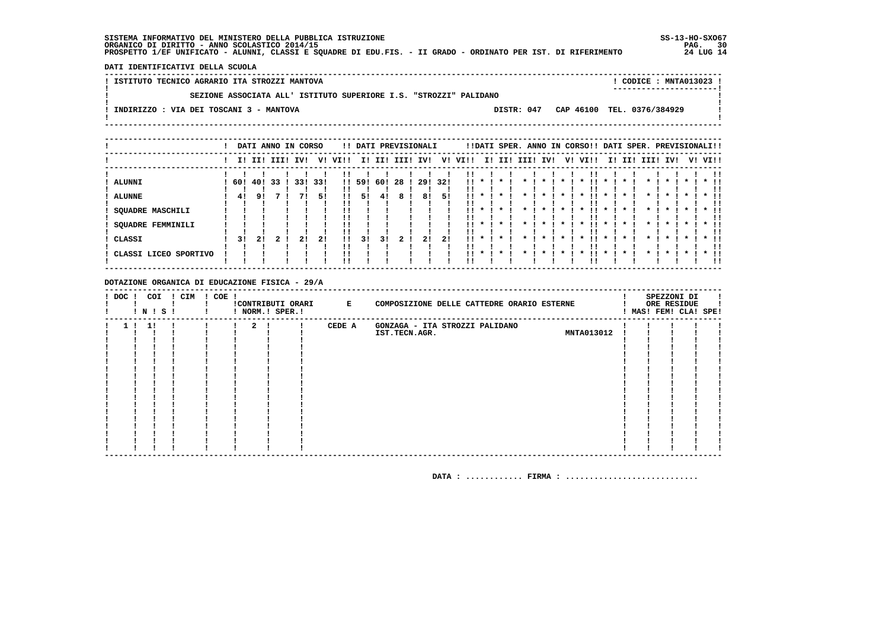DATI IDENTIFICATIVI DELLA SCUOLA

! ISTITUTO TECNICO AGRARIO ITA STROZZI MANTOVA ! CODICE : MNTA013023 !  $\mathbf{I}$ SEZIONE ASSOCIATA ALL' ISTITUTO SUPERIORE I.S. "STROZZI" PALIDANO  $\mathbf{I}$ - 1  $\mathbf{I}$ -: INDIRIZZO : VIA DEI TOSCANI 3 - MANTOVA DISTR: 047 CAP 46100 TEL. 0376/384929 **Contract Contract**  $\mathbf{I}$  $\mathbf{I}$  $- - - - - -$ 

|                       |     |             |    | DATI ANNO IN CORSO |     |              |     |     | !! DATI PREVISIONALI |     |      |      |              |         |      |                    |    | !!DATI SPER. ANNO IN CORSO!! DATI SPER. PREVISIONALI!! |              |     |      |              |         |              |
|-----------------------|-----|-------------|----|--------------------|-----|--------------|-----|-----|----------------------|-----|------|------|--------------|---------|------|--------------------|----|--------------------------------------------------------|--------------|-----|------|--------------|---------|--------------|
|                       |     | I! II! III! |    | IV!                | V!  | VI!!         | ΙI  | II! | III!                 | IV! | V!   | VI!! | II.          | III     | III! | IV!                | V! | VI!!                                                   | II.          | II! | III! | IV!          | V! VI!! |              |
| <b>ALUNNI</b>         | 60! | 40!         | 33 | 33!                | 33! | $\mathbf{1}$ | 59! | 60! | -28                  | 29! | -32! |      |              |         |      |                    |    |                                                        |              |     |      |              |         |              |
| <b>ALUNNE</b>         | 41  | 91          |    |                    | 51  | !!           | 51  | 41  | 8                    | 81  | 51   |      |              |         |      |                    |    |                                                        |              |     |      |              |         |              |
| SQUADRE MASCHILI      |     |             |    |                    |     |              |     |     |                      |     |      |      |              |         |      |                    |    |                                                        |              |     |      |              |         |              |
| SQUADRE FEMMINILI     |     |             |    |                    |     |              |     |     |                      |     |      |      | $\mathbf{r}$ | $\cdot$ |      | $\boldsymbol{\pi}$ |    | !!<br>$\mathbf{x}$                                     | $\mathbf{x}$ |     |      | $\mathbf{x}$ |         | $*$ !!<br>!! |
| CLASSI                | 31  | 21          |    | 21                 | 21  | !!           | 31  | 31  |                      | 2!  | 21   | . .  |              |         |      |                    |    |                                                        |              |     |      |              |         | $*$ !!<br>!! |
| CLASSI LICEO SPORTIVO |     |             |    |                    |     | !!           |     |     |                      |     |      | . .  | $\cdot$      | $\cdot$ |      |                    |    |                                                        |              |     |      |              |         | $*$ 11<br>!! |

DOTAZIONE ORGANICA DI EDUCAZIONE FISICA - 29/A

| $!$ DOC $!$ | COI<br>! N ! S ! | ! CIM | $! COE$ ! |              | ! NORM.! SPER.! | !CONTRIBUTI ORARI E | COMPOSIZIONE DELLE CATTEDRE ORARIO ESTERNE                           |  | SPEZZONI DI<br>ORE RESIDUE<br>MAS! FEM! CLA! SPE! |  |
|-------------|------------------|-------|-----------|--------------|-----------------|---------------------|----------------------------------------------------------------------|--|---------------------------------------------------|--|
|             | 1!               |       |           | $\mathbf{2}$ |                 | CEDE A              | GONZAGA - ITA STROZZI PALIDANO<br><b>MNTA013012</b><br>IST.TECN.AGR. |  |                                                   |  |
|             |                  |       |           |              |                 |                     |                                                                      |  |                                                   |  |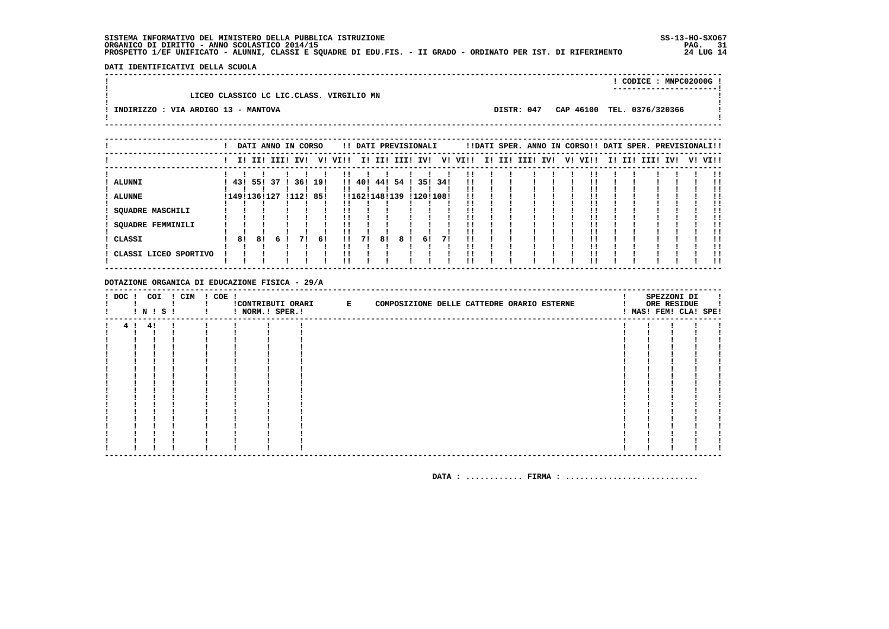SS-13-HO-SX067 PAG. 31<br>24 LUG 14

DATI IDENTIFICATIVI DELLA SCUOLA

|                                          |            | CODICE: MNPC02000G!        |  |
|------------------------------------------|------------|----------------------------|--|
| LICEO CLASSICO LC LIC.CLASS. VIRGILIO MN |            |                            |  |
| INDIRIZZO : VIA ARDIGO 13 - MANTOVA      | DISTR: 047 | CAP 46100 TEL. 0376/320366 |  |
|                                          |            |                            |  |

|                                                                                  |              |    | DATI ANNO IN CORSO |                  |     |                    |                         |     |    | !! DATI PREVISIONALI |     |          |  | !!DATI SPER. ANNO IN CORSO!! DATI SPER. PREVISIONALI!! |  |         |  |             |     |         |
|----------------------------------------------------------------------------------|--------------|----|--------------------|------------------|-----|--------------------|-------------------------|-----|----|----------------------|-----|----------|--|--------------------------------------------------------|--|---------|--|-------------|-----|---------|
|                                                                                  |              |    | I! II! III! IV!    |                  |     | V! VI!!            |                         |     |    | I! II! III! IV!      | V!  | VIII     |  | I! II! III! IV!                                        |  | V! VI!! |  | I! II! III! | IV! | V! VI!! |
| ! ALUNNI<br><b>ALUNNE</b><br><b>SQUADRE MASCHILI</b><br><b>SQUADRE FEMMINILI</b> | !149!136!127 |    | 43! 55! 37 !       | 36! 19!<br>!112! | 85! |                    | !! 40!<br>!!162!148!139 | 44! | 54 | 35!<br>!120!108!     | 34! | !!<br>!! |  |                                                        |  |         |  |             |     |         |
| ! CLASSI<br>! CLASSI LICEO SPORTIVO                                              | 81           | 8! | 6!                 | 71               | 6!  | $\mathbf{H}$<br>!! | 71                      | 8!  | 8  | 6!                   | 71  |          |  |                                                        |  |         |  |             |     |         |

DOTAZIONE ORGANICA DI EDUCAZIONE FISICA - 29/A

| $!$ DOC $!$ | COI   | <b>! N ! S !</b> | ! CIM | ! COE ! | ! NORM.! SPER.! | CONTRIBUTI ORARI E | COMPOSIZIONE DELLE CATTEDRE ORARIO ESTERNE |  |  |  | SPEZZONI DI<br>ORE RESIDUE<br>! MAS! FEM! CLA! SPE! |  |
|-------------|-------|------------------|-------|---------|-----------------|--------------------|--------------------------------------------|--|--|--|-----------------------------------------------------|--|
|             | 4! 4! |                  | -1    |         |                 |                    |                                            |  |  |  |                                                     |  |
|             |       |                  |       |         |                 |                    |                                            |  |  |  |                                                     |  |
|             |       |                  |       |         |                 |                    |                                            |  |  |  |                                                     |  |
|             |       |                  |       |         |                 |                    |                                            |  |  |  |                                                     |  |
|             |       |                  |       |         |                 |                    |                                            |  |  |  |                                                     |  |
|             |       |                  |       |         |                 |                    |                                            |  |  |  |                                                     |  |
|             |       |                  |       |         |                 |                    |                                            |  |  |  |                                                     |  |
|             |       |                  |       |         |                 |                    |                                            |  |  |  |                                                     |  |
|             |       |                  |       |         |                 |                    |                                            |  |  |  |                                                     |  |
|             |       |                  |       |         |                 |                    |                                            |  |  |  |                                                     |  |
|             |       |                  |       |         |                 |                    |                                            |  |  |  |                                                     |  |
|             |       |                  |       |         |                 |                    |                                            |  |  |  |                                                     |  |
|             |       |                  |       |         |                 |                    |                                            |  |  |  |                                                     |  |
|             |       |                  |       |         |                 |                    |                                            |  |  |  |                                                     |  |
|             |       |                  |       |         |                 |                    |                                            |  |  |  |                                                     |  |
|             |       |                  |       |         |                 |                    |                                            |  |  |  |                                                     |  |
|             |       |                  |       |         |                 |                    |                                            |  |  |  |                                                     |  |
|             |       |                  |       |         |                 |                    |                                            |  |  |  |                                                     |  |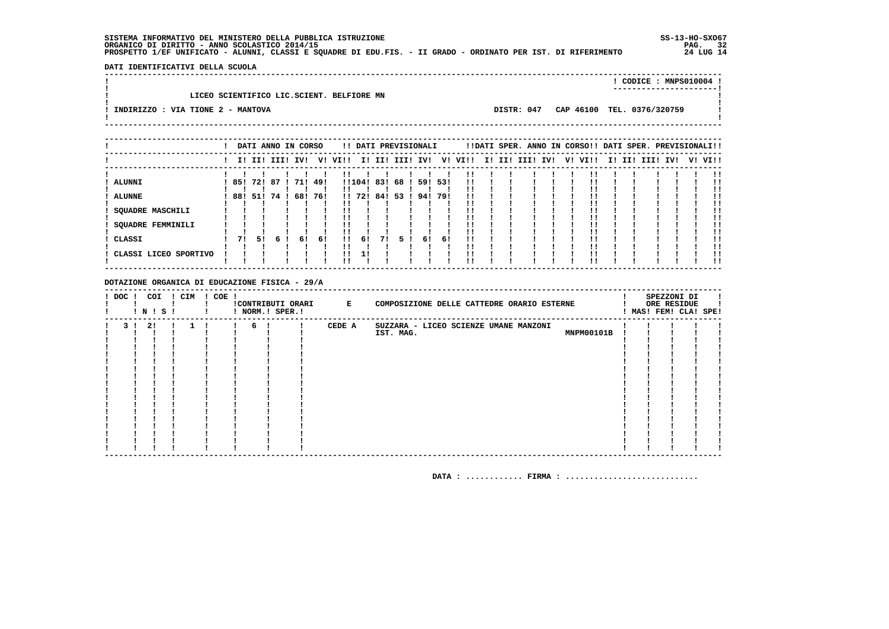SS-13-HO-SX067 PAG. 32<br>24 LUG 14

DATI IDENTIFICATIVI DELLA SCUOLA

|                                   |                                           |  |            |  |                            | CODICE: MNPS010004! |  |
|-----------------------------------|-------------------------------------------|--|------------|--|----------------------------|---------------------|--|
|                                   |                                           |  |            |  |                            |                     |  |
|                                   | LICEO SCIENTIFICO LIC.SCIENT. BELFIORE MN |  |            |  |                            |                     |  |
|                                   |                                           |  |            |  |                            |                     |  |
| INDIRIZZO : VIA TIONE 2 - MANTOVA |                                           |  | DISTR: 047 |  | CAP 46100 TEL. 0376/320759 |                     |  |
|                                   |                                           |  |            |  |                            |                     |  |
|                                   |                                           |  |            |  |                            |                     |  |

|                                                                                       |     |                |          | DATI ANNO IN CORSO |                |              |                           |     | !! DATI PREVISIONALI |                 |     |                |  | !!DATI SPER. ANNO IN CORSO!! DATI SPER. PREVISIONALI!! |  |         |  |                         |  |     |
|---------------------------------------------------------------------------------------|-----|----------------|----------|--------------------|----------------|--------------|---------------------------|-----|----------------------|-----------------|-----|----------------|--|--------------------------------------------------------|--|---------|--|-------------------------|--|-----|
|                                                                                       |     |                |          | I! II! III! IV!    |                | V! VI!!      |                           |     | I! II! III! IV!      |                 |     | V! VI!!        |  | I! II! III! IV!                                        |  | V! VI!! |  | I! II! III! IV! V! VI!! |  |     |
| <b>ALUNNI</b><br><b>ALUNNE</b><br><b>SQUADRE MASCHILI</b><br><b>SQUADRE FEMMINILI</b> | 88! | 85! 72!<br>51! | 87<br>74 | 68!                | 71! 49!<br>76! |              | !!104! 83!<br>$11 \t 721$ | 84! | 68<br>53             | 59! 53!<br>94 ! | 791 | !!<br>!!<br>!! |  |                                                        |  |         |  |                         |  | -11 |
| ! CLASSI                                                                              | 71  | 51             | 61       | 61                 | 6!             | $\mathbf{H}$ | 6!                        | 71  | 51                   | 61              | 6!  | !!             |  |                                                        |  |         |  |                         |  |     |
| ! CLASSI LICEO SPORTIVO                                                               |     |                |          |                    |                |              |                           |     |                      |                 |     |                |  |                                                        |  |         |  |                         |  |     |

DOTAZIONE ORGANICA DI EDUCAZIONE FISICA - 29/A

| $!$ DOC $ $ | COI<br>! N ! S ! | ! CIM | $! COE$ ! |   | ! NORM.! SPER.! | !CONTRIBUTI ORARI E |        | COMPOSIZIONE DELLE CATTEDRE ORARIO ESTERNE |  | SPEZZONI DI<br>ORE RESIDUE | ! MAS! FEM! CLA! SPE! |
|-------------|------------------|-------|-----------|---|-----------------|---------------------|--------|--------------------------------------------|--|----------------------------|-----------------------|
|             | 2!               |       |           | 6 |                 |                     | CEDE A | SUZZARA - LICEO SCIENZE UMANE MANZONI      |  |                            |                       |
|             |                  |       |           |   |                 |                     |        | <b>MNPM00101B</b><br>IST. MAG.             |  |                            |                       |
|             |                  |       |           |   |                 |                     |        |                                            |  |                            |                       |
|             |                  |       |           |   |                 |                     |        |                                            |  |                            |                       |
|             |                  |       |           |   |                 |                     |        |                                            |  |                            |                       |
|             |                  |       |           |   |                 |                     |        |                                            |  |                            |                       |
|             |                  |       |           |   |                 |                     |        |                                            |  |                            |                       |
|             |                  |       |           |   |                 |                     |        |                                            |  |                            |                       |
|             |                  |       |           |   |                 |                     |        |                                            |  |                            |                       |
|             |                  |       |           |   |                 |                     |        |                                            |  |                            |                       |
|             |                  |       |           |   |                 |                     |        |                                            |  |                            |                       |
|             |                  |       |           |   |                 |                     |        |                                            |  |                            |                       |
|             |                  |       |           |   |                 |                     |        |                                            |  |                            |                       |
|             |                  |       |           |   |                 |                     |        |                                            |  |                            |                       |
|             |                  |       |           |   |                 |                     |        |                                            |  |                            |                       |
|             |                  |       |           |   |                 |                     |        |                                            |  |                            |                       |
|             |                  |       |           |   |                 |                     |        |                                            |  |                            |                       |
|             |                  |       |           |   |                 |                     |        |                                            |  |                            |                       |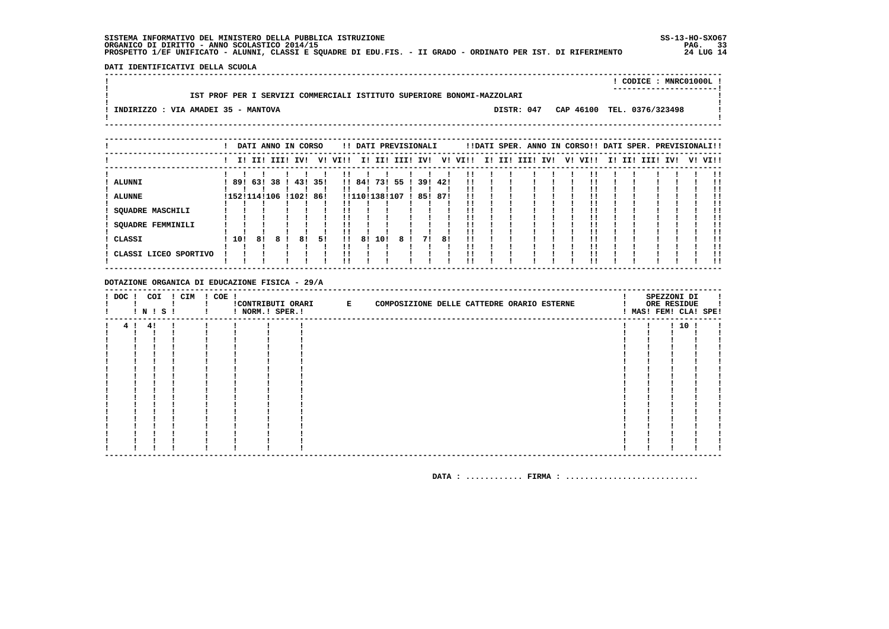DATI IDENTIFICATIVI DELLA SCUOLA

|                                                                        |            | ! CODICE : MNRC01000L !    |  |
|------------------------------------------------------------------------|------------|----------------------------|--|
| IST PROF PER I SERVIZI COMMERCIALI ISTITUTO SUPERIORE BONOMI-MAZZOLARI |            |                            |  |
|                                                                        |            |                            |  |
| ! INDIRIZZO : VIA AMADEI 35 - MANTOVA                                  | DISTR: 047 | CAP 46100 TEL. 0376/323498 |  |
|                                                                        |            |                            |  |
|                                                                        |            |                            |  |

|                                      |     |    | DATI ANNO IN CORSO         |           |         |    |              |        |                      | !! DATI PREVISIONALI |            |            |          |  | !!DATI SPER. ANNO IN CORSO!! DATI SPER. PREVISIONALI!! |  |         |  |             |     |         |
|--------------------------------------|-----|----|----------------------------|-----------|---------|----|--------------|--------|----------------------|----------------------|------------|------------|----------|--|--------------------------------------------------------|--|---------|--|-------------|-----|---------|
|                                      |     |    | I! II! III! IV!            |           |         |    | V! VI!!      |        |                      | I! II! III! IV!      |            |            | V! VI!!  |  | I! II! III! IV!                                        |  | V! VI!! |  | I! II! III! | IV! | V! VI!! |
| ALUNNI<br>! ALUNNE                   |     |    | 89! 63! 38<br>!152!114!106 | !102! 86! | 43! 35! |    |              | !! 84! | 73!<br>!!110!138!107 | 55 !                 | 39!<br>85! | 42!<br>87! | !!<br>!! |  |                                                        |  |         |  |             |     |         |
| <b>SQUADRE MASCHILI</b>              |     |    |                            |           |         |    |              |        |                      |                      |            |            |          |  |                                                        |  |         |  |             |     |         |
| <b>SQUADRE FEMMINILI</b><br>! CLASSI | 10! | 81 |                            |           | 81      | 51 | $\mathbf{H}$ | 81     | 10!                  | 81                   | 71         | 81         |          |  |                                                        |  |         |  |             |     |         |
| ! CLASSI LICEO SPORTIVO              |     |    |                            |           |         |    | !!<br>''     |        |                      |                      |            |            | ''       |  |                                                        |  |         |  |             |     | !!      |

DOTAZIONE ORGANICA DI EDUCAZIONE FISICA - 29/A

| ! DOC ! COI | $!$ N $!$ S $!$ | ! CIM | ! COE ! | ! NORM.! SPER.! | !CONTRIBUTI ORARI E | COMPOSIZIONE DELLE CATTEDRE ORARIO ESTERNE |  | SPEZZONI DI<br>ORE RESIDUE | ! MAS! FEM! CLA! SPE! |
|-------------|-----------------|-------|---------|-----------------|---------------------|--------------------------------------------|--|----------------------------|-----------------------|
|             | 4! 4!           |       |         |                 |                     |                                            |  | 1101                       |                       |
|             |                 |       |         |                 |                     |                                            |  |                            |                       |
|             |                 |       |         |                 |                     |                                            |  |                            |                       |
|             |                 |       |         |                 |                     |                                            |  |                            |                       |
|             |                 |       |         |                 |                     |                                            |  |                            |                       |
|             |                 |       |         |                 |                     |                                            |  |                            |                       |
|             |                 |       |         |                 |                     |                                            |  |                            |                       |
|             |                 |       |         |                 |                     |                                            |  |                            |                       |
|             |                 |       |         |                 |                     |                                            |  |                            |                       |
|             |                 |       |         |                 |                     |                                            |  |                            |                       |
|             |                 |       |         |                 |                     |                                            |  |                            |                       |
|             |                 |       |         |                 |                     |                                            |  |                            |                       |
|             |                 |       |         |                 |                     |                                            |  |                            |                       |
|             |                 |       |         |                 |                     |                                            |  |                            |                       |
|             |                 |       |         |                 |                     |                                            |  |                            |                       |
|             |                 |       |         |                 |                     |                                            |  |                            |                       |
|             |                 |       |         |                 |                     |                                            |  |                            |                       |
|             |                 |       |         |                 |                     |                                            |  |                            |                       |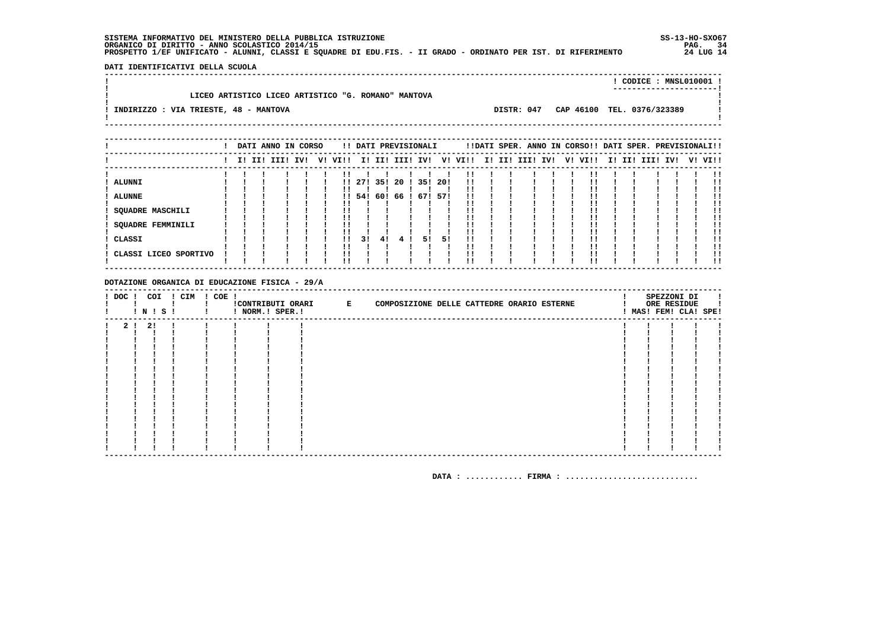SS-13-HO-SX067  $PAG.$  34<br>24 LUG 14

DATI IDENTIFICATIVI DELLA SCUOLA

|                                                     |  | ! CODICE : MNSL010001 !               |  |
|-----------------------------------------------------|--|---------------------------------------|--|
| LICEO ARTISTICO LICEO ARTISTICO "G. ROMANO" MANTOVA |  |                                       |  |
| ! INDIRIZZO : VIA TRIESTE, 48 - MANTOVA             |  | DISTR: 047 CAP 46100 TEL. 0376/323389 |  |
|                                                     |  |                                       |  |
|                                                     |  |                                       |  |

|                          |  | DATI ANNO IN CORSO |  |         |       |     | !! DATI PREVISIONALI |         |    |                         |  | !!DATI SPER. ANNO IN CORSO!! DATI SPER. PREVISIONALI!! |  |         |  |                 |         |    |
|--------------------------|--|--------------------|--|---------|-------|-----|----------------------|---------|----|-------------------------|--|--------------------------------------------------------|--|---------|--|-----------------|---------|----|
|                          |  | I! II! III! IV!    |  | V! VI!! |       |     |                      |         |    | I! II! III! IV! V! VI!! |  | I! II! III! IV!                                        |  | V! VI!! |  | I! II! III! IV! | V! VI!! |    |
|                          |  |                    |  |         |       |     |                      |         |    |                         |  |                                                        |  |         |  |                 |         | !! |
| <b>ALUNNI</b>            |  |                    |  |         | 11271 | 35! | 20 1 35 1 20 1       |         |    | 11                      |  |                                                        |  |         |  |                 |         |    |
| <b>ALUNNE</b>            |  |                    |  | . .     | 54!   | 60! | 66                   | 67! 57! |    | 11                      |  |                                                        |  |         |  |                 |         |    |
| <b>SQUADRE MASCHILI</b>  |  |                    |  |         |       |     |                      |         |    |                         |  |                                                        |  |         |  |                 |         |    |
| <b>SQUADRE FEMMINILI</b> |  |                    |  |         |       |     |                      |         |    |                         |  |                                                        |  |         |  |                 |         |    |
|                          |  |                    |  |         |       |     |                      |         |    |                         |  |                                                        |  |         |  |                 |         |    |
| CLASSI                   |  |                    |  | !!      | 31    | 41  | -4                   | 51      | 51 |                         |  |                                                        |  |         |  |                 |         |    |
| CLASSI LICEO SPORTIVO    |  |                    |  |         |       |     |                      |         |    |                         |  |                                                        |  |         |  |                 |         |    |
|                          |  |                    |  |         |       |     |                      |         |    |                         |  |                                                        |  |         |  |                 |         |    |

DOTAZIONE ORGANICA DI EDUCAZIONE FISICA - 29/A

| $!$ DOC $!$ | COI     | 1 N 1 S 1 | ! CIM | ! COE ! | ! NORM.! SPER.! | CONTRIBUTI ORARI E | COMPOSIZIONE DELLE CATTEDRE ORARIO ESTERNE |  |  |  | SPEZZONI DI<br>ORE RESIDUE<br>! MAS! FEM! CLA! SPE! |  |
|-------------|---------|-----------|-------|---------|-----------------|--------------------|--------------------------------------------|--|--|--|-----------------------------------------------------|--|
|             | 2 ! 2 ! |           | -1    |         |                 |                    |                                            |  |  |  |                                                     |  |
|             |         |           |       |         |                 |                    |                                            |  |  |  |                                                     |  |
|             |         |           |       |         |                 |                    |                                            |  |  |  |                                                     |  |
|             |         |           |       |         |                 |                    |                                            |  |  |  |                                                     |  |
|             |         |           |       |         |                 |                    |                                            |  |  |  |                                                     |  |
|             |         |           |       |         |                 |                    |                                            |  |  |  |                                                     |  |
|             |         |           |       |         |                 |                    |                                            |  |  |  |                                                     |  |
|             |         |           |       |         |                 |                    |                                            |  |  |  |                                                     |  |
|             |         |           |       |         |                 |                    |                                            |  |  |  |                                                     |  |
|             |         |           |       |         |                 |                    |                                            |  |  |  |                                                     |  |
|             |         |           |       |         |                 |                    |                                            |  |  |  |                                                     |  |
|             |         |           |       |         |                 |                    |                                            |  |  |  |                                                     |  |
|             |         |           |       |         |                 |                    |                                            |  |  |  |                                                     |  |
|             |         |           |       |         |                 |                    |                                            |  |  |  |                                                     |  |
|             |         |           |       |         |                 |                    |                                            |  |  |  |                                                     |  |
|             |         |           |       |         |                 |                    |                                            |  |  |  |                                                     |  |
|             |         |           |       |         |                 |                    |                                            |  |  |  |                                                     |  |
|             |         |           |       |         |                 |                    |                                            |  |  |  |                                                     |  |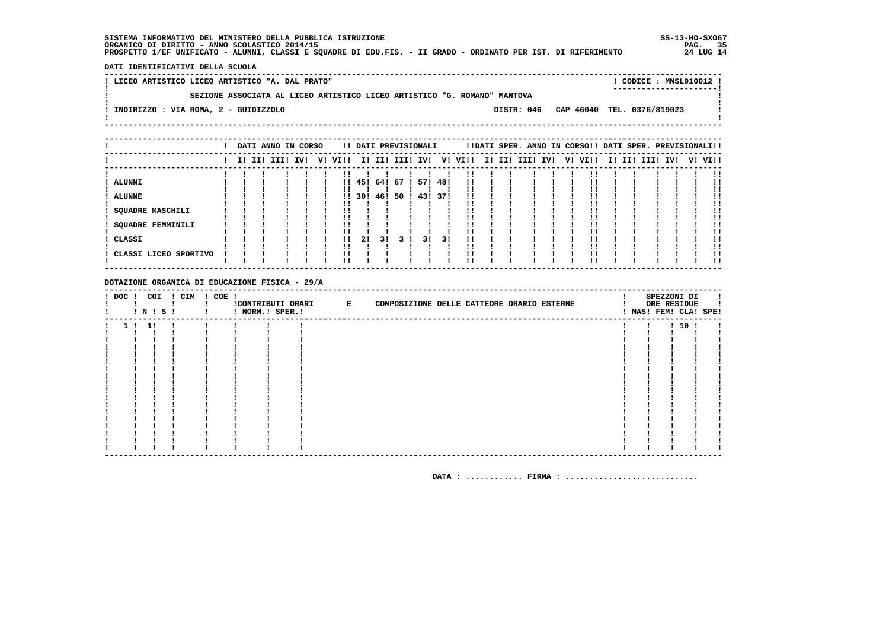DATI IDENTIFICATIVI DELLA SCUOLA

| ! LICEO ARTISTICO LICEO ARTISTICO "A. DAL PRATO"                         |  | CODICE: MNSL010012 !                  |
|--------------------------------------------------------------------------|--|---------------------------------------|
| SEZIONE ASSOCIATA AL LICEO ARTISTICO LICEO ARTISTICO "G. ROMANO" MANTOVA |  |                                       |
| ! INDIRIZZO : VIA ROMA, 2 - GUIDIZZOLO                                   |  | DISTR: 046 CAP 46040 TEL. 0376/819023 |
|                                                                          |  |                                       |

|                             |  | DATI ANNO IN CORSO |     |              |       |     | !! DATI PREVISIONALI |     |     |         |  |                 |  | !!DATI SPER. ANNO IN CORSO!! DATI SPER. PREVISIONALI!! |  |                 |  |         |
|-----------------------------|--|--------------------|-----|--------------|-------|-----|----------------------|-----|-----|---------|--|-----------------|--|--------------------------------------------------------|--|-----------------|--|---------|
|                             |  | I! II! III!        | IV! | V! VI!!      |       |     | I! II! III! IV!      |     |     | V! VI!! |  | I! II! III! IV! |  | V! VI!!                                                |  | I! II! III! IV! |  | V! VI!! |
| ALUNNI                      |  |                    |     |              | 1!45! | 64! | 67 !                 | 571 | 48! |         |  |                 |  |                                                        |  |                 |  |         |
| <b>ALUNNE</b>               |  |                    |     | $\mathbf{H}$ | 30!   | 46! | 50                   | 43! | 37! | !!      |  |                 |  |                                                        |  |                 |  |         |
| SQUADRE MASCHILI            |  |                    |     |              |       |     |                      |     |     |         |  |                 |  |                                                        |  |                 |  |         |
| SQUADRE FEMMINILI<br>CLASSI |  |                    |     | $\mathbf{H}$ | 21    | 31  | 31                   | 31  | 31  |         |  |                 |  |                                                        |  |                 |  |         |
| CLASSI LICEO SPORTIVO       |  |                    |     |              |       |     |                      |     |     |         |  |                 |  |                                                        |  |                 |  |         |
|                             |  |                    |     | ' '          |       |     |                      |     |     |         |  |                 |  |                                                        |  |                 |  | !!      |

DOTAZIONE ORGANICA DI EDUCAZIONE FISICA - 29/A

| ! DOC ! COI | <b>!N!S!</b> | ! CIM | $! COE$ ! | ! NORM.! SPER.! | !CONTRIBUTI ORARI E | COMPOSIZIONE DELLE CATTEDRE ORARIO ESTERNE |  |  |  | SPEZZONI DI<br>ORE RESIDUE<br>! MAS! FEM! CLA! SPE! |  |
|-------------|--------------|-------|-----------|-----------------|---------------------|--------------------------------------------|--|--|--|-----------------------------------------------------|--|
|             | 1!1!         |       |           |                 |                     |                                            |  |  |  | 1101                                                |  |
|             |              |       |           |                 |                     |                                            |  |  |  |                                                     |  |
|             |              |       |           |                 |                     |                                            |  |  |  |                                                     |  |
|             |              |       |           |                 |                     |                                            |  |  |  |                                                     |  |
|             |              |       |           |                 |                     |                                            |  |  |  |                                                     |  |
|             |              |       |           |                 |                     |                                            |  |  |  |                                                     |  |
|             |              |       |           |                 |                     |                                            |  |  |  |                                                     |  |
|             |              |       |           |                 |                     |                                            |  |  |  |                                                     |  |
|             |              |       |           |                 |                     |                                            |  |  |  |                                                     |  |
|             |              |       |           |                 |                     |                                            |  |  |  |                                                     |  |
|             |              |       |           |                 |                     |                                            |  |  |  |                                                     |  |
|             |              |       |           |                 |                     |                                            |  |  |  |                                                     |  |
|             |              |       |           |                 |                     |                                            |  |  |  |                                                     |  |
|             |              |       |           |                 |                     |                                            |  |  |  |                                                     |  |
|             |              |       |           |                 |                     |                                            |  |  |  |                                                     |  |
|             |              |       |           |                 |                     |                                            |  |  |  |                                                     |  |
|             |              |       |           |                 |                     |                                            |  |  |  |                                                     |  |
|             |              |       |           |                 |                     |                                            |  |  |  |                                                     |  |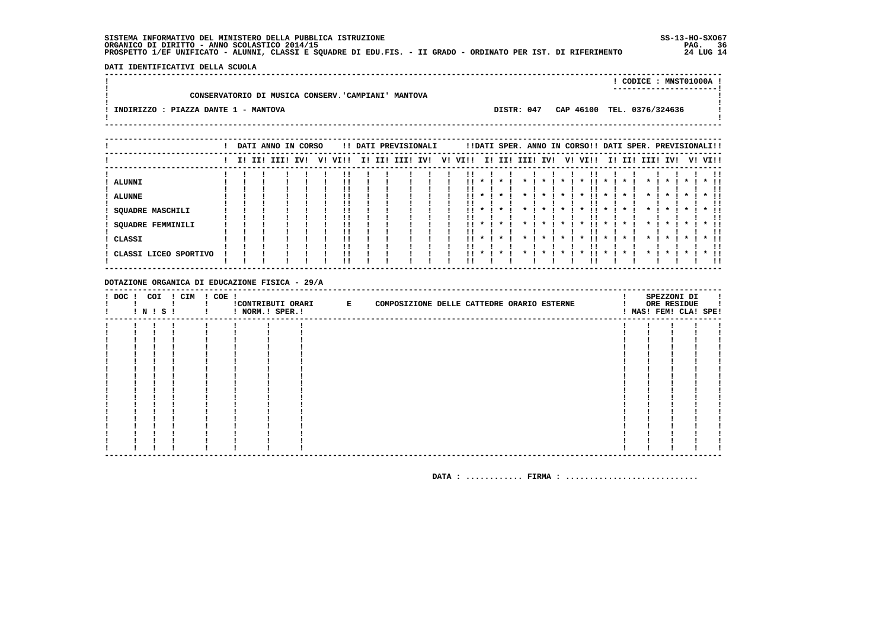SS-13-HO-SX067 PAG. 36<br>24 LUG 14

DATI IDENTIFICATIVI DELLA SCUOLA

|                                                    |            | CODICE: MNST01000A!        |  |
|----------------------------------------------------|------------|----------------------------|--|
|                                                    |            |                            |  |
| CONSERVATORIO DI MUSICA CONSERV. CAMPIANI' MANTOVA |            |                            |  |
|                                                    |            |                            |  |
| ! INDIRIZZO : PIAZZA DANTE 1 - MANTOVA             | DISTR: 047 | CAP 46100 TEL. 0376/324636 |  |
|                                                    |            |                            |  |
|                                                    |            |                            |  |
|                                                    |            |                            |  |

|                                      |  | DATI ANNO IN CORSO |     |    |          |     |     | !! DATI PREVISIONALI |     |    |            |                 |         |              |   | !!DATI SPER. ANNO IN CORSO!! DATI SPER. PREVISIONALI!! |              |                     |                                    |              |                                   |         |                             |
|--------------------------------------|--|--------------------|-----|----|----------|-----|-----|----------------------|-----|----|------------|-----------------|---------|--------------|---|--------------------------------------------------------|--------------|---------------------|------------------------------------|--------------|-----------------------------------|---------|-----------------------------|
|                                      |  | I! II! III!        | IVI | V! | VIII     | II. | III | III!                 | IV! | V! | VIII       |                 | I! II!  | III! IV!     |   | V! VI!!                                                |              | I! II!              | III!                               | IV!          |                                   | V! VI!! |                             |
| ALUNNI                               |  |                    |     |    | !!       |     |     |                      |     |    |            |                 |         |              |   |                                                        |              |                     |                                    |              |                                   |         |                             |
| <b>ALUNNE</b>                        |  |                    |     |    | !!       |     |     |                      |     |    |            |                 |         |              |   |                                                        |              |                     |                                    |              |                                   |         |                             |
| <b>SQUADRE MASCHILI</b>              |  |                    |     |    |          |     |     |                      |     |    |            | $\cdot$ $\cdot$ | $\star$ |              | * | $\cdot$                                                |              |                     |                                    | $\star$      |                                   |         |                             |
| <b>SQUADRE FEMMINILI</b><br>! CLASSI |  |                    |     |    | !!       |     |     |                      |     |    | 11.<br>. . | $\mathbf{x}$    |         | $\mathbf{x}$ |   | !!<br>,,                                               | $\mathbf{x}$ | $\boldsymbol{\ast}$ | $\mathbf{x}$<br>$\boldsymbol{\pi}$ | $\mathbf{r}$ | $\mathbf{\ast}$ .<br>$\mathbf{x}$ |         | $\star$ 11                  |
| ! CLASSI LICEO SPORTIVO              |  |                    |     |    | !!<br>!! |     |     |                      |     |    | 11.        | $\cdot$         |         |              |   |                                                        |              |                     |                                    |              |                                   |         | $\star$ 11<br>. .<br>$*$ 11 |
|                                      |  |                    |     |    |          |     |     |                      |     |    |            |                 |         |              |   |                                                        |              |                     |                                    |              |                                   |         | -11                         |

DOTAZIONE ORGANICA DI EDUCAZIONE FISICA - 29/A

| $!$ DOC $!$ | COI<br><b>!N!S!</b> | ! CIM | ! COE ! | ! NORM.! SPER.! | !CONTRIBUTI ORARI E | COMPOSIZIONE DELLE CATTEDRE ORARIO ESTERNE |  |  |  | SPEZZONI DI<br>ORE RESIDUE<br>! MAS! FEM! CLA! SPE! |  |
|-------------|---------------------|-------|---------|-----------------|---------------------|--------------------------------------------|--|--|--|-----------------------------------------------------|--|
|             |                     |       |         |                 |                     |                                            |  |  |  |                                                     |  |
|             |                     |       |         |                 |                     |                                            |  |  |  |                                                     |  |
|             |                     |       |         |                 |                     |                                            |  |  |  |                                                     |  |
|             |                     |       |         |                 |                     |                                            |  |  |  |                                                     |  |
|             |                     |       |         |                 |                     |                                            |  |  |  |                                                     |  |
|             |                     |       |         |                 |                     |                                            |  |  |  |                                                     |  |
|             |                     |       |         |                 |                     |                                            |  |  |  |                                                     |  |
|             |                     |       |         |                 |                     |                                            |  |  |  |                                                     |  |
|             |                     |       |         |                 |                     |                                            |  |  |  |                                                     |  |
|             |                     |       |         |                 |                     |                                            |  |  |  |                                                     |  |
|             |                     |       |         |                 |                     |                                            |  |  |  |                                                     |  |
|             |                     |       |         |                 |                     |                                            |  |  |  |                                                     |  |
|             |                     |       |         |                 |                     |                                            |  |  |  |                                                     |  |
|             |                     |       |         |                 |                     |                                            |  |  |  |                                                     |  |
|             |                     |       |         |                 |                     |                                            |  |  |  |                                                     |  |
|             |                     |       |         |                 |                     |                                            |  |  |  |                                                     |  |
|             |                     |       |         |                 |                     |                                            |  |  |  |                                                     |  |
|             |                     |       |         |                 |                     |                                            |  |  |  |                                                     |  |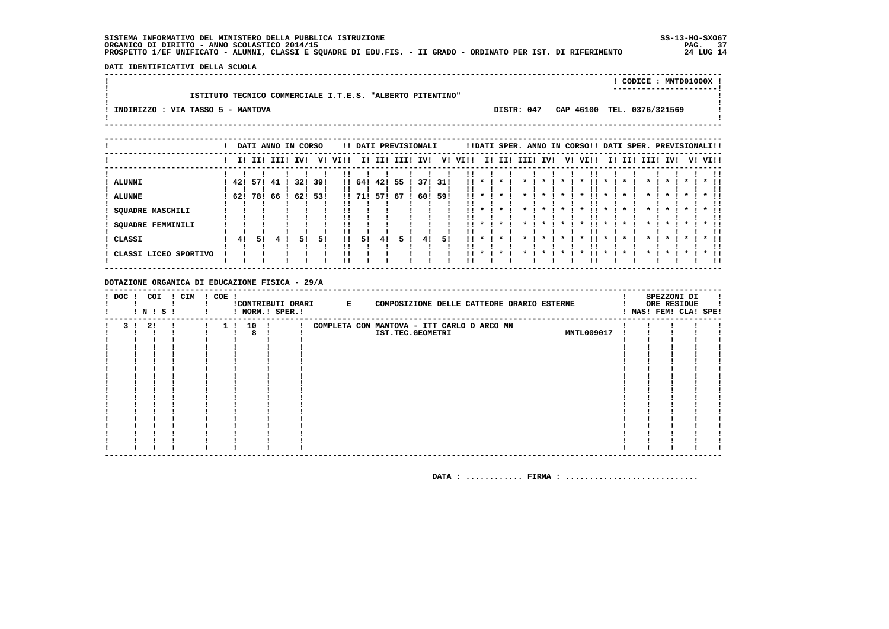SS-13-HO-SX067  $PAG.$  37<br>24 LUG 14

DATI IDENTIFICATIVI DELLA SCUOLA

|                                                           |  | $!$ CODICE : MNTD01000X $!$<br>---------------------- |  |
|-----------------------------------------------------------|--|-------------------------------------------------------|--|
| ISTITUTO TECNICO COMMERCIALE I.T.E.S. "ALBERTO PITENTINO" |  |                                                       |  |
| ! INDIRIZZO : VIA TASSO 5 - MANTOVA                       |  | DISTR: 047 CAP 46100 TEL. 0376/321569                 |  |
|                                                           |  |                                                       |  |

|                          |     |     | DATI ANNO IN CORSO |     |      |      |        |     | !! DATI PREVISIONALI |     |     |      |                    |              |              |           | !!DATI SPER. ANNO IN CORSO!! DATI SPER. PREVISIONALI!! |              |        |             |              |         |         |              |
|--------------------------|-----|-----|--------------------|-----|------|------|--------|-----|----------------------|-----|-----|------|--------------------|--------------|--------------|-----------|--------------------------------------------------------|--------------|--------|-------------|--------------|---------|---------|--------------|
|                          |     |     | I! II! III! IV!    |     | V!   | VI!! |        |     | I! II! III! IV!      |     | V!  | VI!! |                    | I! II!       | III! IV!     |           | V! VI!!                                                |              | I! II! | IIII        | IV!          |         | V! VI!! |              |
| ! ALUNNI                 | 42! | 571 | -41                | 32! | 39!  |      | 1!64!  | 42! | 55                   | 371 | 31! | . .  | $\boldsymbol{\pi}$ | $\cdot$      |              |           |                                                        |              |        |             |              |         |         |              |
| <b>ALUNNE</b>            | 62! | 78! | 66                 | 62! | -531 |      | !! 71! | 571 | -67                  | 60! | 59! | !!   |                    |              |              |           |                                                        |              |        |             |              |         |         |              |
| <b>SQUADRE MASCHILI</b>  |     |     |                    |     |      |      |        |     |                      |     |     |      |                    |              |              |           |                                                        |              |        |             |              |         |         |              |
| <b>SQUADRE FEMMINILI</b> |     |     |                    |     |      |      |        |     |                      |     |     |      | $\mathbf{x}$       | $\cdot$      | $\mathbf{x}$ | $\star$ I | <br>$\cdot$                                            | $\mathbf{x}$ |        | $\mathbf x$ | $\mathbf{x}$ | $\cdot$ |         | $*$ !!       |
| ! CLASSI                 | 41  | 51  |                    | 51  | 51   | 11   | 51     | 41  |                      | 4!  | 51  | . .  | $\boldsymbol{\pi}$ | $\mathbf{x}$ |              |           | $\boldsymbol{\ast}$                                    |              |        |             | $\mathbf{x}$ |         |         | $*$ !!<br>   |
| ! CLASSI LICEO SPORTIVO  |     |     |                    |     |      |      |        |     |                      |     |     | . .  | $\star$            | $\star$      |              |           |                                                        |              |        |             |              |         |         | $*$ 11<br>11 |

DOTAZIONE ORGANICA DI EDUCAZIONE FISICA - 29/A

| $!$ DOC | ! N ! S ! | COI | ! CIM | ! COE ! |     |      | ! NORM.! SPER.! | !CONTRIBUTI ORARI E | COMPOSIZIONE DELLE CATTEDRE ORARIO ESTERNE |                   |  | SPEZZONI DI<br>ORE RESIDUE<br>! MAS! FEM! CLA! SPE! |  |
|---------|-----------|-----|-------|---------|-----|------|-----------------|---------------------|--------------------------------------------|-------------------|--|-----------------------------------------------------|--|
| 3       | 2!        |     |       |         | 1 ! | 10 ! |                 |                     | COMPLETA CON MANTOVA - ITT CARLO D ARCO MN |                   |  |                                                     |  |
|         |           |     |       |         |     |      |                 |                     | IST.TEC.GEOMETRI                           | <b>MNTL009017</b> |  |                                                     |  |
|         |           |     |       |         |     |      |                 |                     |                                            |                   |  |                                                     |  |
|         |           |     |       |         |     |      |                 |                     |                                            |                   |  |                                                     |  |
|         |           |     |       |         |     |      |                 |                     |                                            |                   |  |                                                     |  |
|         |           |     |       |         |     |      |                 |                     |                                            |                   |  |                                                     |  |
|         |           |     |       |         |     |      |                 |                     |                                            |                   |  |                                                     |  |
|         |           |     |       |         |     |      |                 |                     |                                            |                   |  |                                                     |  |
|         |           |     |       |         |     |      |                 |                     |                                            |                   |  |                                                     |  |
|         |           |     |       |         |     |      |                 |                     |                                            |                   |  |                                                     |  |
|         |           |     |       |         |     |      |                 |                     |                                            |                   |  |                                                     |  |
|         |           |     |       |         |     |      |                 |                     |                                            |                   |  |                                                     |  |
|         |           |     |       |         |     |      |                 |                     |                                            |                   |  |                                                     |  |
|         |           |     |       |         |     |      |                 |                     |                                            |                   |  |                                                     |  |
|         |           |     |       |         |     |      |                 |                     |                                            |                   |  |                                                     |  |
|         |           |     |       |         |     |      |                 |                     |                                            |                   |  |                                                     |  |
|         |           |     |       |         |     |      |                 |                     |                                            |                   |  |                                                     |  |
|         |           |     |       |         |     |      |                 |                     |                                            |                   |  |                                                     |  |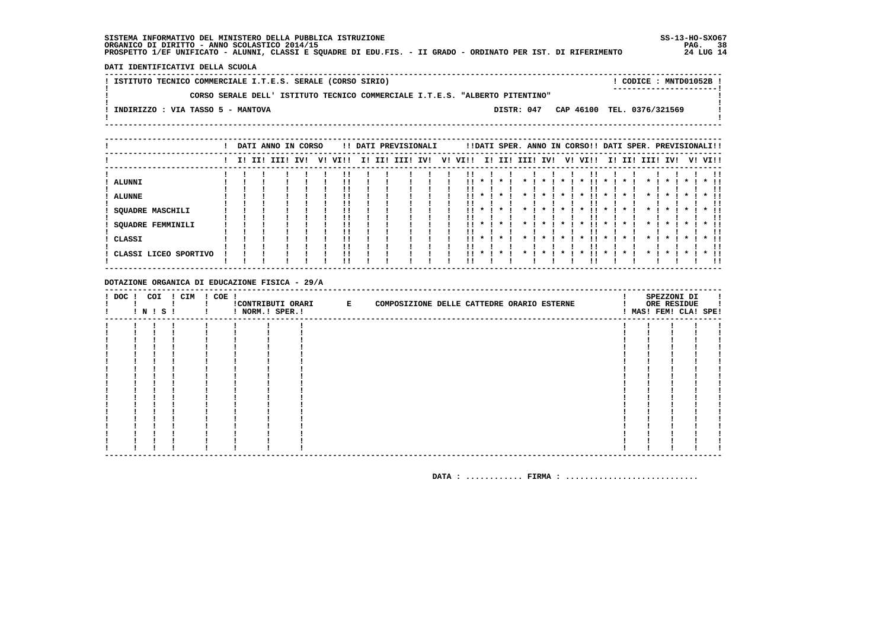SS-13-HO-SX067 PAG. 38  $24$  LUG 14

DATI IDENTIFICATIVI DELLA SCUOLA

! ISTITUTO TECNICO COMMERCIALE I.T.E.S. SERALE (CORSO SIRIO) ! CODICE: MNTD01052B!  $\mathbf{I}$ CORSO SERALE DELL' ISTITUTO TECNICO COMMERCIALE I.T.E.S. "ALBERTO PITENTINO"  $\mathbf{I}$ - 1  $\mathbf{I}$ -: INDIRIZZO : VIA TASSO 5 - MANTOVA DISTR: 047 CAP 46100 TEL. 0376/321569  $\sim$  1.  $\mathbf{I}$  $\mathbf{I}$ 

|                                                      |  | DATI ANNO IN CORSO |     |    |      |    |     | !! DATI PREVISIONALI |     |    |             |                         |                    |      |                    |         | !!DATI SPER. ANNO IN CORSO!! DATI SPER. PREVISIONALI!! |                    |     |                    |         |              |         |                                              |
|------------------------------------------------------|--|--------------------|-----|----|------|----|-----|----------------------|-----|----|-------------|-------------------------|--------------------|------|--------------------|---------|--------------------------------------------------------|--------------------|-----|--------------------|---------|--------------|---------|----------------------------------------------|
|                                                      |  | I! II! III!        | IV! | V! | VIII | ΙI | II! | III!                 | IV! | V! | VI!!        | II.                     | TLI                | III! | IV!                | V!      | VI!!                                                   | II.                | II! | III!               | IV!     |              | V! VI!! |                                              |
| <b>ALUNNI</b><br><b>ALUNNE</b><br>SQUADRE MASCHILI   |  |                    |     |    |      |    |     |                      |     |    |             |                         |                    |      |                    |         |                                                        |                    |     |                    |         |              |         |                                              |
| SQUADRE FEMMINILI<br>CLASSI<br>CLASSI LICEO SPORTIVO |  |                    |     |    |      |    |     |                      |     |    | <br>. .<br> | $\mathbf{r}$<br>$\cdot$ | $\cdot$<br>$\cdot$ |      | $\boldsymbol{\pi}$ | $\star$ | !!<br>$\boldsymbol{\pi}$<br>$\boldsymbol{\ast}$        | $\boldsymbol{\pi}$ |     | $\boldsymbol{\pi}$ | $\star$ | $\mathbf{x}$ |         | $*$ !!<br>!!<br>$*$ !!<br>!!<br>$*$ 11<br>11 |

DOTAZIONE ORGANICA DI EDUCAZIONE FISICA - 29/A

| ! DOC ! COI |  | ! CIM ! COE !<br><b>! N ! S !</b> | $!$ $!$ $!$ $NORM$ . $!$ $SPER$ . $!$ | !CONTRIBUTI ORARI E | COMPOSIZIONE DELLE CATTEDRE ORARIO ESTERNE |  | SPEZZONI DI<br>ORE RESIDUE<br>! MAS! FEM! CLA! SPE! |  |
|-------------|--|-----------------------------------|---------------------------------------|---------------------|--------------------------------------------|--|-----------------------------------------------------|--|
|             |  |                                   |                                       |                     |                                            |  |                                                     |  |
|             |  |                                   |                                       |                     |                                            |  |                                                     |  |
|             |  |                                   |                                       |                     |                                            |  |                                                     |  |
|             |  |                                   |                                       |                     |                                            |  |                                                     |  |
|             |  |                                   |                                       |                     |                                            |  |                                                     |  |
|             |  |                                   |                                       |                     |                                            |  |                                                     |  |
|             |  |                                   |                                       |                     |                                            |  |                                                     |  |
|             |  |                                   |                                       |                     |                                            |  |                                                     |  |
|             |  |                                   |                                       |                     |                                            |  |                                                     |  |
|             |  |                                   |                                       |                     |                                            |  |                                                     |  |
|             |  |                                   |                                       |                     |                                            |  |                                                     |  |
|             |  |                                   |                                       |                     |                                            |  |                                                     |  |
|             |  |                                   |                                       |                     |                                            |  |                                                     |  |
|             |  |                                   |                                       |                     |                                            |  |                                                     |  |
|             |  |                                   |                                       |                     |                                            |  |                                                     |  |
|             |  |                                   |                                       |                     |                                            |  |                                                     |  |
|             |  |                                   |                                       |                     |                                            |  |                                                     |  |
|             |  |                                   |                                       |                     |                                            |  |                                                     |  |